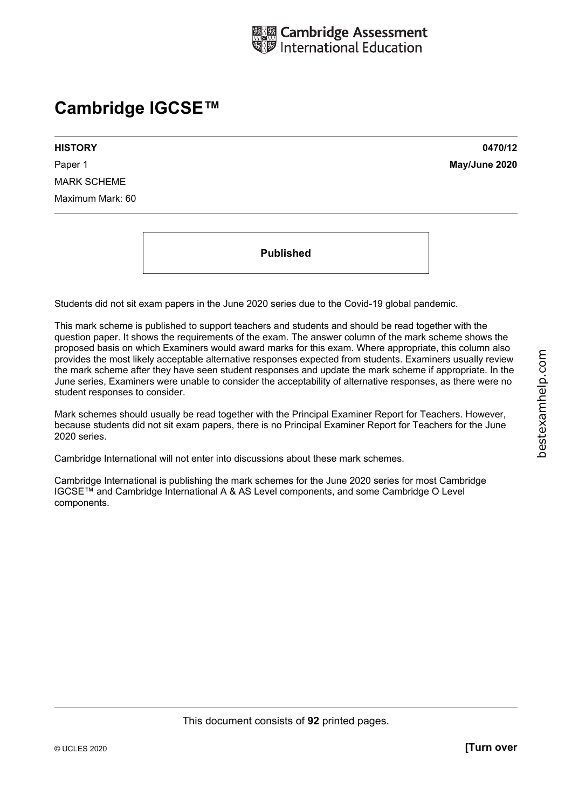# **Cambridge IGCSE™**

**HISTORY 0470/12**  Paper 1 **May/June 2020** MARK SCHEME Maximum Mark: 60

**Published** 

Students did not sit exam papers in the June 2020 series due to the Covid-19 global pandemic.

This mark scheme is published to support teachers and students and should be read together with the question paper. It shows the requirements of the exam. The answer column of the mark scheme shows the proposed basis on which Examiners would award marks for this exam. Where appropriate, this column also provides the most likely acceptable alternative responses expected from students. Examiners usually review the mark scheme after they have seen student responses and update the mark scheme if appropriate. In the June series, Examiners were unable to consider the acceptability of alternative responses, as there were no student responses to consider.

Mark schemes should usually be read together with the Principal Examiner Report for Teachers. However, because students did not sit exam papers, there is no Principal Examiner Report for Teachers for the June 2020 series.

Cambridge International will not enter into discussions about these mark schemes.

Cambridge International is publishing the mark schemes for the June 2020 series for most Cambridge IGCSE™ and Cambridge International A & AS Level components, and some Cambridge O Level components.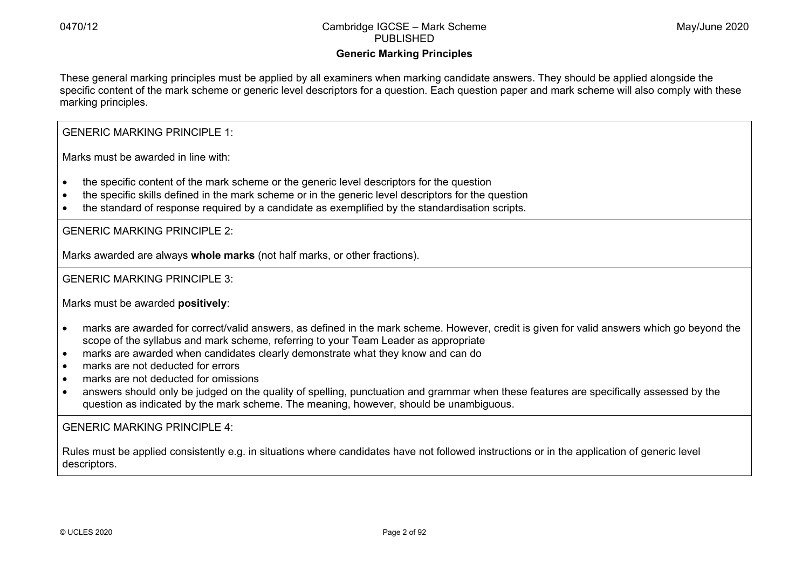# **Generic Marking Principles**

These general marking principles must be applied by all examiners when marking candidate answers. They should be applied alongside the specific content of the mark scheme or generic level descriptors for a question. Each question paper and mark scheme will also comply with these marking principles.

GENERIC MARKING PRINCIPLE 1:

Marks must be awarded in line with:

- the specific content of the mark scheme or the generic level descriptors for the question
- the specific skills defined in the mark scheme or in the generic level descriptors for the question
- the standard of response required by a candidate as exemplified by the standardisation scripts.

GENERIC MARKING PRINCIPLE 2:

Marks awarded are always **whole marks** (not half marks, or other fractions).

GENERIC MARKING PRINCIPLE 3:

Marks must be awarded **positively**:

- marks are awarded for correct/valid answers, as defined in the mark scheme. However, credit is given for valid answers which go beyond the scope of the syllabus and mark scheme, referring to your Team Leader as appropriate
- marks are awarded when candidates clearly demonstrate what they know and can do
- marks are not deducted for errors
- marks are not deducted for omissions
- answers should only be judged on the quality of spelling, punctuation and grammar when these features are specifically assessed by the question as indicated by the mark scheme. The meaning, however, should be unambiguous.

GENERIC MARKING PRINCIPLE 4:

Rules must be applied consistently e.g. in situations where candidates have not followed instructions or in the application of generic level descriptors.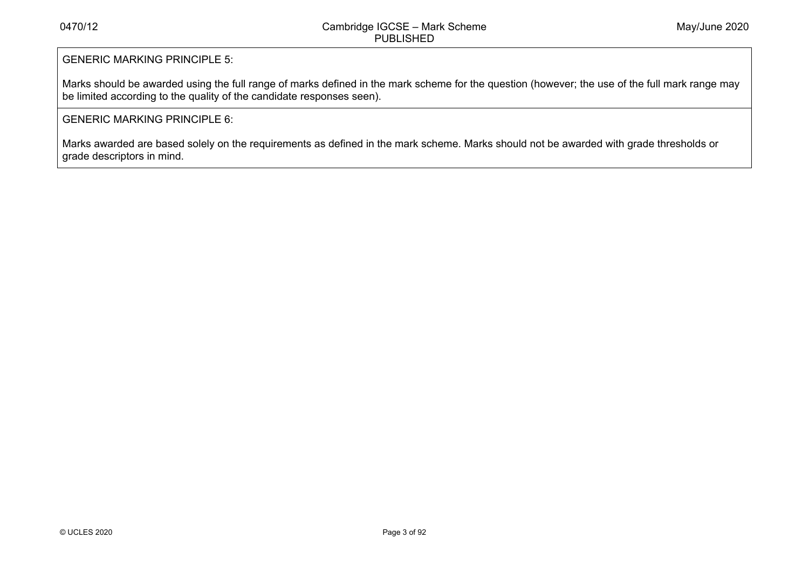# GENERIC MARKING PRINCIPLE 5:

Marks should be awarded using the full range of marks defined in the mark scheme for the question (however; the use of the full mark range may be limited according to the quality of the candidate responses seen).

# GENERIC MARKING PRINCIPLE 6:

Marks awarded are based solely on the requirements as defined in the mark scheme. Marks should not be awarded with grade thresholds or grade descriptors in mind.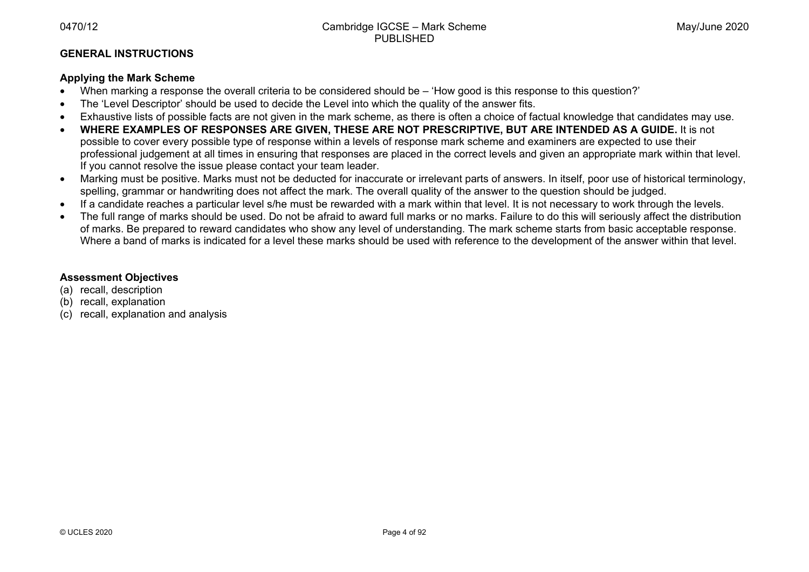# **GENERAL INSTRUCTIONS**

# **Applying the Mark Scheme**

- When marking a response the overall criteria to be considered should be 'How good is this response to this question?'
- The 'Level Descriptor' should be used to decide the Level into which the quality of the answer fits.
- Exhaustive lists of possible facts are not given in the mark scheme, as there is often a choice of factual knowledge that candidates may use.
- • **WHERE EXAMPLES OF RESPONSES ARE GIVEN, THESE ARE NOT PRESCRIPTIVE, BUT ARE INTENDED AS A GUIDE.** It is not possible to cover every possible type of response within a levels of response mark scheme and examiners are expected to use their professional judgement at all times in ensuring that responses are placed in the correct levels and given an appropriate mark within that level. If you cannot resolve the issue please contact your team leader.
- Marking must be positive. Marks must not be deducted for inaccurate or irrelevant parts of answers. In itself, poor use of historical terminology, spelling, grammar or handwriting does not affect the mark. The overall quality of the answer to the question should be judged.
- If a candidate reaches a particular level s/he must be rewarded with a mark within that level. It is not necessary to work through the levels.
- The full range of marks should be used. Do not be afraid to award full marks or no marks. Failure to do this will seriously affect the distribution of marks. Be prepared to reward candidates who show any level of understanding. The mark scheme starts from basic acceptable response. Where a band of marks is indicated for a level these marks should be used with reference to the development of the answer within that level.

# **Assessment Objectives**

- (a) recall, description
- (b) recall, explanation
- (c) recall, explanation and analysis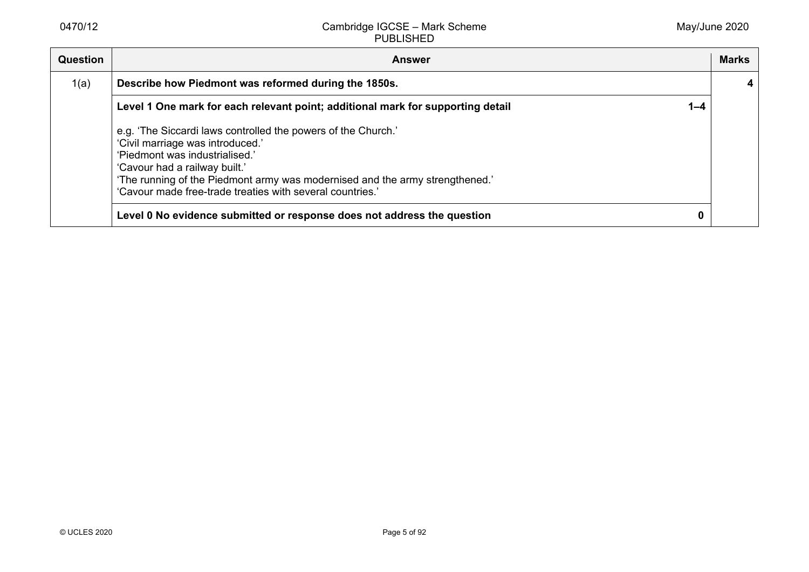| Question | <b>Answer</b>                                                                                                                                                                                                                                                                                                     |         | <b>Marks</b> |
|----------|-------------------------------------------------------------------------------------------------------------------------------------------------------------------------------------------------------------------------------------------------------------------------------------------------------------------|---------|--------------|
| 1(a)     | Describe how Piedmont was reformed during the 1850s.                                                                                                                                                                                                                                                              |         |              |
|          | Level 1 One mark for each relevant point; additional mark for supporting detail                                                                                                                                                                                                                                   | $1 - 4$ |              |
|          | e.g. 'The Siccardi laws controlled the powers of the Church.'<br>'Civil marriage was introduced.'<br>'Piedmont was industrialised.'<br>'Cavour had a railway built.'<br>'The running of the Piedmont army was modernised and the army strengthened.'<br>'Cavour made free-trade treaties with several countries.' |         |              |
|          | Level 0 No evidence submitted or response does not address the question                                                                                                                                                                                                                                           | 0       |              |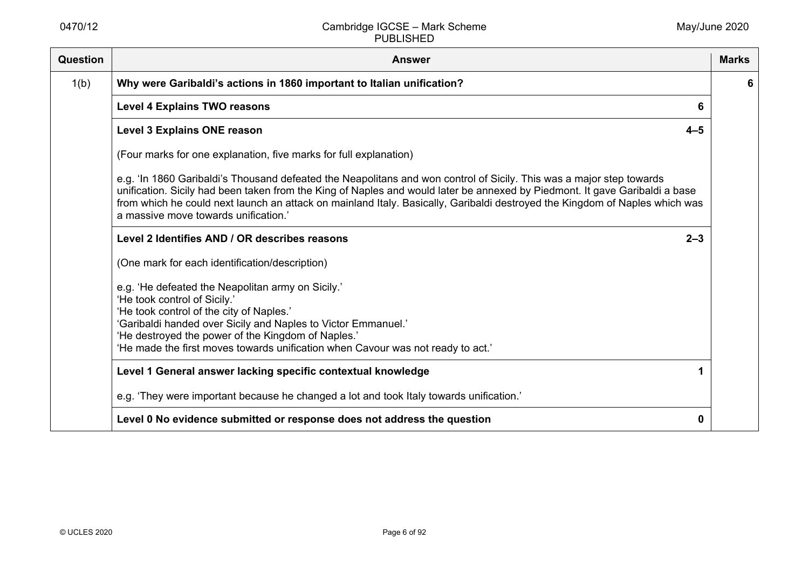| <b>Question</b> | <b>Answer</b>                                                                                                                                                                                                                                                                                                                                                                                                              | <b>Marks</b> |
|-----------------|----------------------------------------------------------------------------------------------------------------------------------------------------------------------------------------------------------------------------------------------------------------------------------------------------------------------------------------------------------------------------------------------------------------------------|--------------|
| 1(b)            | Why were Garibaldi's actions in 1860 important to Italian unification?                                                                                                                                                                                                                                                                                                                                                     | 6            |
|                 | <b>Level 4 Explains TWO reasons</b><br>6                                                                                                                                                                                                                                                                                                                                                                                   |              |
|                 | <b>Level 3 Explains ONE reason</b><br>$4 - 5$                                                                                                                                                                                                                                                                                                                                                                              |              |
|                 | (Four marks for one explanation, five marks for full explanation)                                                                                                                                                                                                                                                                                                                                                          |              |
|                 | e.g. 'In 1860 Garibaldi's Thousand defeated the Neapolitans and won control of Sicily. This was a major step towards<br>unification. Sicily had been taken from the King of Naples and would later be annexed by Piedmont. It gave Garibaldi a base<br>from which he could next launch an attack on mainland Italy. Basically, Garibaldi destroyed the Kingdom of Naples which was<br>a massive move towards unification.' |              |
|                 | Level 2 Identifies AND / OR describes reasons<br>$2 - 3$                                                                                                                                                                                                                                                                                                                                                                   |              |
|                 | (One mark for each identification/description)                                                                                                                                                                                                                                                                                                                                                                             |              |
|                 | e.g. 'He defeated the Neapolitan army on Sicily.'<br>'He took control of Sicily.'<br>'He took control of the city of Naples.'<br>'Garibaldi handed over Sicily and Naples to Victor Emmanuel.'<br>'He destroyed the power of the Kingdom of Naples.'<br>'He made the first moves towards unification when Cavour was not ready to act.'                                                                                    |              |
|                 | Level 1 General answer lacking specific contextual knowledge                                                                                                                                                                                                                                                                                                                                                               |              |
|                 | e.g. 'They were important because he changed a lot and took Italy towards unification.'                                                                                                                                                                                                                                                                                                                                    |              |
|                 | Level 0 No evidence submitted or response does not address the question<br>0                                                                                                                                                                                                                                                                                                                                               |              |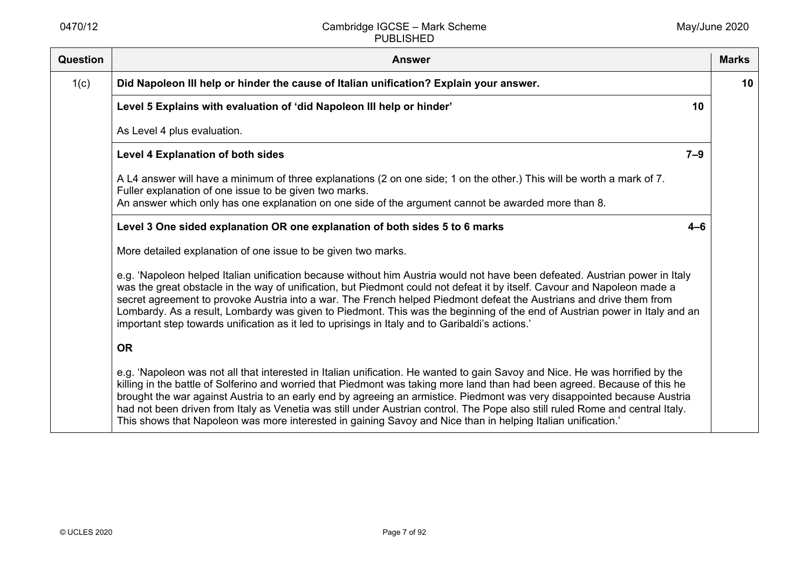| <b>Question</b> | <b>Answer</b>                                                                                                                                                                                                                                                                                                                                                                                                                                                                                                                                                                                                                           | <b>Marks</b> |
|-----------------|-----------------------------------------------------------------------------------------------------------------------------------------------------------------------------------------------------------------------------------------------------------------------------------------------------------------------------------------------------------------------------------------------------------------------------------------------------------------------------------------------------------------------------------------------------------------------------------------------------------------------------------------|--------------|
| 1(c)            | Did Napoleon III help or hinder the cause of Italian unification? Explain your answer.                                                                                                                                                                                                                                                                                                                                                                                                                                                                                                                                                  | 10           |
|                 | Level 5 Explains with evaluation of 'did Napoleon III help or hinder'<br>10                                                                                                                                                                                                                                                                                                                                                                                                                                                                                                                                                             |              |
|                 | As Level 4 plus evaluation.                                                                                                                                                                                                                                                                                                                                                                                                                                                                                                                                                                                                             |              |
|                 | <b>Level 4 Explanation of both sides</b><br>$7 - 9$                                                                                                                                                                                                                                                                                                                                                                                                                                                                                                                                                                                     |              |
|                 | A L4 answer will have a minimum of three explanations (2 on one side; 1 on the other.) This will be worth a mark of 7.<br>Fuller explanation of one issue to be given two marks.<br>An answer which only has one explanation on one side of the argument cannot be awarded more than 8.                                                                                                                                                                                                                                                                                                                                                 |              |
|                 | Level 3 One sided explanation OR one explanation of both sides 5 to 6 marks<br>$4 - 6$                                                                                                                                                                                                                                                                                                                                                                                                                                                                                                                                                  |              |
|                 | More detailed explanation of one issue to be given two marks.                                                                                                                                                                                                                                                                                                                                                                                                                                                                                                                                                                           |              |
|                 | e.g. 'Napoleon helped Italian unification because without him Austria would not have been defeated. Austrian power in Italy<br>was the great obstacle in the way of unification, but Piedmont could not defeat it by itself. Cavour and Napoleon made a<br>secret agreement to provoke Austria into a war. The French helped Piedmont defeat the Austrians and drive them from<br>Lombardy. As a result, Lombardy was given to Piedmont. This was the beginning of the end of Austrian power in Italy and an<br>important step towards unification as it led to uprisings in Italy and to Garibaldi's actions.'                         |              |
|                 | <b>OR</b>                                                                                                                                                                                                                                                                                                                                                                                                                                                                                                                                                                                                                               |              |
|                 | e.g. 'Napoleon was not all that interested in Italian unification. He wanted to gain Savoy and Nice. He was horrified by the<br>killing in the battle of Solferino and worried that Piedmont was taking more land than had been agreed. Because of this he<br>brought the war against Austria to an early end by agreeing an armistice. Piedmont was very disappointed because Austria<br>had not been driven from Italy as Venetia was still under Austrian control. The Pope also still ruled Rome and central Italy.<br>This shows that Napoleon was more interested in gaining Savoy and Nice than in helping Italian unification.' |              |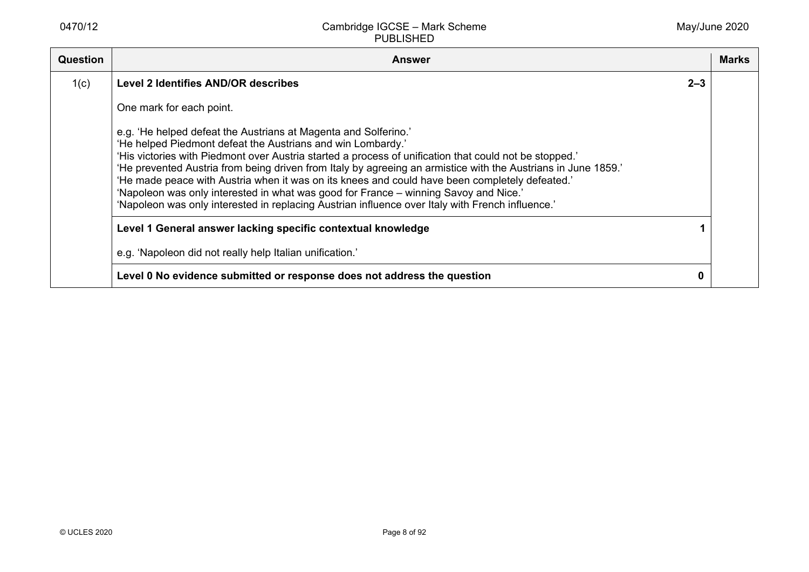| Question | <b>Answer</b>                                                                                                                                                                                                                                                                                                                                                                                                                                                                                                                                                                                                                                           |         | <b>Marks</b> |
|----------|---------------------------------------------------------------------------------------------------------------------------------------------------------------------------------------------------------------------------------------------------------------------------------------------------------------------------------------------------------------------------------------------------------------------------------------------------------------------------------------------------------------------------------------------------------------------------------------------------------------------------------------------------------|---------|--------------|
| 1(c)     | Level 2 Identifies AND/OR describes                                                                                                                                                                                                                                                                                                                                                                                                                                                                                                                                                                                                                     | $2 - 3$ |              |
|          | One mark for each point.                                                                                                                                                                                                                                                                                                                                                                                                                                                                                                                                                                                                                                |         |              |
|          | e.g. 'He helped defeat the Austrians at Magenta and Solferino.'<br>'He helped Piedmont defeat the Austrians and win Lombardy.'<br>'His victories with Piedmont over Austria started a process of unification that could not be stopped.'<br>'He prevented Austria from being driven from Italy by agreeing an armistice with the Austrians in June 1859.'<br>'He made peace with Austria when it was on its knees and could have been completely defeated.'<br>'Napoleon was only interested in what was good for France - winning Savoy and Nice.'<br>'Napoleon was only interested in replacing Austrian influence over Italy with French influence.' |         |              |
|          | Level 1 General answer lacking specific contextual knowledge                                                                                                                                                                                                                                                                                                                                                                                                                                                                                                                                                                                            |         |              |
|          | e.g. 'Napoleon did not really help Italian unification.'                                                                                                                                                                                                                                                                                                                                                                                                                                                                                                                                                                                                |         |              |
|          | Level 0 No evidence submitted or response does not address the question                                                                                                                                                                                                                                                                                                                                                                                                                                                                                                                                                                                 |         |              |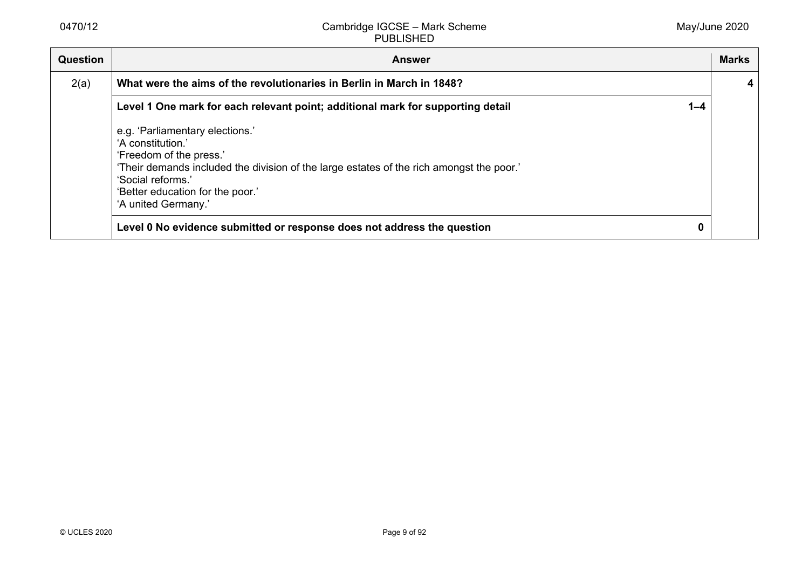| Question | <b>Answer</b>                                                                                                                                                                                                                                               |         | <b>Marks</b> |
|----------|-------------------------------------------------------------------------------------------------------------------------------------------------------------------------------------------------------------------------------------------------------------|---------|--------------|
| 2(a)     | What were the aims of the revolutionaries in Berlin in March in 1848?                                                                                                                                                                                       |         |              |
|          | Level 1 One mark for each relevant point; additional mark for supporting detail                                                                                                                                                                             | $1 - 4$ |              |
|          | e.g. 'Parliamentary elections.'<br>'A constitution.'<br>'Freedom of the press.'<br>'Their demands included the division of the large estates of the rich amongst the poor.'<br>'Social reforms.'<br>'Better education for the poor.'<br>'A united Germany.' |         |              |
|          | Level 0 No evidence submitted or response does not address the question                                                                                                                                                                                     | 0       |              |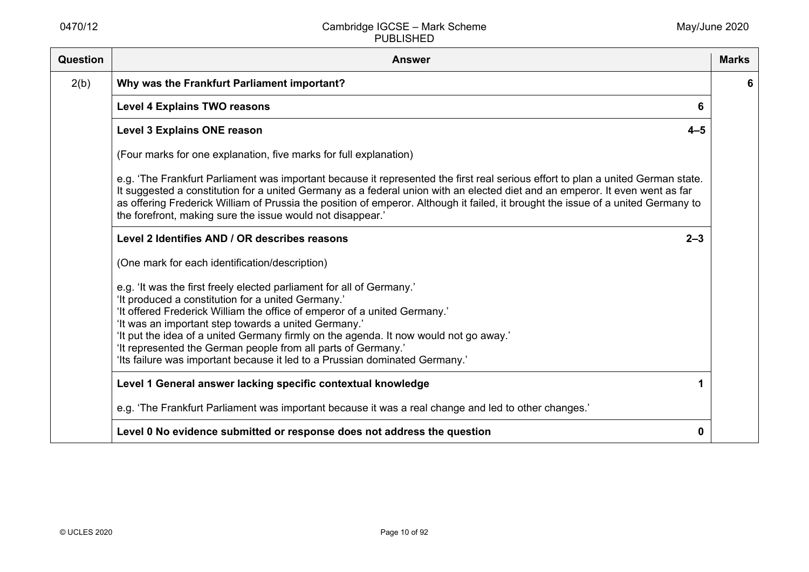| Question | <b>Answer</b>                                                                                                                                                                                                                                                                                                                                                                                                                                                                                             | <b>Marks</b> |
|----------|-----------------------------------------------------------------------------------------------------------------------------------------------------------------------------------------------------------------------------------------------------------------------------------------------------------------------------------------------------------------------------------------------------------------------------------------------------------------------------------------------------------|--------------|
| 2(b)     | Why was the Frankfurt Parliament important?                                                                                                                                                                                                                                                                                                                                                                                                                                                               | 6            |
|          | <b>Level 4 Explains TWO reasons</b>                                                                                                                                                                                                                                                                                                                                                                                                                                                                       |              |
|          | <b>Level 3 Explains ONE reason</b><br>$4 - 5$                                                                                                                                                                                                                                                                                                                                                                                                                                                             |              |
|          | (Four marks for one explanation, five marks for full explanation)                                                                                                                                                                                                                                                                                                                                                                                                                                         |              |
|          | e.g. 'The Frankfurt Parliament was important because it represented the first real serious effort to plan a united German state.<br>It suggested a constitution for a united Germany as a federal union with an elected diet and an emperor. It even went as far<br>as offering Frederick William of Prussia the position of emperor. Although it failed, it brought the issue of a united Germany to<br>the forefront, making sure the issue would not disappear.'                                       |              |
|          | $2 - 3$<br>Level 2 Identifies AND / OR describes reasons                                                                                                                                                                                                                                                                                                                                                                                                                                                  |              |
|          | (One mark for each identification/description)                                                                                                                                                                                                                                                                                                                                                                                                                                                            |              |
|          | e.g. 'It was the first freely elected parliament for all of Germany.'<br>'It produced a constitution for a united Germany.'<br>'It offered Frederick William the office of emperor of a united Germany.'<br>'It was an important step towards a united Germany.'<br>'It put the idea of a united Germany firmly on the agenda. It now would not go away.'<br>'It represented the German people from all parts of Germany.'<br>'Its failure was important because it led to a Prussian dominated Germany.' |              |
|          | Level 1 General answer lacking specific contextual knowledge                                                                                                                                                                                                                                                                                                                                                                                                                                              |              |
|          | e.g. 'The Frankfurt Parliament was important because it was a real change and led to other changes.'                                                                                                                                                                                                                                                                                                                                                                                                      |              |
|          | Level 0 No evidence submitted or response does not address the question<br>0                                                                                                                                                                                                                                                                                                                                                                                                                              |              |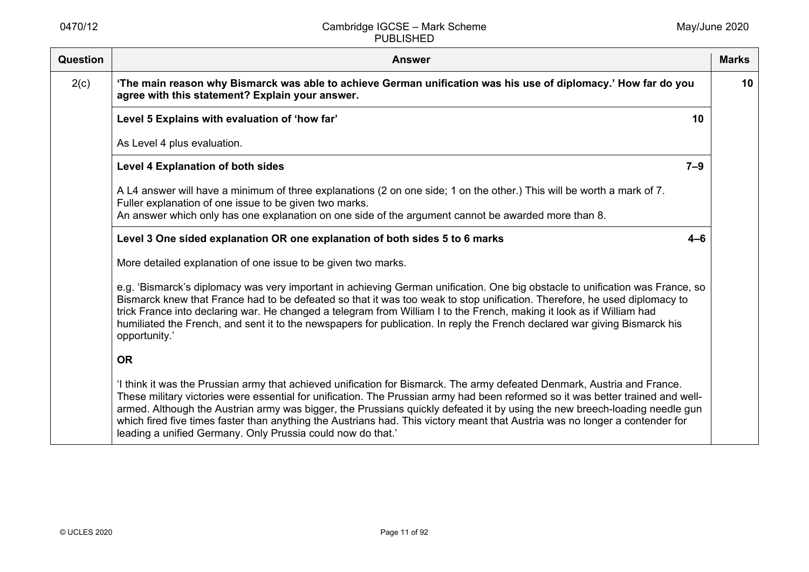| Question | <b>Answer</b>                                                                                                                                                                                                                                                                                                                                                                                                                                                                                                                                                                            | <b>Marks</b> |
|----------|------------------------------------------------------------------------------------------------------------------------------------------------------------------------------------------------------------------------------------------------------------------------------------------------------------------------------------------------------------------------------------------------------------------------------------------------------------------------------------------------------------------------------------------------------------------------------------------|--------------|
| 2(c)     | 'The main reason why Bismarck was able to achieve German unification was his use of diplomacy.' How far do you<br>agree with this statement? Explain your answer.                                                                                                                                                                                                                                                                                                                                                                                                                        | 10           |
|          | Level 5 Explains with evaluation of 'how far'<br>10                                                                                                                                                                                                                                                                                                                                                                                                                                                                                                                                      |              |
|          | As Level 4 plus evaluation.                                                                                                                                                                                                                                                                                                                                                                                                                                                                                                                                                              |              |
|          | <b>Level 4 Explanation of both sides</b><br>$7 - 9$                                                                                                                                                                                                                                                                                                                                                                                                                                                                                                                                      |              |
|          | A L4 answer will have a minimum of three explanations (2 on one side; 1 on the other.) This will be worth a mark of 7.<br>Fuller explanation of one issue to be given two marks.<br>An answer which only has one explanation on one side of the argument cannot be awarded more than 8.                                                                                                                                                                                                                                                                                                  |              |
|          | Level 3 One sided explanation OR one explanation of both sides 5 to 6 marks<br>$4 - 6$                                                                                                                                                                                                                                                                                                                                                                                                                                                                                                   |              |
|          | More detailed explanation of one issue to be given two marks.                                                                                                                                                                                                                                                                                                                                                                                                                                                                                                                            |              |
|          | e.g. 'Bismarck's diplomacy was very important in achieving German unification. One big obstacle to unification was France, so<br>Bismarck knew that France had to be defeated so that it was too weak to stop unification. Therefore, he used diplomacy to<br>trick France into declaring war. He changed a telegram from William I to the French, making it look as if William had<br>humiliated the French, and sent it to the newspapers for publication. In reply the French declared war giving Bismarck his<br>opportunity.'                                                       |              |
|          | <b>OR</b>                                                                                                                                                                                                                                                                                                                                                                                                                                                                                                                                                                                |              |
|          | 'I think it was the Prussian army that achieved unification for Bismarck. The army defeated Denmark, Austria and France.<br>These military victories were essential for unification. The Prussian army had been reformed so it was better trained and well-<br>armed. Although the Austrian army was bigger, the Prussians quickly defeated it by using the new breech-loading needle gun<br>which fired five times faster than anything the Austrians had. This victory meant that Austria was no longer a contender for<br>leading a unified Germany. Only Prussia could now do that.' |              |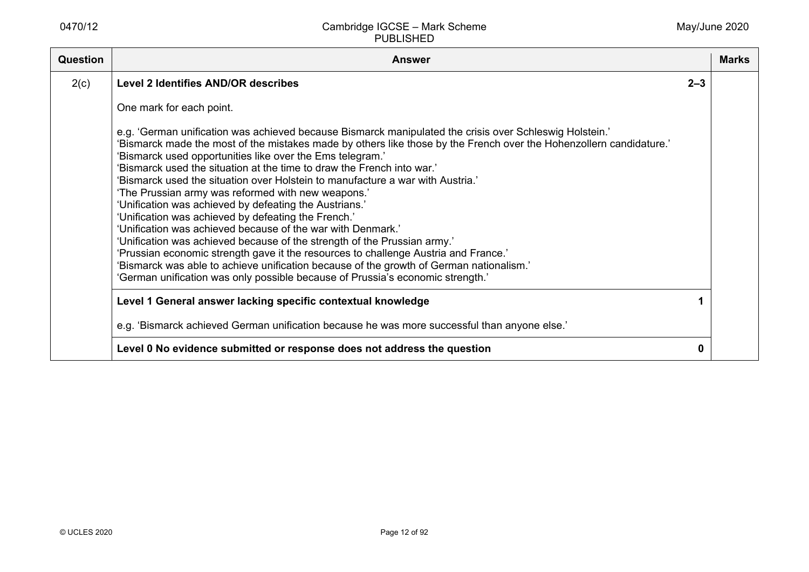| <b>Question</b> | <b>Answer</b>                                                                                                                                                                                                                                                                                                                                                                                                                                                                                                                                                                                                                                                                                                                                                                                                                                                                                                                                                                                                                                 |         | <b>Marks</b> |
|-----------------|-----------------------------------------------------------------------------------------------------------------------------------------------------------------------------------------------------------------------------------------------------------------------------------------------------------------------------------------------------------------------------------------------------------------------------------------------------------------------------------------------------------------------------------------------------------------------------------------------------------------------------------------------------------------------------------------------------------------------------------------------------------------------------------------------------------------------------------------------------------------------------------------------------------------------------------------------------------------------------------------------------------------------------------------------|---------|--------------|
| 2(c)            | <b>Level 2 Identifies AND/OR describes</b>                                                                                                                                                                                                                                                                                                                                                                                                                                                                                                                                                                                                                                                                                                                                                                                                                                                                                                                                                                                                    | $2 - 3$ |              |
|                 | One mark for each point.                                                                                                                                                                                                                                                                                                                                                                                                                                                                                                                                                                                                                                                                                                                                                                                                                                                                                                                                                                                                                      |         |              |
|                 | e.g. 'German unification was achieved because Bismarck manipulated the crisis over Schleswig Holstein.'<br>'Bismarck made the most of the mistakes made by others like those by the French over the Hohenzollern candidature.'<br>'Bismarck used opportunities like over the Ems telegram.'<br>'Bismarck used the situation at the time to draw the French into war.'<br>'Bismarck used the situation over Holstein to manufacture a war with Austria.'<br>'The Prussian army was reformed with new weapons.'<br>'Unification was achieved by defeating the Austrians.'<br>'Unification was achieved by defeating the French.'<br>'Unification was achieved because of the war with Denmark.'<br>'Unification was achieved because of the strength of the Prussian army.'<br>'Prussian economic strength gave it the resources to challenge Austria and France.'<br>'Bismarck was able to achieve unification because of the growth of German nationalism.'<br>'German unification was only possible because of Prussia's economic strength.' |         |              |
|                 | Level 1 General answer lacking specific contextual knowledge                                                                                                                                                                                                                                                                                                                                                                                                                                                                                                                                                                                                                                                                                                                                                                                                                                                                                                                                                                                  |         |              |
|                 | e.g. 'Bismarck achieved German unification because he was more successful than anyone else.'                                                                                                                                                                                                                                                                                                                                                                                                                                                                                                                                                                                                                                                                                                                                                                                                                                                                                                                                                  |         |              |
|                 | Level 0 No evidence submitted or response does not address the question                                                                                                                                                                                                                                                                                                                                                                                                                                                                                                                                                                                                                                                                                                                                                                                                                                                                                                                                                                       | 0       |              |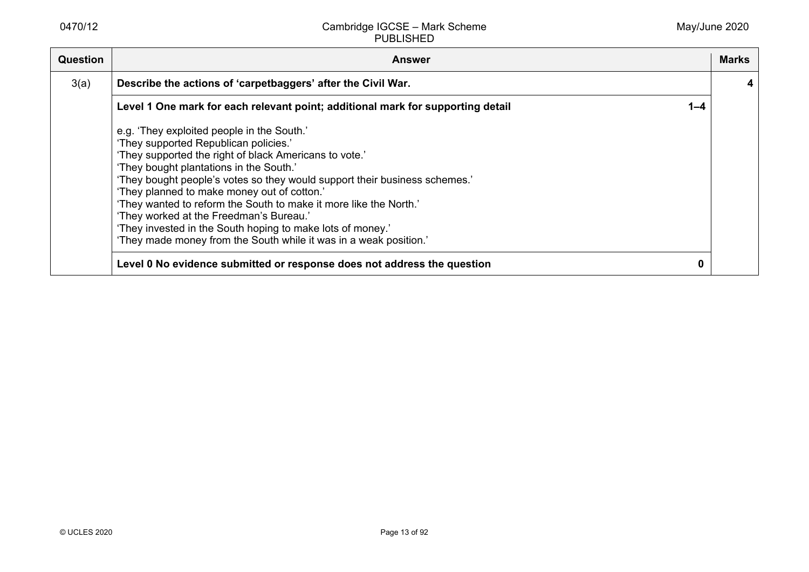| <b>Question</b> | <b>Answer</b>                                                                                                                                                                                                                                                                                                                                                                                                                                                                                                                                                            | <b>Marks</b> |
|-----------------|--------------------------------------------------------------------------------------------------------------------------------------------------------------------------------------------------------------------------------------------------------------------------------------------------------------------------------------------------------------------------------------------------------------------------------------------------------------------------------------------------------------------------------------------------------------------------|--------------|
| 3(a)            | Describe the actions of 'carpetbaggers' after the Civil War.                                                                                                                                                                                                                                                                                                                                                                                                                                                                                                             | 4            |
|                 | Level 1 One mark for each relevant point; additional mark for supporting detail<br>$1 - 4$                                                                                                                                                                                                                                                                                                                                                                                                                                                                               |              |
|                 | e.g. 'They exploited people in the South.'<br>'They supported Republican policies.'<br>'They supported the right of black Americans to vote.'<br>'They bought plantations in the South.'<br>'They bought people's votes so they would support their business schemes.'<br>'They planned to make money out of cotton.'<br>'They wanted to reform the South to make it more like the North.'<br>'They worked at the Freedman's Bureau.'<br>'They invested in the South hoping to make lots of money.'<br>'They made money from the South while it was in a weak position.' |              |
|                 | Level 0 No evidence submitted or response does not address the question<br>0                                                                                                                                                                                                                                                                                                                                                                                                                                                                                             |              |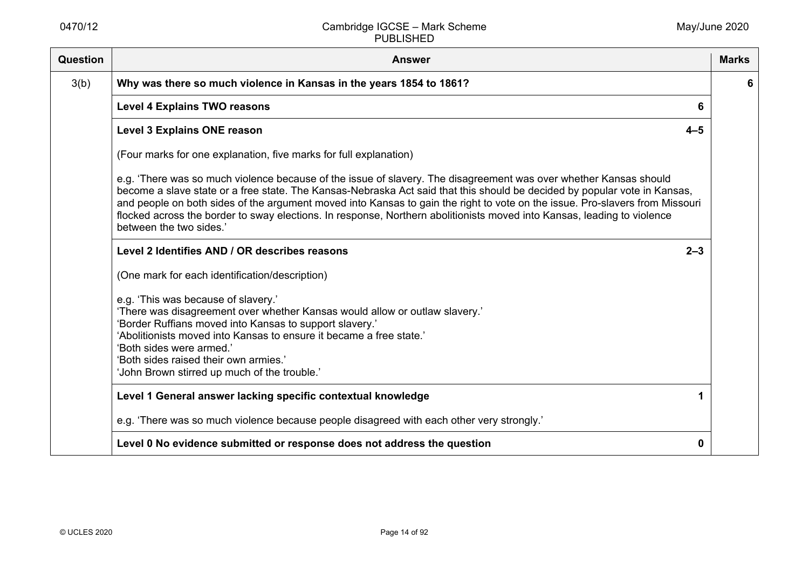| Question | <b>Answer</b>                                                                                                                                                                                                                                                                                                                                                                                                                                                                                                                        | <b>Marks</b> |
|----------|--------------------------------------------------------------------------------------------------------------------------------------------------------------------------------------------------------------------------------------------------------------------------------------------------------------------------------------------------------------------------------------------------------------------------------------------------------------------------------------------------------------------------------------|--------------|
| 3(b)     | Why was there so much violence in Kansas in the years 1854 to 1861?                                                                                                                                                                                                                                                                                                                                                                                                                                                                  | 6            |
|          | <b>Level 4 Explains TWO reasons</b><br>6                                                                                                                                                                                                                                                                                                                                                                                                                                                                                             |              |
|          | $4 - 5$<br><b>Level 3 Explains ONE reason</b>                                                                                                                                                                                                                                                                                                                                                                                                                                                                                        |              |
|          | (Four marks for one explanation, five marks for full explanation)                                                                                                                                                                                                                                                                                                                                                                                                                                                                    |              |
|          | e.g. 'There was so much violence because of the issue of slavery. The disagreement was over whether Kansas should<br>become a slave state or a free state. The Kansas-Nebraska Act said that this should be decided by popular vote in Kansas,<br>and people on both sides of the argument moved into Kansas to gain the right to vote on the issue. Pro-slavers from Missouri<br>flocked across the border to sway elections. In response, Northern abolitionists moved into Kansas, leading to violence<br>between the two sides.' |              |
|          | Level 2 Identifies AND / OR describes reasons<br>$2 - 3$                                                                                                                                                                                                                                                                                                                                                                                                                                                                             |              |
|          | (One mark for each identification/description)                                                                                                                                                                                                                                                                                                                                                                                                                                                                                       |              |
|          | e.g. 'This was because of slavery.'<br>'There was disagreement over whether Kansas would allow or outlaw slavery.'<br>'Border Ruffians moved into Kansas to support slavery.'<br>'Abolitionists moved into Kansas to ensure it became a free state.'<br>'Both sides were armed.'<br>'Both sides raised their own armies.'<br>'John Brown stirred up much of the trouble.'                                                                                                                                                            |              |
|          | Level 1 General answer lacking specific contextual knowledge                                                                                                                                                                                                                                                                                                                                                                                                                                                                         |              |
|          | e.g. 'There was so much violence because people disagreed with each other very strongly.'                                                                                                                                                                                                                                                                                                                                                                                                                                            |              |
|          | Level 0 No evidence submitted or response does not address the question<br>0                                                                                                                                                                                                                                                                                                                                                                                                                                                         |              |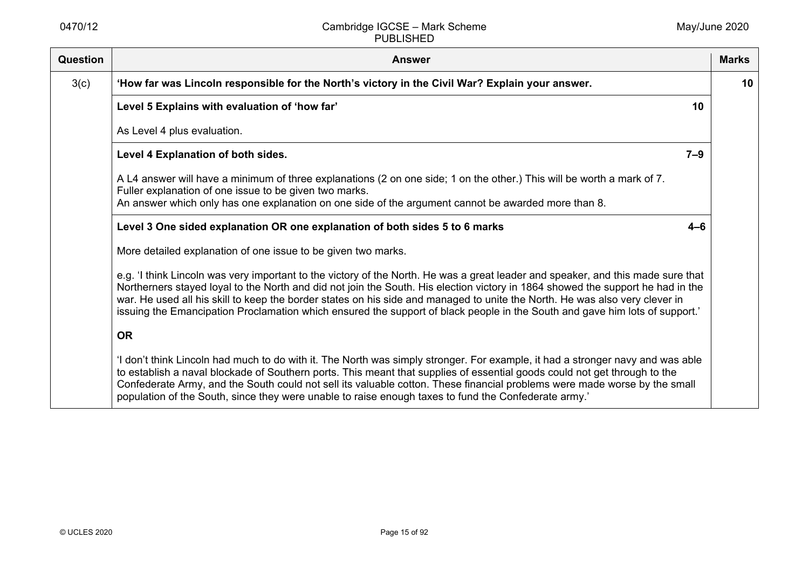| Question | <b>Answer</b>                                                                                                                                                                                                                                                                                                                                                                                                                                                                                                                     | <b>Marks</b> |
|----------|-----------------------------------------------------------------------------------------------------------------------------------------------------------------------------------------------------------------------------------------------------------------------------------------------------------------------------------------------------------------------------------------------------------------------------------------------------------------------------------------------------------------------------------|--------------|
| 3(c)     | 'How far was Lincoln responsible for the North's victory in the Civil War? Explain your answer.                                                                                                                                                                                                                                                                                                                                                                                                                                   | 10           |
|          | Level 5 Explains with evaluation of 'how far'<br>10                                                                                                                                                                                                                                                                                                                                                                                                                                                                               |              |
|          | As Level 4 plus evaluation.                                                                                                                                                                                                                                                                                                                                                                                                                                                                                                       |              |
|          | Level 4 Explanation of both sides.<br>$7 - 9$                                                                                                                                                                                                                                                                                                                                                                                                                                                                                     |              |
|          | A L4 answer will have a minimum of three explanations (2 on one side; 1 on the other.) This will be worth a mark of 7.<br>Fuller explanation of one issue to be given two marks.<br>An answer which only has one explanation on one side of the argument cannot be awarded more than 8.                                                                                                                                                                                                                                           |              |
|          | Level 3 One sided explanation OR one explanation of both sides 5 to 6 marks<br>$4 - 6$                                                                                                                                                                                                                                                                                                                                                                                                                                            |              |
|          | More detailed explanation of one issue to be given two marks.                                                                                                                                                                                                                                                                                                                                                                                                                                                                     |              |
|          | e.g. 'I think Lincoln was very important to the victory of the North. He was a great leader and speaker, and this made sure that<br>Northerners stayed loyal to the North and did not join the South. His election victory in 1864 showed the support he had in the<br>war. He used all his skill to keep the border states on his side and managed to unite the North. He was also very clever in<br>issuing the Emancipation Proclamation which ensured the support of black people in the South and gave him lots of support.' |              |
|          | <b>OR</b>                                                                                                                                                                                                                                                                                                                                                                                                                                                                                                                         |              |
|          | 'I don't think Lincoln had much to do with it. The North was simply stronger. For example, it had a stronger navy and was able<br>to establish a naval blockade of Southern ports. This meant that supplies of essential goods could not get through to the<br>Confederate Army, and the South could not sell its valuable cotton. These financial problems were made worse by the small<br>population of the South, since they were unable to raise enough taxes to fund the Confederate army.'                                  |              |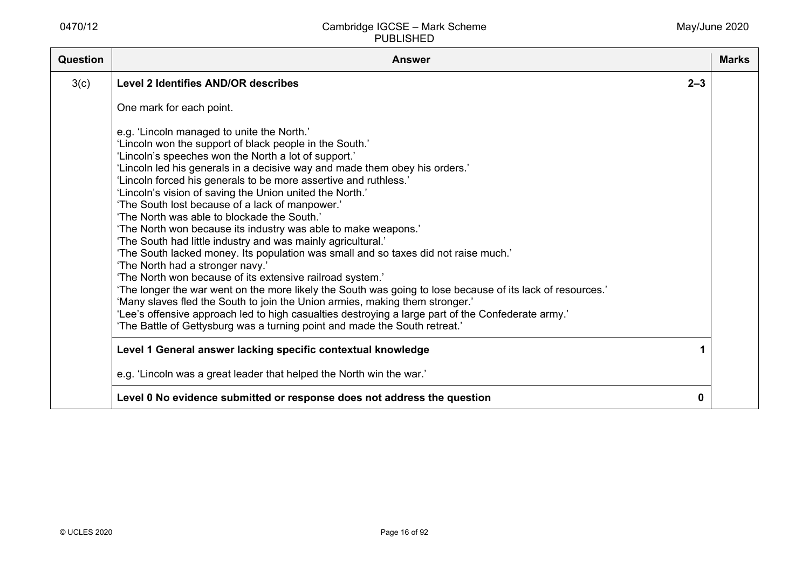| Question | <b>Answer</b>                                                                                                                                                                                                                                                                                                                                                                                                                                                                                                                                                                                                                                                                                                                                                                                                                                                                                                                                                                                                                                                                                                                                                                              |         | <b>Marks</b> |
|----------|--------------------------------------------------------------------------------------------------------------------------------------------------------------------------------------------------------------------------------------------------------------------------------------------------------------------------------------------------------------------------------------------------------------------------------------------------------------------------------------------------------------------------------------------------------------------------------------------------------------------------------------------------------------------------------------------------------------------------------------------------------------------------------------------------------------------------------------------------------------------------------------------------------------------------------------------------------------------------------------------------------------------------------------------------------------------------------------------------------------------------------------------------------------------------------------------|---------|--------------|
| 3(c)     | <b>Level 2 Identifies AND/OR describes</b>                                                                                                                                                                                                                                                                                                                                                                                                                                                                                                                                                                                                                                                                                                                                                                                                                                                                                                                                                                                                                                                                                                                                                 | $2 - 3$ |              |
|          | One mark for each point.                                                                                                                                                                                                                                                                                                                                                                                                                                                                                                                                                                                                                                                                                                                                                                                                                                                                                                                                                                                                                                                                                                                                                                   |         |              |
|          | e.g. 'Lincoln managed to unite the North.'<br>'Lincoln won the support of black people in the South.'<br>'Lincoln's speeches won the North a lot of support.'<br>'Lincoln led his generals in a decisive way and made them obey his orders.'<br>'Lincoln forced his generals to be more assertive and ruthless.'<br>'Lincoln's vision of saving the Union united the North.'<br>'The South lost because of a lack of manpower.'<br>'The North was able to blockade the South.'<br>'The North won because its industry was able to make weapons.'<br>'The South had little industry and was mainly agricultural.'<br>'The South lacked money. Its population was small and so taxes did not raise much.'<br>'The North had a stronger navy.'<br>'The North won because of its extensive railroad system.'<br>'The longer the war went on the more likely the South was going to lose because of its lack of resources.'<br>'Many slaves fled the South to join the Union armies, making them stronger.'<br>'Lee's offensive approach led to high casualties destroying a large part of the Confederate army.'<br>'The Battle of Gettysburg was a turning point and made the South retreat.' |         |              |
|          | Level 1 General answer lacking specific contextual knowledge                                                                                                                                                                                                                                                                                                                                                                                                                                                                                                                                                                                                                                                                                                                                                                                                                                                                                                                                                                                                                                                                                                                               |         |              |
|          | e.g. 'Lincoln was a great leader that helped the North win the war.'                                                                                                                                                                                                                                                                                                                                                                                                                                                                                                                                                                                                                                                                                                                                                                                                                                                                                                                                                                                                                                                                                                                       |         |              |
|          | Level 0 No evidence submitted or response does not address the question                                                                                                                                                                                                                                                                                                                                                                                                                                                                                                                                                                                                                                                                                                                                                                                                                                                                                                                                                                                                                                                                                                                    | 0       |              |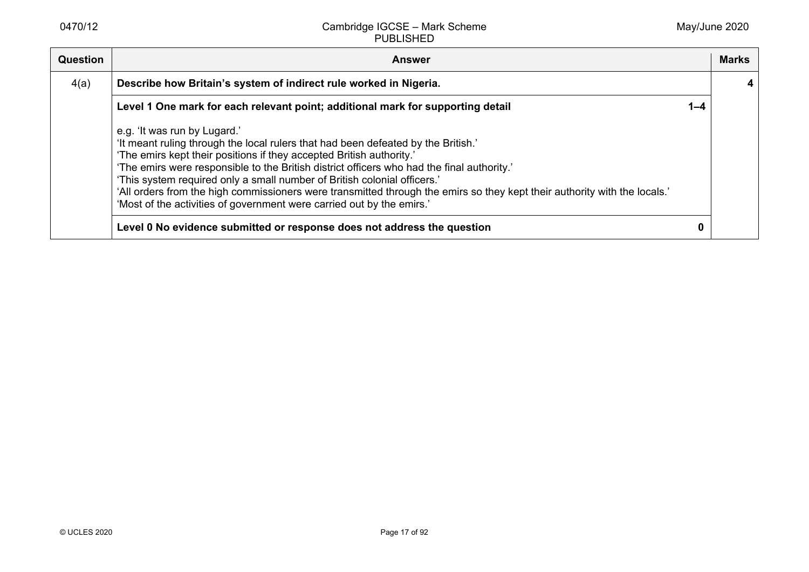| <b>Question</b> | <b>Answer</b>                                                                                                                                                                                                                                                                                                                                                                                                                                                                                                                                                             |         | <b>Marks</b> |
|-----------------|---------------------------------------------------------------------------------------------------------------------------------------------------------------------------------------------------------------------------------------------------------------------------------------------------------------------------------------------------------------------------------------------------------------------------------------------------------------------------------------------------------------------------------------------------------------------------|---------|--------------|
| 4(a)            | Describe how Britain's system of indirect rule worked in Nigeria.                                                                                                                                                                                                                                                                                                                                                                                                                                                                                                         |         |              |
|                 | Level 1 One mark for each relevant point; additional mark for supporting detail                                                                                                                                                                                                                                                                                                                                                                                                                                                                                           | $1 - 4$ |              |
|                 | e.g. 'It was run by Lugard.'<br>'It meant ruling through the local rulers that had been defeated by the British.'<br>'The emirs kept their positions if they accepted British authority.'<br>'The emirs were responsible to the British district officers who had the final authority.'<br>'This system required only a small number of British colonial officers.'<br>'All orders from the high commissioners were transmitted through the emirs so they kept their authority with the locals.'<br>'Most of the activities of government were carried out by the emirs.' |         |              |
|                 | Level 0 No evidence submitted or response does not address the question                                                                                                                                                                                                                                                                                                                                                                                                                                                                                                   |         |              |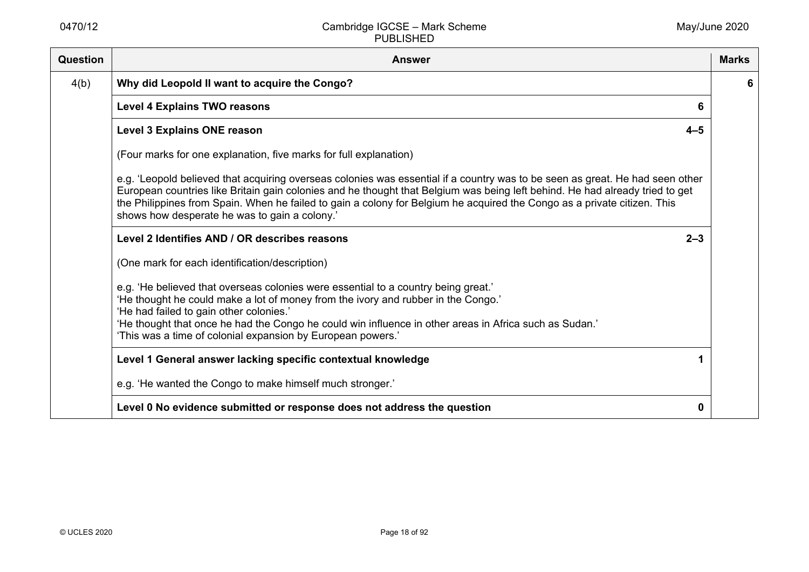| Question | <b>Answer</b>                                                                                                                                                                                                                                                                                                                                                                                                                              | <b>Marks</b> |
|----------|--------------------------------------------------------------------------------------------------------------------------------------------------------------------------------------------------------------------------------------------------------------------------------------------------------------------------------------------------------------------------------------------------------------------------------------------|--------------|
| 4(b)     | Why did Leopold II want to acquire the Congo?                                                                                                                                                                                                                                                                                                                                                                                              | 6            |
|          | <b>Level 4 Explains TWO reasons</b><br>6                                                                                                                                                                                                                                                                                                                                                                                                   |              |
|          | <b>Level 3 Explains ONE reason</b><br>$4 - 5$                                                                                                                                                                                                                                                                                                                                                                                              |              |
|          | (Four marks for one explanation, five marks for full explanation)                                                                                                                                                                                                                                                                                                                                                                          |              |
|          | e.g. 'Leopold believed that acquiring overseas colonies was essential if a country was to be seen as great. He had seen other<br>European countries like Britain gain colonies and he thought that Belgium was being left behind. He had already tried to get<br>the Philippines from Spain. When he failed to gain a colony for Belgium he acquired the Congo as a private citizen. This<br>shows how desperate he was to gain a colony.' |              |
|          | Level 2 Identifies AND / OR describes reasons<br>$2 - 3$                                                                                                                                                                                                                                                                                                                                                                                   |              |
|          | (One mark for each identification/description)                                                                                                                                                                                                                                                                                                                                                                                             |              |
|          | e.g. 'He believed that overseas colonies were essential to a country being great.'<br>'He thought he could make a lot of money from the ivory and rubber in the Congo.'<br>'He had failed to gain other colonies.'<br>'He thought that once he had the Congo he could win influence in other areas in Africa such as Sudan.'<br>'This was a time of colonial expansion by European powers.'                                                |              |
|          | Level 1 General answer lacking specific contextual knowledge                                                                                                                                                                                                                                                                                                                                                                               |              |
|          | e.g. 'He wanted the Congo to make himself much stronger.'                                                                                                                                                                                                                                                                                                                                                                                  |              |
|          | Level 0 No evidence submitted or response does not address the question<br>0                                                                                                                                                                                                                                                                                                                                                               |              |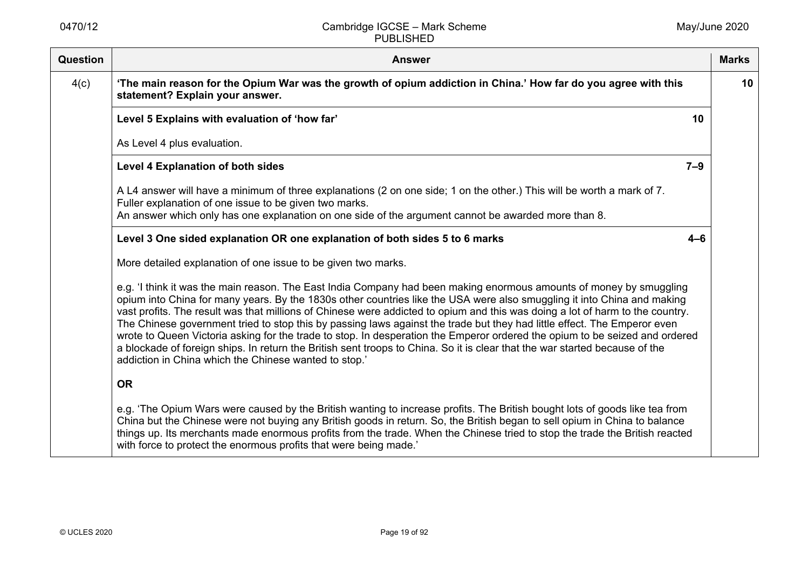| <b>Question</b> | <b>Answer</b>                                                                                                                                                                                                                                                                                                                                                                                                                                                                                                                                                                                                                                                                                                                                                                                                                      | <b>Marks</b> |
|-----------------|------------------------------------------------------------------------------------------------------------------------------------------------------------------------------------------------------------------------------------------------------------------------------------------------------------------------------------------------------------------------------------------------------------------------------------------------------------------------------------------------------------------------------------------------------------------------------------------------------------------------------------------------------------------------------------------------------------------------------------------------------------------------------------------------------------------------------------|--------------|
| 4(c)            | 'The main reason for the Opium War was the growth of opium addiction in China.' How far do you agree with this<br>statement? Explain your answer.                                                                                                                                                                                                                                                                                                                                                                                                                                                                                                                                                                                                                                                                                  | 10           |
|                 | 10<br>Level 5 Explains with evaluation of 'how far'                                                                                                                                                                                                                                                                                                                                                                                                                                                                                                                                                                                                                                                                                                                                                                                |              |
|                 | As Level 4 plus evaluation.                                                                                                                                                                                                                                                                                                                                                                                                                                                                                                                                                                                                                                                                                                                                                                                                        |              |
|                 | $7 - 9$<br><b>Level 4 Explanation of both sides</b>                                                                                                                                                                                                                                                                                                                                                                                                                                                                                                                                                                                                                                                                                                                                                                                |              |
|                 | A L4 answer will have a minimum of three explanations (2 on one side; 1 on the other.) This will be worth a mark of 7.<br>Fuller explanation of one issue to be given two marks.<br>An answer which only has one explanation on one side of the argument cannot be awarded more than 8.                                                                                                                                                                                                                                                                                                                                                                                                                                                                                                                                            |              |
|                 | Level 3 One sided explanation OR one explanation of both sides 5 to 6 marks<br>$4 - 6$                                                                                                                                                                                                                                                                                                                                                                                                                                                                                                                                                                                                                                                                                                                                             |              |
|                 | More detailed explanation of one issue to be given two marks.                                                                                                                                                                                                                                                                                                                                                                                                                                                                                                                                                                                                                                                                                                                                                                      |              |
|                 | e.g. 'I think it was the main reason. The East India Company had been making enormous amounts of money by smuggling<br>opium into China for many years. By the 1830s other countries like the USA were also smuggling it into China and making<br>vast profits. The result was that millions of Chinese were addicted to opium and this was doing a lot of harm to the country.<br>The Chinese government tried to stop this by passing laws against the trade but they had little effect. The Emperor even<br>wrote to Queen Victoria asking for the trade to stop. In desperation the Emperor ordered the opium to be seized and ordered<br>a blockade of foreign ships. In return the British sent troops to China. So it is clear that the war started because of the<br>addiction in China which the Chinese wanted to stop.' |              |
|                 | <b>OR</b>                                                                                                                                                                                                                                                                                                                                                                                                                                                                                                                                                                                                                                                                                                                                                                                                                          |              |
|                 | e.g. 'The Opium Wars were caused by the British wanting to increase profits. The British bought lots of goods like tea from<br>China but the Chinese were not buying any British goods in return. So, the British began to sell opium in China to balance<br>things up. Its merchants made enormous profits from the trade. When the Chinese tried to stop the trade the British reacted<br>with force to protect the enormous profits that were being made.'                                                                                                                                                                                                                                                                                                                                                                      |              |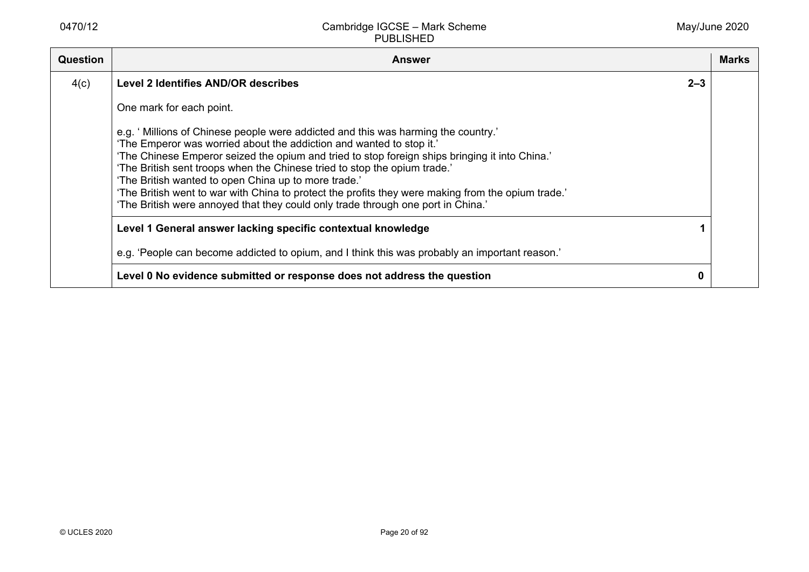| <b>Question</b> | <b>Answer</b>                                                                                                                                                                                                                                                                                                                                                                                                                                                                                                                                                                              |         | <b>Marks</b> |
|-----------------|--------------------------------------------------------------------------------------------------------------------------------------------------------------------------------------------------------------------------------------------------------------------------------------------------------------------------------------------------------------------------------------------------------------------------------------------------------------------------------------------------------------------------------------------------------------------------------------------|---------|--------------|
| 4(c)            | Level 2 Identifies AND/OR describes                                                                                                                                                                                                                                                                                                                                                                                                                                                                                                                                                        | $2 - 3$ |              |
|                 | One mark for each point.                                                                                                                                                                                                                                                                                                                                                                                                                                                                                                                                                                   |         |              |
|                 | e.g. 'Millions of Chinese people were addicted and this was harming the country.'<br>'The Emperor was worried about the addiction and wanted to stop it.'<br>'The Chinese Emperor seized the opium and tried to stop foreign ships bringing it into China.'<br>'The British sent troops when the Chinese tried to stop the opium trade.'<br>'The British wanted to open China up to more trade.'<br>'The British went to war with China to protect the profits they were making from the opium trade.'<br>'The British were annoyed that they could only trade through one port in China.' |         |              |
|                 | Level 1 General answer lacking specific contextual knowledge                                                                                                                                                                                                                                                                                                                                                                                                                                                                                                                               |         |              |
|                 | e.g. 'People can become addicted to opium, and I think this was probably an important reason.'                                                                                                                                                                                                                                                                                                                                                                                                                                                                                             |         |              |
|                 | Level 0 No evidence submitted or response does not address the question                                                                                                                                                                                                                                                                                                                                                                                                                                                                                                                    | 0       |              |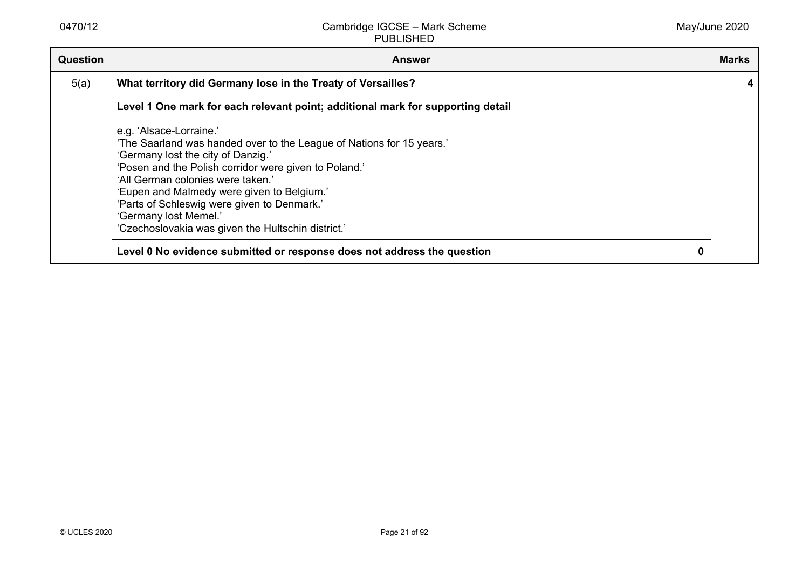| <b>Question</b> | <b>Answer</b>                                                                                                                                                                                                                                                                      | <b>Marks</b> |
|-----------------|------------------------------------------------------------------------------------------------------------------------------------------------------------------------------------------------------------------------------------------------------------------------------------|--------------|
| 5(a)            | What territory did Germany lose in the Treaty of Versailles?                                                                                                                                                                                                                       | 4            |
|                 | Level 1 One mark for each relevant point; additional mark for supporting detail                                                                                                                                                                                                    |              |
|                 | e.g. 'Alsace-Lorraine.'<br>'The Saarland was handed over to the League of Nations for 15 years.'<br>'Germany lost the city of Danzig.'<br>'Posen and the Polish corridor were given to Poland.'<br>'All German colonies were taken.'<br>'Eupen and Malmedy were given to Belgium.' |              |
|                 | 'Parts of Schleswig were given to Denmark.'<br>'Germany lost Memel.'<br>'Czechoslovakia was given the Hultschin district.'<br>Level 0 No evidence submitted or response does not address the question<br>0                                                                         |              |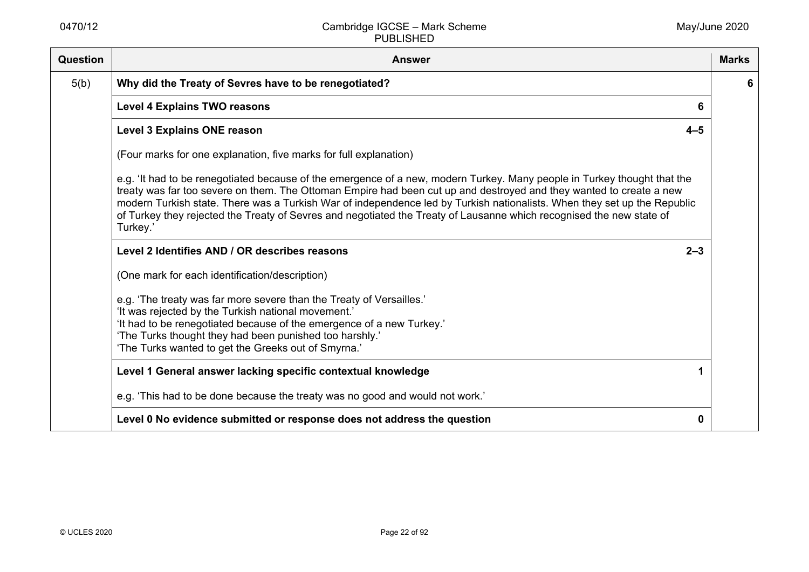| Question | <b>Answer</b>                                                                                                                                                                                                                                                                                                                                                                                                                                                                                                   | <b>Marks</b> |
|----------|-----------------------------------------------------------------------------------------------------------------------------------------------------------------------------------------------------------------------------------------------------------------------------------------------------------------------------------------------------------------------------------------------------------------------------------------------------------------------------------------------------------------|--------------|
| 5(b)     | Why did the Treaty of Sevres have to be renegotiated?                                                                                                                                                                                                                                                                                                                                                                                                                                                           | 6            |
|          | <b>Level 4 Explains TWO reasons</b><br>6                                                                                                                                                                                                                                                                                                                                                                                                                                                                        |              |
|          | <b>Level 3 Explains ONE reason</b><br>$4 - 5$                                                                                                                                                                                                                                                                                                                                                                                                                                                                   |              |
|          | (Four marks for one explanation, five marks for full explanation)                                                                                                                                                                                                                                                                                                                                                                                                                                               |              |
|          | e.g. 'It had to be renegotiated because of the emergence of a new, modern Turkey. Many people in Turkey thought that the<br>treaty was far too severe on them. The Ottoman Empire had been cut up and destroyed and they wanted to create a new<br>modern Turkish state. There was a Turkish War of independence led by Turkish nationalists. When they set up the Republic<br>of Turkey they rejected the Treaty of Sevres and negotiated the Treaty of Lausanne which recognised the new state of<br>Turkey.' |              |
|          | Level 2 Identifies AND / OR describes reasons<br>$2 - 3$                                                                                                                                                                                                                                                                                                                                                                                                                                                        |              |
|          | (One mark for each identification/description)                                                                                                                                                                                                                                                                                                                                                                                                                                                                  |              |
|          | e.g. 'The treaty was far more severe than the Treaty of Versailles.'<br>'It was rejected by the Turkish national movement.'<br>'It had to be renegotiated because of the emergence of a new Turkey.'<br>'The Turks thought they had been punished too harshly.'<br>'The Turks wanted to get the Greeks out of Smyrna.'                                                                                                                                                                                          |              |
|          | Level 1 General answer lacking specific contextual knowledge                                                                                                                                                                                                                                                                                                                                                                                                                                                    |              |
|          | e.g. 'This had to be done because the treaty was no good and would not work.'                                                                                                                                                                                                                                                                                                                                                                                                                                   |              |
|          | Level 0 No evidence submitted or response does not address the question<br>0                                                                                                                                                                                                                                                                                                                                                                                                                                    |              |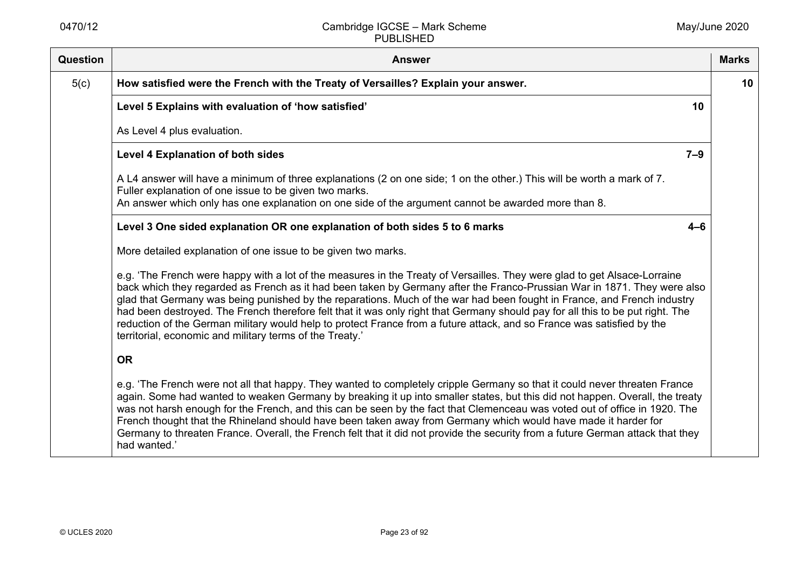| Question | <b>Answer</b>                                                                                                                                                                                                                                                                                                                                                                                                                                                                                                                                                                                                                                                                                            | <b>Marks</b> |
|----------|----------------------------------------------------------------------------------------------------------------------------------------------------------------------------------------------------------------------------------------------------------------------------------------------------------------------------------------------------------------------------------------------------------------------------------------------------------------------------------------------------------------------------------------------------------------------------------------------------------------------------------------------------------------------------------------------------------|--------------|
| 5(c)     | How satisfied were the French with the Treaty of Versailles? Explain your answer.                                                                                                                                                                                                                                                                                                                                                                                                                                                                                                                                                                                                                        | 10           |
|          | Level 5 Explains with evaluation of 'how satisfied'<br>10                                                                                                                                                                                                                                                                                                                                                                                                                                                                                                                                                                                                                                                |              |
|          | As Level 4 plus evaluation.                                                                                                                                                                                                                                                                                                                                                                                                                                                                                                                                                                                                                                                                              |              |
|          | Level 4 Explanation of both sides<br>$7 - 9$                                                                                                                                                                                                                                                                                                                                                                                                                                                                                                                                                                                                                                                             |              |
|          | A L4 answer will have a minimum of three explanations (2 on one side; 1 on the other.) This will be worth a mark of 7.<br>Fuller explanation of one issue to be given two marks.<br>An answer which only has one explanation on one side of the argument cannot be awarded more than 8.                                                                                                                                                                                                                                                                                                                                                                                                                  |              |
|          | Level 3 One sided explanation OR one explanation of both sides 5 to 6 marks<br>$4 - 6$                                                                                                                                                                                                                                                                                                                                                                                                                                                                                                                                                                                                                   |              |
|          | More detailed explanation of one issue to be given two marks.                                                                                                                                                                                                                                                                                                                                                                                                                                                                                                                                                                                                                                            |              |
|          | e.g. 'The French were happy with a lot of the measures in the Treaty of Versailles. They were glad to get Alsace-Lorraine<br>back which they regarded as French as it had been taken by Germany after the Franco-Prussian War in 1871. They were also<br>glad that Germany was being punished by the reparations. Much of the war had been fought in France, and French industry<br>had been destroyed. The French therefore felt that it was only right that Germany should pay for all this to be put right. The<br>reduction of the German military would help to protect France from a future attack, and so France was satisfied by the<br>territorial, economic and military terms of the Treaty.' |              |
|          | <b>OR</b>                                                                                                                                                                                                                                                                                                                                                                                                                                                                                                                                                                                                                                                                                                |              |
|          | e.g. 'The French were not all that happy. They wanted to completely cripple Germany so that it could never threaten France<br>again. Some had wanted to weaken Germany by breaking it up into smaller states, but this did not happen. Overall, the treaty<br>was not harsh enough for the French, and this can be seen by the fact that Clemenceau was voted out of office in 1920. The<br>French thought that the Rhineland should have been taken away from Germany which would have made it harder for<br>Germany to threaten France. Overall, the French felt that it did not provide the security from a future German attack that they<br>had wanted.'                                            |              |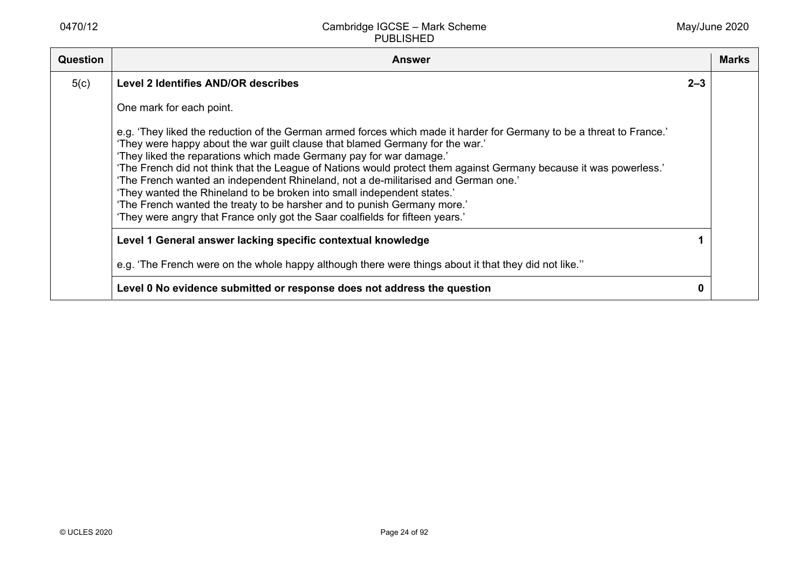| Question | <b>Answer</b>                                                                                                                                                                                                                                                                                                                                                                                                                                                                                                                                                                                                                                                                                                                     |         | <b>Marks</b> |
|----------|-----------------------------------------------------------------------------------------------------------------------------------------------------------------------------------------------------------------------------------------------------------------------------------------------------------------------------------------------------------------------------------------------------------------------------------------------------------------------------------------------------------------------------------------------------------------------------------------------------------------------------------------------------------------------------------------------------------------------------------|---------|--------------|
| 5(c)     | <b>Level 2 Identifies AND/OR describes</b>                                                                                                                                                                                                                                                                                                                                                                                                                                                                                                                                                                                                                                                                                        | $2 - 3$ |              |
|          | One mark for each point.                                                                                                                                                                                                                                                                                                                                                                                                                                                                                                                                                                                                                                                                                                          |         |              |
|          | e.g. 'They liked the reduction of the German armed forces which made it harder for Germany to be a threat to France.'<br>'They were happy about the war guilt clause that blamed Germany for the war.'<br>'They liked the reparations which made Germany pay for war damage.'<br>'The French did not think that the League of Nations would protect them against Germany because it was powerless.'<br>'The French wanted an independent Rhineland, not a de-militarised and German one.'<br>'They wanted the Rhineland to be broken into small independent states.'<br>'The French wanted the treaty to be harsher and to punish Germany more.'<br>'They were angry that France only got the Saar coalfields for fifteen years.' |         |              |
|          | Level 1 General answer lacking specific contextual knowledge                                                                                                                                                                                                                                                                                                                                                                                                                                                                                                                                                                                                                                                                      |         |              |
|          | e.g. 'The French were on the whole happy although there were things about it that they did not like."                                                                                                                                                                                                                                                                                                                                                                                                                                                                                                                                                                                                                             |         |              |
|          | Level 0 No evidence submitted or response does not address the question                                                                                                                                                                                                                                                                                                                                                                                                                                                                                                                                                                                                                                                           |         |              |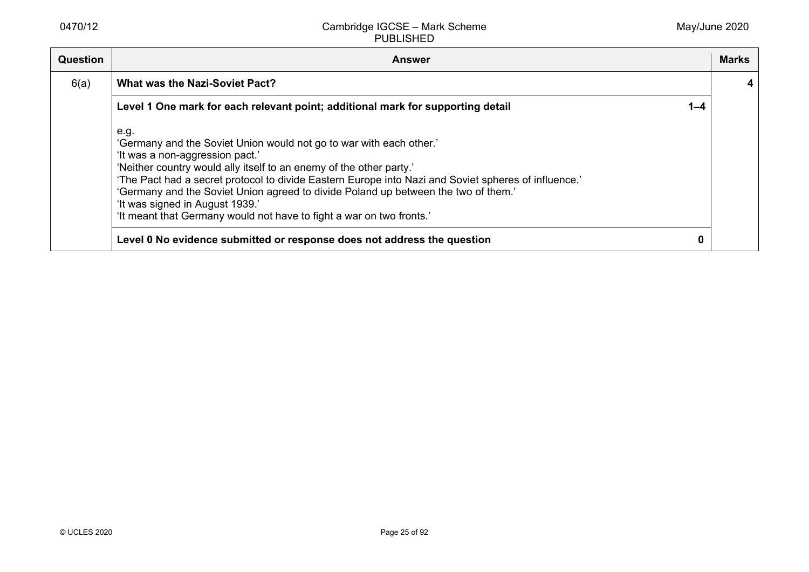| <b>Question</b> | <b>Answer</b>                                                                                                                                                                                                                                                                                                                                                                                                                                                                                  |         | Marks |
|-----------------|------------------------------------------------------------------------------------------------------------------------------------------------------------------------------------------------------------------------------------------------------------------------------------------------------------------------------------------------------------------------------------------------------------------------------------------------------------------------------------------------|---------|-------|
| 6(a)            | <b>What was the Nazi-Soviet Pact?</b>                                                                                                                                                                                                                                                                                                                                                                                                                                                          |         |       |
|                 | Level 1 One mark for each relevant point; additional mark for supporting detail                                                                                                                                                                                                                                                                                                                                                                                                                | $1 - 4$ |       |
|                 | e.g.<br>'Germany and the Soviet Union would not go to war with each other.'<br>'It was a non-aggression pact.'<br>'Neither country would ally itself to an enemy of the other party.'<br>'The Pact had a secret protocol to divide Eastern Europe into Nazi and Soviet spheres of influence.'<br>'Germany and the Soviet Union agreed to divide Poland up between the two of them.'<br>'It was signed in August 1939.'<br>'It meant that Germany would not have to fight a war on two fronts.' |         |       |
|                 | Level 0 No evidence submitted or response does not address the question                                                                                                                                                                                                                                                                                                                                                                                                                        | 0       |       |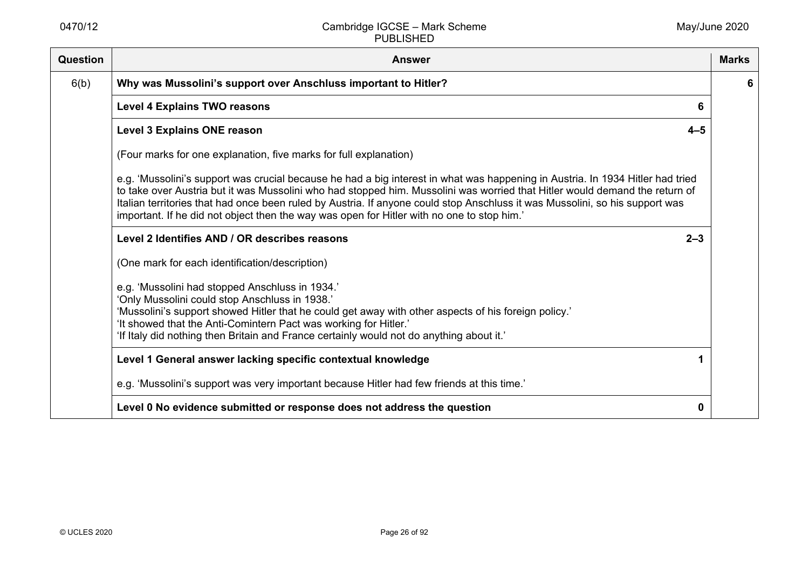| Question | <b>Answer</b>                                                                                                                                                                                                                                                                                                                                                                                                                                                                               | <b>Marks</b> |
|----------|---------------------------------------------------------------------------------------------------------------------------------------------------------------------------------------------------------------------------------------------------------------------------------------------------------------------------------------------------------------------------------------------------------------------------------------------------------------------------------------------|--------------|
| 6(b)     | Why was Mussolini's support over Anschluss important to Hitler?                                                                                                                                                                                                                                                                                                                                                                                                                             | 6            |
|          | <b>Level 4 Explains TWO reasons</b><br>6                                                                                                                                                                                                                                                                                                                                                                                                                                                    |              |
|          | <b>Level 3 Explains ONE reason</b><br>$4 - 5$                                                                                                                                                                                                                                                                                                                                                                                                                                               |              |
|          | (Four marks for one explanation, five marks for full explanation)                                                                                                                                                                                                                                                                                                                                                                                                                           |              |
|          | e.g. 'Mussolini's support was crucial because he had a big interest in what was happening in Austria. In 1934 Hitler had tried<br>to take over Austria but it was Mussolini who had stopped him. Mussolini was worried that Hitler would demand the return of<br>Italian territories that had once been ruled by Austria. If anyone could stop Anschluss it was Mussolini, so his support was<br>important. If he did not object then the way was open for Hitler with no one to stop him.' |              |
|          | Level 2 Identifies AND / OR describes reasons<br>$2 - 3$                                                                                                                                                                                                                                                                                                                                                                                                                                    |              |
|          | (One mark for each identification/description)                                                                                                                                                                                                                                                                                                                                                                                                                                              |              |
|          | e.g. 'Mussolini had stopped Anschluss in 1934.'<br>'Only Mussolini could stop Anschluss in 1938.'<br>'Mussolini's support showed Hitler that he could get away with other aspects of his foreign policy.'<br>'It showed that the Anti-Comintern Pact was working for Hitler.'<br>'If Italy did nothing then Britain and France certainly would not do anything about it.'                                                                                                                   |              |
|          | Level 1 General answer lacking specific contextual knowledge                                                                                                                                                                                                                                                                                                                                                                                                                                |              |
|          | e.g. 'Mussolini's support was very important because Hitler had few friends at this time.'                                                                                                                                                                                                                                                                                                                                                                                                  |              |
|          | Level 0 No evidence submitted or response does not address the question<br>0                                                                                                                                                                                                                                                                                                                                                                                                                |              |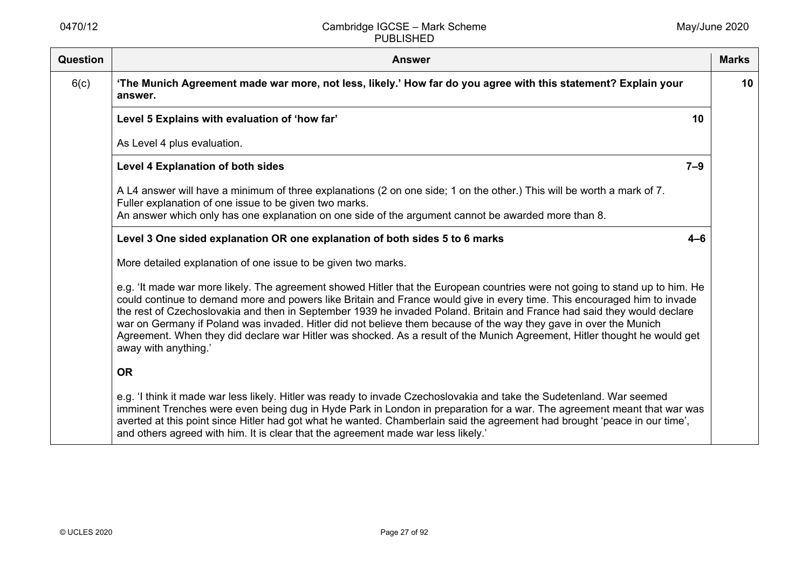| Question | <b>Answer</b>                                                                                                                                                                                                                                                                                                                                                                                                                                                                                                                                                                                                                                                 | <b>Marks</b> |
|----------|---------------------------------------------------------------------------------------------------------------------------------------------------------------------------------------------------------------------------------------------------------------------------------------------------------------------------------------------------------------------------------------------------------------------------------------------------------------------------------------------------------------------------------------------------------------------------------------------------------------------------------------------------------------|--------------|
| 6(c)     | 'The Munich Agreement made war more, not less, likely.' How far do you agree with this statement? Explain your<br>answer.                                                                                                                                                                                                                                                                                                                                                                                                                                                                                                                                     | 10           |
|          | Level 5 Explains with evaluation of 'how far'<br>10                                                                                                                                                                                                                                                                                                                                                                                                                                                                                                                                                                                                           |              |
|          | As Level 4 plus evaluation.                                                                                                                                                                                                                                                                                                                                                                                                                                                                                                                                                                                                                                   |              |
|          | Level 4 Explanation of both sides<br>$7 - 9$                                                                                                                                                                                                                                                                                                                                                                                                                                                                                                                                                                                                                  |              |
|          | A L4 answer will have a minimum of three explanations (2 on one side; 1 on the other.) This will be worth a mark of 7.<br>Fuller explanation of one issue to be given two marks.<br>An answer which only has one explanation on one side of the argument cannot be awarded more than 8.                                                                                                                                                                                                                                                                                                                                                                       |              |
|          | Level 3 One sided explanation OR one explanation of both sides 5 to 6 marks<br>$4 - 6$                                                                                                                                                                                                                                                                                                                                                                                                                                                                                                                                                                        |              |
|          | More detailed explanation of one issue to be given two marks.                                                                                                                                                                                                                                                                                                                                                                                                                                                                                                                                                                                                 |              |
|          | e.g. 'It made war more likely. The agreement showed Hitler that the European countries were not going to stand up to him. He<br>could continue to demand more and powers like Britain and France would give in every time. This encouraged him to invade<br>the rest of Czechoslovakia and then in September 1939 he invaded Poland. Britain and France had said they would declare<br>war on Germany if Poland was invaded. Hitler did not believe them because of the way they gave in over the Munich<br>Agreement. When they did declare war Hitler was shocked. As a result of the Munich Agreement, Hitler thought he would get<br>away with anything.' |              |
|          | <b>OR</b>                                                                                                                                                                                                                                                                                                                                                                                                                                                                                                                                                                                                                                                     |              |
|          | e.g. 'I think it made war less likely. Hitler was ready to invade Czechoslovakia and take the Sudetenland. War seemed<br>imminent Trenches were even being dug in Hyde Park in London in preparation for a war. The agreement meant that war was<br>averted at this point since Hitler had got what he wanted. Chamberlain said the agreement had brought 'peace in our time',<br>and others agreed with him. It is clear that the agreement made war less likely.'                                                                                                                                                                                           |              |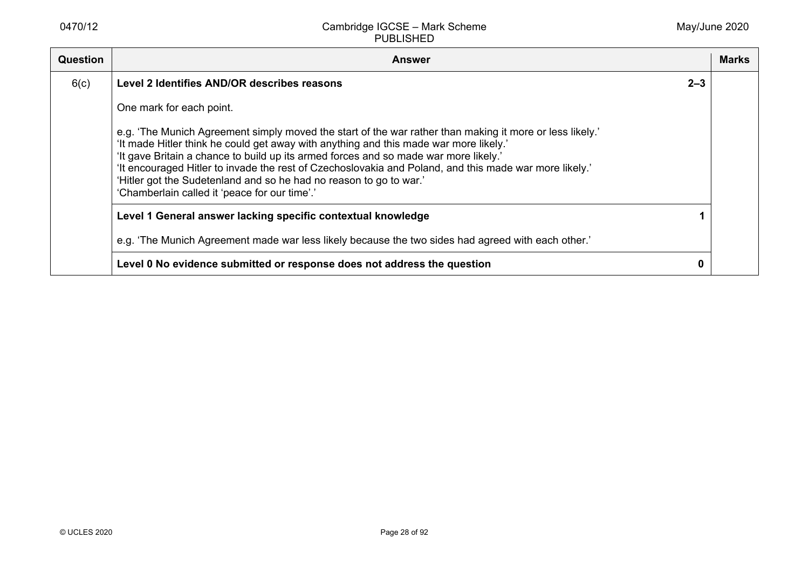| <b>Question</b> | <b>Answer</b>                                                                                                                                                                                                                                                                                                                                                                                                                                                                                                              |         | Marks |
|-----------------|----------------------------------------------------------------------------------------------------------------------------------------------------------------------------------------------------------------------------------------------------------------------------------------------------------------------------------------------------------------------------------------------------------------------------------------------------------------------------------------------------------------------------|---------|-------|
| 6(c)            | Level 2 Identifies AND/OR describes reasons                                                                                                                                                                                                                                                                                                                                                                                                                                                                                | $2 - 3$ |       |
|                 | One mark for each point.                                                                                                                                                                                                                                                                                                                                                                                                                                                                                                   |         |       |
|                 | e.g. 'The Munich Agreement simply moved the start of the war rather than making it more or less likely.'<br>'It made Hitler think he could get away with anything and this made war more likely.'<br>'It gave Britain a chance to build up its armed forces and so made war more likely.'<br>'It encouraged Hitler to invade the rest of Czechoslovakia and Poland, and this made war more likely.'<br>'Hitler got the Sudetenland and so he had no reason to go to war.'<br>'Chamberlain called it 'peace for our time'.' |         |       |
|                 | Level 1 General answer lacking specific contextual knowledge                                                                                                                                                                                                                                                                                                                                                                                                                                                               |         |       |
|                 | e.g. 'The Munich Agreement made war less likely because the two sides had agreed with each other.'                                                                                                                                                                                                                                                                                                                                                                                                                         |         |       |
|                 | Level 0 No evidence submitted or response does not address the question                                                                                                                                                                                                                                                                                                                                                                                                                                                    | 0       |       |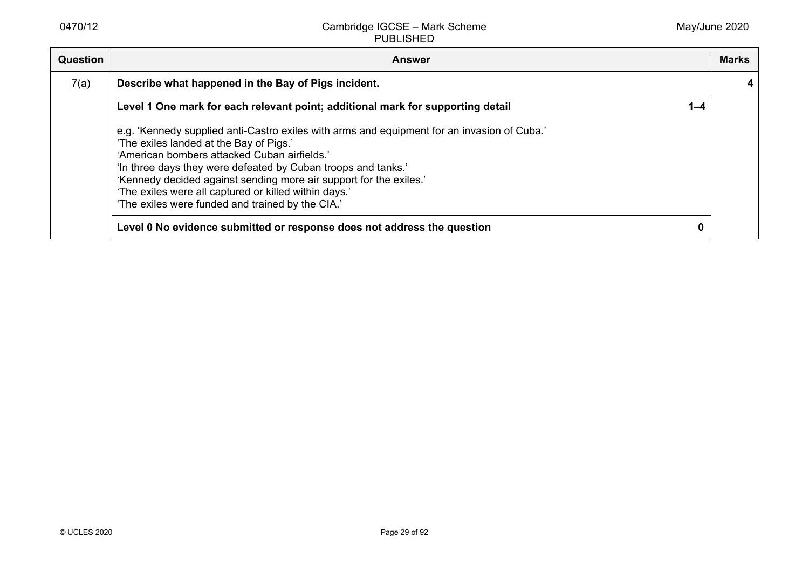| Question | <b>Answer</b>                                                                                                                                                                                                                                                                                                                                                                                                                              |         | <b>Marks</b> |
|----------|--------------------------------------------------------------------------------------------------------------------------------------------------------------------------------------------------------------------------------------------------------------------------------------------------------------------------------------------------------------------------------------------------------------------------------------------|---------|--------------|
| 7(a)     | Describe what happened in the Bay of Pigs incident.                                                                                                                                                                                                                                                                                                                                                                                        |         |              |
|          | Level 1 One mark for each relevant point; additional mark for supporting detail                                                                                                                                                                                                                                                                                                                                                            | $1 - 4$ |              |
|          | e.g. 'Kennedy supplied anti-Castro exiles with arms and equipment for an invasion of Cuba.'<br>'The exiles landed at the Bay of Pigs.'<br>'American bombers attacked Cuban airfields.'<br>'In three days they were defeated by Cuban troops and tanks.'<br>'Kennedy decided against sending more air support for the exiles.'<br>'The exiles were all captured or killed within days.'<br>'The exiles were funded and trained by the CIA.' |         |              |
|          | Level 0 No evidence submitted or response does not address the question                                                                                                                                                                                                                                                                                                                                                                    | 0       |              |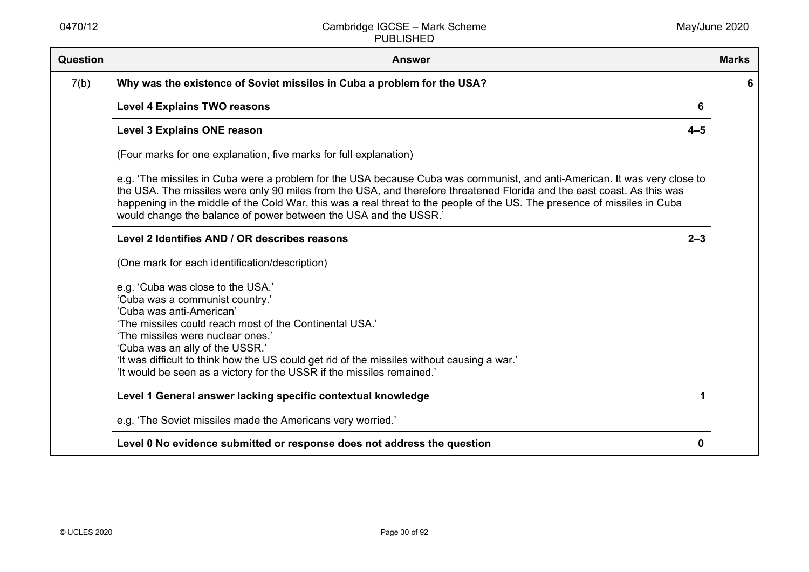| <b>Question</b> | <b>Answer</b>                                                                                                                                                                                                                                                                                                                                                                                                                                         | <b>Marks</b> |
|-----------------|-------------------------------------------------------------------------------------------------------------------------------------------------------------------------------------------------------------------------------------------------------------------------------------------------------------------------------------------------------------------------------------------------------------------------------------------------------|--------------|
| 7(b)            | Why was the existence of Soviet missiles in Cuba a problem for the USA?                                                                                                                                                                                                                                                                                                                                                                               | 6            |
|                 | <b>Level 4 Explains TWO reasons</b><br>6                                                                                                                                                                                                                                                                                                                                                                                                              |              |
|                 | <b>Level 3 Explains ONE reason</b><br>$4 - 5$                                                                                                                                                                                                                                                                                                                                                                                                         |              |
|                 | (Four marks for one explanation, five marks for full explanation)                                                                                                                                                                                                                                                                                                                                                                                     |              |
|                 | e.g. 'The missiles in Cuba were a problem for the USA because Cuba was communist, and anti-American. It was very close to<br>the USA. The missiles were only 90 miles from the USA, and therefore threatened Florida and the east coast. As this was<br>happening in the middle of the Cold War, this was a real threat to the people of the US. The presence of missiles in Cuba<br>would change the balance of power between the USA and the USSR.' |              |
|                 | Level 2 Identifies AND / OR describes reasons<br>$2 - 3$                                                                                                                                                                                                                                                                                                                                                                                              |              |
|                 | (One mark for each identification/description)                                                                                                                                                                                                                                                                                                                                                                                                        |              |
|                 | e.g. 'Cuba was close to the USA.'<br>'Cuba was a communist country.'<br>'Cuba was anti-American'<br>'The missiles could reach most of the Continental USA.'<br>'The missiles were nuclear ones.'<br>'Cuba was an ally of the USSR.'<br>'It was difficult to think how the US could get rid of the missiles without causing a war.'<br>'It would be seen as a victory for the USSR if the missiles remained.'                                          |              |
|                 | Level 1 General answer lacking specific contextual knowledge                                                                                                                                                                                                                                                                                                                                                                                          |              |
|                 | e.g. 'The Soviet missiles made the Americans very worried.'                                                                                                                                                                                                                                                                                                                                                                                           |              |
|                 | Level 0 No evidence submitted or response does not address the question<br>0                                                                                                                                                                                                                                                                                                                                                                          |              |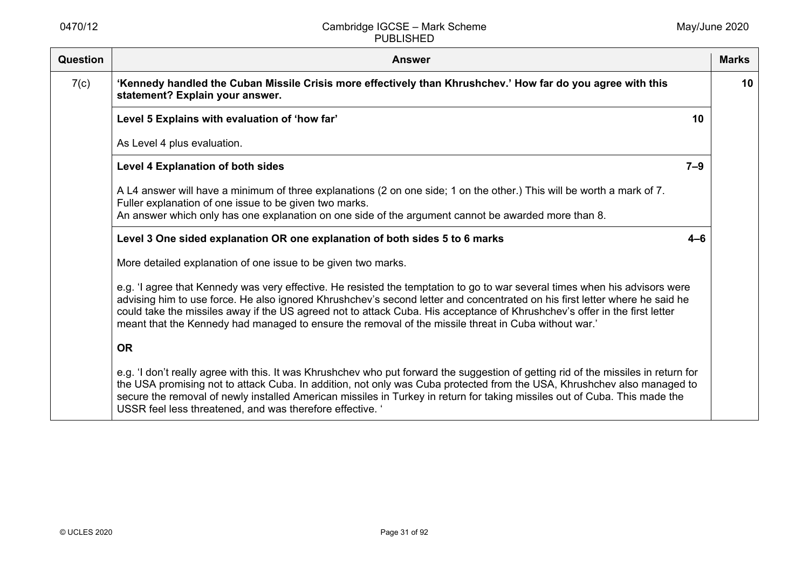| Question | <b>Answer</b>                                                                                                                                                                                                                                                                                                                                                                                                                                                                                    | <b>Marks</b> |
|----------|--------------------------------------------------------------------------------------------------------------------------------------------------------------------------------------------------------------------------------------------------------------------------------------------------------------------------------------------------------------------------------------------------------------------------------------------------------------------------------------------------|--------------|
| 7(c)     | 'Kennedy handled the Cuban Missile Crisis more effectively than Khrushchev.' How far do you agree with this<br>statement? Explain your answer.                                                                                                                                                                                                                                                                                                                                                   | 10           |
|          | Level 5 Explains with evaluation of 'how far'<br>10                                                                                                                                                                                                                                                                                                                                                                                                                                              |              |
|          | As Level 4 plus evaluation.                                                                                                                                                                                                                                                                                                                                                                                                                                                                      |              |
|          | $7 - 9$<br><b>Level 4 Explanation of both sides</b>                                                                                                                                                                                                                                                                                                                                                                                                                                              |              |
|          | A L4 answer will have a minimum of three explanations (2 on one side; 1 on the other.) This will be worth a mark of 7.<br>Fuller explanation of one issue to be given two marks.<br>An answer which only has one explanation on one side of the argument cannot be awarded more than 8.                                                                                                                                                                                                          |              |
|          | Level 3 One sided explanation OR one explanation of both sides 5 to 6 marks<br>$4 - 6$                                                                                                                                                                                                                                                                                                                                                                                                           |              |
|          | More detailed explanation of one issue to be given two marks.                                                                                                                                                                                                                                                                                                                                                                                                                                    |              |
|          | e.g. 'I agree that Kennedy was very effective. He resisted the temptation to go to war several times when his advisors were<br>advising him to use force. He also ignored Khrushchev's second letter and concentrated on his first letter where he said he<br>could take the missiles away if the US agreed not to attack Cuba. His acceptance of Khrushchev's offer in the first letter<br>meant that the Kennedy had managed to ensure the removal of the missile threat in Cuba without war.' |              |
|          | <b>OR</b>                                                                                                                                                                                                                                                                                                                                                                                                                                                                                        |              |
|          | e.g. 'I don't really agree with this. It was Khrushchev who put forward the suggestion of getting rid of the missiles in return for<br>the USA promising not to attack Cuba. In addition, not only was Cuba protected from the USA, Khrushchev also managed to<br>secure the removal of newly installed American missiles in Turkey in return for taking missiles out of Cuba. This made the<br>USSR feel less threatened, and was therefore effective.                                          |              |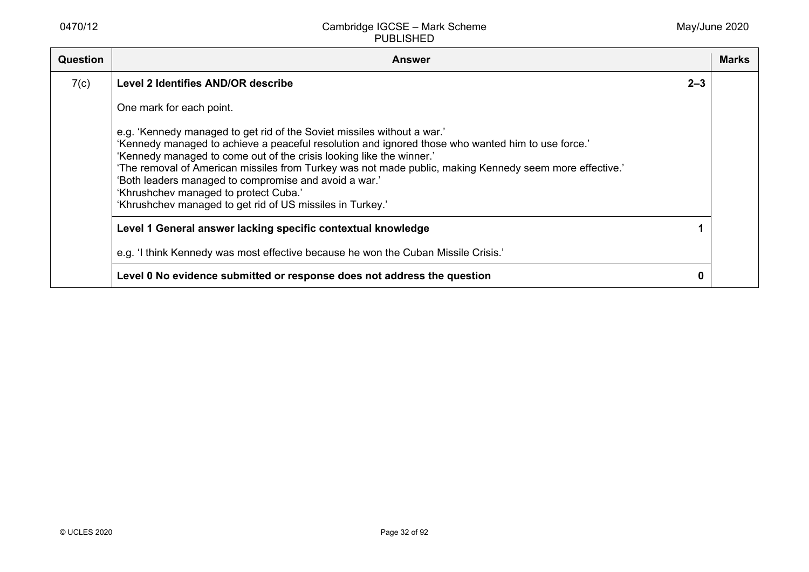| <b>Question</b> | <b>Answer</b>                                                                                                                                                                                                                                                                                                                                                                                                                                                                                                                  |         | Marks |
|-----------------|--------------------------------------------------------------------------------------------------------------------------------------------------------------------------------------------------------------------------------------------------------------------------------------------------------------------------------------------------------------------------------------------------------------------------------------------------------------------------------------------------------------------------------|---------|-------|
| 7(c)            | Level 2 Identifies AND/OR describe                                                                                                                                                                                                                                                                                                                                                                                                                                                                                             | $2 - 3$ |       |
|                 | One mark for each point.                                                                                                                                                                                                                                                                                                                                                                                                                                                                                                       |         |       |
|                 | e.g. 'Kennedy managed to get rid of the Soviet missiles without a war.'<br>'Kennedy managed to achieve a peaceful resolution and ignored those who wanted him to use force.'<br>'Kennedy managed to come out of the crisis looking like the winner.'<br>'The removal of American missiles from Turkey was not made public, making Kennedy seem more effective.'<br>'Both leaders managed to compromise and avoid a war.'<br>'Khrushchev managed to protect Cuba.'<br>'Khrushchev managed to get rid of US missiles in Turkey.' |         |       |
|                 | Level 1 General answer lacking specific contextual knowledge                                                                                                                                                                                                                                                                                                                                                                                                                                                                   |         |       |
|                 | e.g. 'I think Kennedy was most effective because he won the Cuban Missile Crisis.'                                                                                                                                                                                                                                                                                                                                                                                                                                             |         |       |
|                 | Level 0 No evidence submitted or response does not address the question                                                                                                                                                                                                                                                                                                                                                                                                                                                        | 0       |       |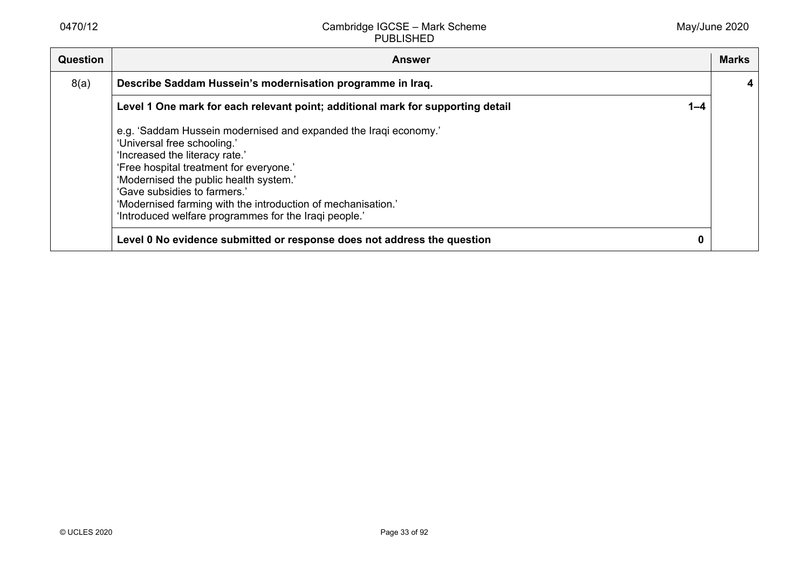| Question | <b>Answer</b>                                                                                                                                                                                                                                                                                                                                                                   | <b>Marks</b> |
|----------|---------------------------------------------------------------------------------------------------------------------------------------------------------------------------------------------------------------------------------------------------------------------------------------------------------------------------------------------------------------------------------|--------------|
| 8(a)     | Describe Saddam Hussein's modernisation programme in Iraq.                                                                                                                                                                                                                                                                                                                      |              |
|          | Level 1 One mark for each relevant point; additional mark for supporting detail<br>$1 - 4$                                                                                                                                                                                                                                                                                      |              |
|          | e.g. 'Saddam Hussein modernised and expanded the Iraqi economy.'<br>'Universal free schooling.'<br>'Increased the literacy rate.'<br>'Free hospital treatment for everyone.'<br>'Modernised the public health system.'<br>'Gave subsidies to farmers.'<br>'Modernised farming with the introduction of mechanisation.'<br>'Introduced welfare programmes for the Iraqi people.' |              |
|          | Level 0 No evidence submitted or response does not address the question<br>0                                                                                                                                                                                                                                                                                                    |              |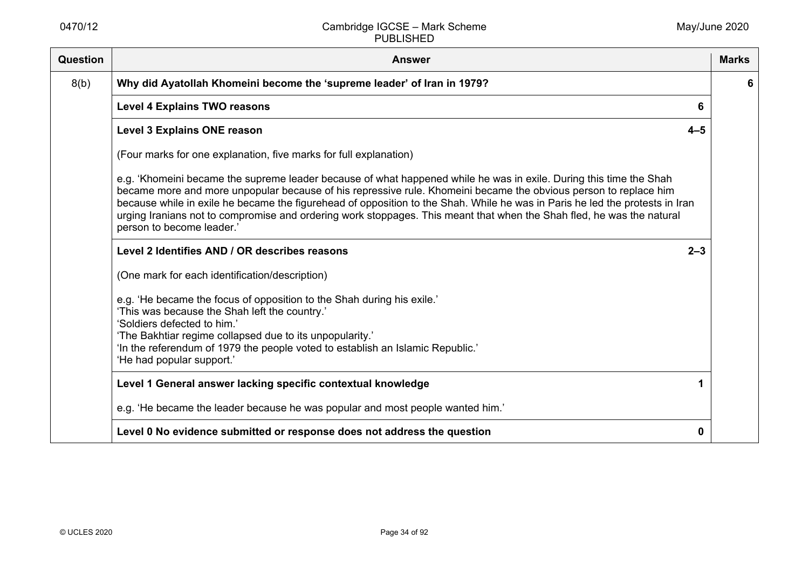| <b>Question</b> | <b>Answer</b>                                                                                                                                                                                                                                                                                                                                                                                                                                                                                                                | <b>Marks</b> |
|-----------------|------------------------------------------------------------------------------------------------------------------------------------------------------------------------------------------------------------------------------------------------------------------------------------------------------------------------------------------------------------------------------------------------------------------------------------------------------------------------------------------------------------------------------|--------------|
| 8(b)            | Why did Ayatollah Khomeini become the 'supreme leader' of Iran in 1979?                                                                                                                                                                                                                                                                                                                                                                                                                                                      | 6            |
|                 | <b>Level 4 Explains TWO reasons</b><br>6                                                                                                                                                                                                                                                                                                                                                                                                                                                                                     |              |
|                 | Level 3 Explains ONE reason<br>$4 - 5$                                                                                                                                                                                                                                                                                                                                                                                                                                                                                       |              |
|                 | (Four marks for one explanation, five marks for full explanation)                                                                                                                                                                                                                                                                                                                                                                                                                                                            |              |
|                 | e.g. 'Khomeini became the supreme leader because of what happened while he was in exile. During this time the Shah<br>became more and more unpopular because of his repressive rule. Khomeini became the obvious person to replace him<br>because while in exile he became the figurehead of opposition to the Shah. While he was in Paris he led the protests in Iran<br>urging Iranians not to compromise and ordering work stoppages. This meant that when the Shah fled, he was the natural<br>person to become leader.' |              |
|                 | Level 2 Identifies AND / OR describes reasons<br>$2 - 3$                                                                                                                                                                                                                                                                                                                                                                                                                                                                     |              |
|                 | (One mark for each identification/description)                                                                                                                                                                                                                                                                                                                                                                                                                                                                               |              |
|                 | e.g. 'He became the focus of opposition to the Shah during his exile.'<br>'This was because the Shah left the country.'<br>'Soldiers defected to him.'<br>'The Bakhtiar regime collapsed due to its unpopularity.'<br>'In the referendum of 1979 the people voted to establish an Islamic Republic.'<br>'He had popular support.'                                                                                                                                                                                            |              |
|                 | Level 1 General answer lacking specific contextual knowledge                                                                                                                                                                                                                                                                                                                                                                                                                                                                 |              |
|                 | e.g. 'He became the leader because he was popular and most people wanted him.'                                                                                                                                                                                                                                                                                                                                                                                                                                               |              |
|                 | Level 0 No evidence submitted or response does not address the question<br>0                                                                                                                                                                                                                                                                                                                                                                                                                                                 |              |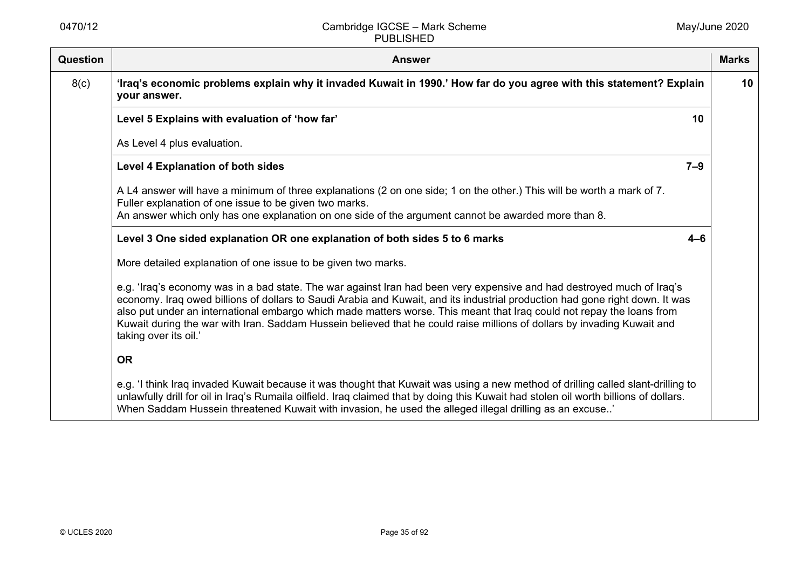| Question | <b>Answer</b>                                                                                                                                                                                                                                                                                                                                                                                                                                                                                                                       | <b>Marks</b> |
|----------|-------------------------------------------------------------------------------------------------------------------------------------------------------------------------------------------------------------------------------------------------------------------------------------------------------------------------------------------------------------------------------------------------------------------------------------------------------------------------------------------------------------------------------------|--------------|
| 8(c)     | 'Iraq's economic problems explain why it invaded Kuwait in 1990.' How far do you agree with this statement? Explain<br>your answer.                                                                                                                                                                                                                                                                                                                                                                                                 | 10           |
|          | Level 5 Explains with evaluation of 'how far'<br>10                                                                                                                                                                                                                                                                                                                                                                                                                                                                                 |              |
|          | As Level 4 plus evaluation.                                                                                                                                                                                                                                                                                                                                                                                                                                                                                                         |              |
|          | $7-9$<br>Level 4 Explanation of both sides                                                                                                                                                                                                                                                                                                                                                                                                                                                                                          |              |
|          | A L4 answer will have a minimum of three explanations (2 on one side; 1 on the other.) This will be worth a mark of 7.<br>Fuller explanation of one issue to be given two marks.                                                                                                                                                                                                                                                                                                                                                    |              |
|          | An answer which only has one explanation on one side of the argument cannot be awarded more than 8.                                                                                                                                                                                                                                                                                                                                                                                                                                 |              |
|          | Level 3 One sided explanation OR one explanation of both sides 5 to 6 marks<br>$4 - 6$                                                                                                                                                                                                                                                                                                                                                                                                                                              |              |
|          | More detailed explanation of one issue to be given two marks.                                                                                                                                                                                                                                                                                                                                                                                                                                                                       |              |
|          | e.g. 'Iraq's economy was in a bad state. The war against Iran had been very expensive and had destroyed much of Iraq's<br>economy. Iraq owed billions of dollars to Saudi Arabia and Kuwait, and its industrial production had gone right down. It was<br>also put under an international embargo which made matters worse. This meant that Iraq could not repay the loans from<br>Kuwait during the war with Iran. Saddam Hussein believed that he could raise millions of dollars by invading Kuwait and<br>taking over its oil.' |              |
|          | <b>OR</b>                                                                                                                                                                                                                                                                                                                                                                                                                                                                                                                           |              |
|          | e.g. 'I think Iraq invaded Kuwait because it was thought that Kuwait was using a new method of drilling called slant-drilling to<br>unlawfully drill for oil in Iraq's Rumaila oilfield. Iraq claimed that by doing this Kuwait had stolen oil worth billions of dollars.<br>When Saddam Hussein threatened Kuwait with invasion, he used the alleged illegal drilling as an excuse'                                                                                                                                                |              |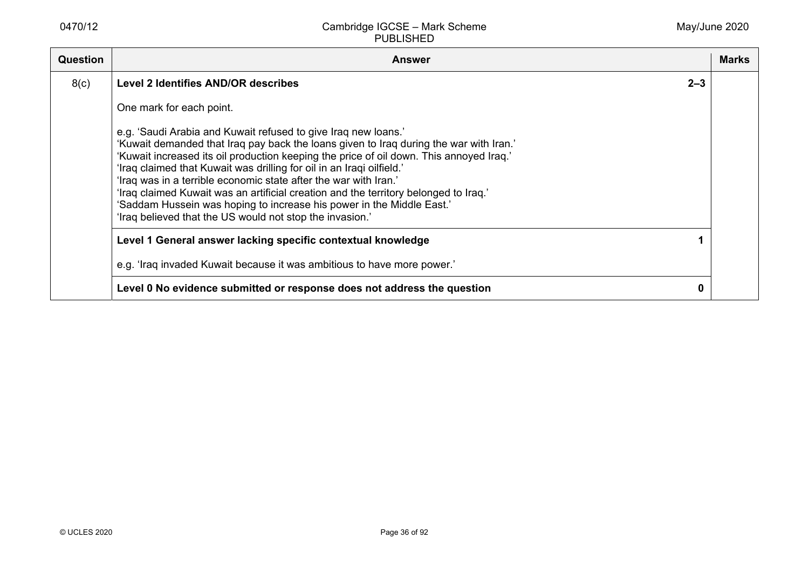| <b>Question</b> | <b>Answer</b>                                                                                                                                                                                                                                                                                                                                                                                                                                                                                                                                                                                                                 | <b>Marks</b> |
|-----------------|-------------------------------------------------------------------------------------------------------------------------------------------------------------------------------------------------------------------------------------------------------------------------------------------------------------------------------------------------------------------------------------------------------------------------------------------------------------------------------------------------------------------------------------------------------------------------------------------------------------------------------|--------------|
| 8(c)            | $2 - 3$<br>Level 2 Identifies AND/OR describes                                                                                                                                                                                                                                                                                                                                                                                                                                                                                                                                                                                |              |
|                 | One mark for each point.                                                                                                                                                                                                                                                                                                                                                                                                                                                                                                                                                                                                      |              |
|                 | e.g. 'Saudi Arabia and Kuwait refused to give Iraq new loans.'<br>'Kuwait demanded that Iraq pay back the loans given to Iraq during the war with Iran.'<br>'Kuwait increased its oil production keeping the price of oil down. This annoyed Iraq.'<br>'Iraq claimed that Kuwait was drilling for oil in an Iraqi oilfield.'<br>'Iraq was in a terrible economic state after the war with Iran.'<br>'Iraq claimed Kuwait was an artificial creation and the territory belonged to Iraq.'<br>'Saddam Hussein was hoping to increase his power in the Middle East.'<br>'Iraq believed that the US would not stop the invasion.' |              |
|                 | Level 1 General answer lacking specific contextual knowledge                                                                                                                                                                                                                                                                                                                                                                                                                                                                                                                                                                  |              |
|                 | e.g. 'Iraq invaded Kuwait because it was ambitious to have more power.'                                                                                                                                                                                                                                                                                                                                                                                                                                                                                                                                                       |              |
|                 | Level 0 No evidence submitted or response does not address the question                                                                                                                                                                                                                                                                                                                                                                                                                                                                                                                                                       |              |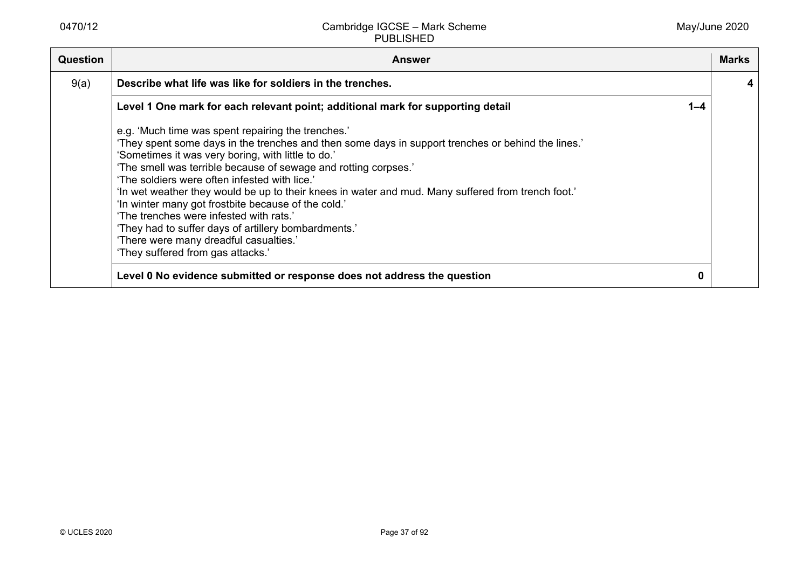|      | <b>Answer</b>                                                                                                                                                                                                                                                                                                                                                                                                                                                                                                                                                                                                                                                                                                                                                |         | <b>Marks</b> |
|------|--------------------------------------------------------------------------------------------------------------------------------------------------------------------------------------------------------------------------------------------------------------------------------------------------------------------------------------------------------------------------------------------------------------------------------------------------------------------------------------------------------------------------------------------------------------------------------------------------------------------------------------------------------------------------------------------------------------------------------------------------------------|---------|--------------|
| 9(a) | Describe what life was like for soldiers in the trenches.                                                                                                                                                                                                                                                                                                                                                                                                                                                                                                                                                                                                                                                                                                    |         |              |
|      | Level 1 One mark for each relevant point; additional mark for supporting detail                                                                                                                                                                                                                                                                                                                                                                                                                                                                                                                                                                                                                                                                              | $1 - 4$ |              |
|      | e.g. 'Much time was spent repairing the trenches.'<br>'They spent some days in the trenches and then some days in support trenches or behind the lines.'<br>'Sometimes it was very boring, with little to do.'<br>'The smell was terrible because of sewage and rotting corpses.'<br>'The soldiers were often infested with lice.'<br>'In wet weather they would be up to their knees in water and mud. Many suffered from trench foot.'<br>'In winter many got frostbite because of the cold.'<br>'The trenches were infested with rats.'<br>'They had to suffer days of artillery bombardments.'<br>'There were many dreadful casualties.'<br>'They suffered from gas attacks.'<br>Level 0 No evidence submitted or response does not address the question |         |              |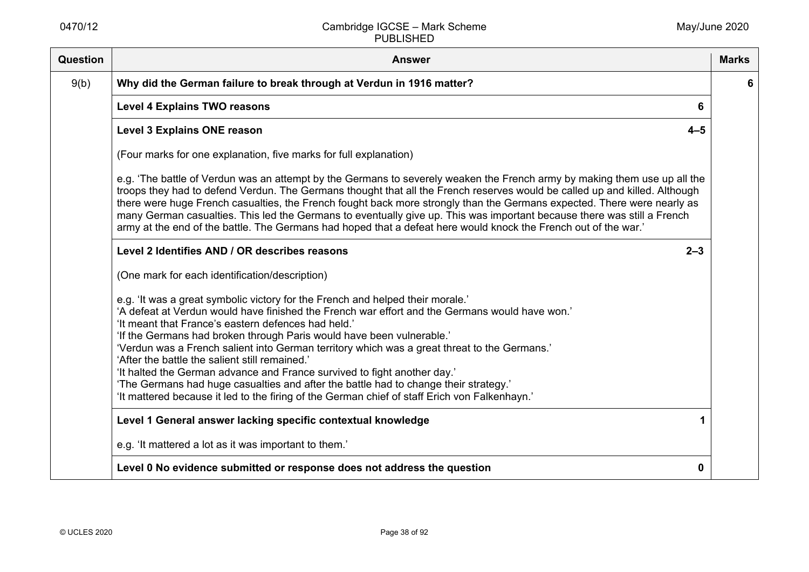| Question | <b>Answer</b>                                                                                                                                                                                                                                                                                                                                                                                                                                                                                                                                                                                                                                                                                                                           | <b>Marks</b> |
|----------|-----------------------------------------------------------------------------------------------------------------------------------------------------------------------------------------------------------------------------------------------------------------------------------------------------------------------------------------------------------------------------------------------------------------------------------------------------------------------------------------------------------------------------------------------------------------------------------------------------------------------------------------------------------------------------------------------------------------------------------------|--------------|
| 9(b)     | Why did the German failure to break through at Verdun in 1916 matter?                                                                                                                                                                                                                                                                                                                                                                                                                                                                                                                                                                                                                                                                   | 6            |
|          | <b>Level 4 Explains TWO reasons</b><br>6                                                                                                                                                                                                                                                                                                                                                                                                                                                                                                                                                                                                                                                                                                |              |
|          | <b>Level 3 Explains ONE reason</b><br>$4 - 5$                                                                                                                                                                                                                                                                                                                                                                                                                                                                                                                                                                                                                                                                                           |              |
|          | (Four marks for one explanation, five marks for full explanation)                                                                                                                                                                                                                                                                                                                                                                                                                                                                                                                                                                                                                                                                       |              |
|          | e.g. 'The battle of Verdun was an attempt by the Germans to severely weaken the French army by making them use up all the<br>troops they had to defend Verdun. The Germans thought that all the French reserves would be called up and killed. Although<br>there were huge French casualties, the French fought back more strongly than the Germans expected. There were nearly as<br>many German casualties. This led the Germans to eventually give up. This was important because there was still a French<br>army at the end of the battle. The Germans had hoped that a defeat here would knock the French out of the war.'                                                                                                        |              |
|          | Level 2 Identifies AND / OR describes reasons<br>$2 - 3$                                                                                                                                                                                                                                                                                                                                                                                                                                                                                                                                                                                                                                                                                |              |
|          | (One mark for each identification/description)                                                                                                                                                                                                                                                                                                                                                                                                                                                                                                                                                                                                                                                                                          |              |
|          | e.g. 'It was a great symbolic victory for the French and helped their morale.'<br>'A defeat at Verdun would have finished the French war effort and the Germans would have won.'<br>'It meant that France's eastern defences had held.'<br>'If the Germans had broken through Paris would have been vulnerable.'<br>'Verdun was a French salient into German territory which was a great threat to the Germans.'<br>'After the battle the salient still remained.'<br>'It halted the German advance and France survived to fight another day.'<br>'The Germans had huge casualties and after the battle had to change their strategy.'<br>'It mattered because it led to the firing of the German chief of staff Erich von Falkenhayn.' |              |
|          | Level 1 General answer lacking specific contextual knowledge<br>1                                                                                                                                                                                                                                                                                                                                                                                                                                                                                                                                                                                                                                                                       |              |
|          | e.g. 'It mattered a lot as it was important to them.'                                                                                                                                                                                                                                                                                                                                                                                                                                                                                                                                                                                                                                                                                   |              |
|          | Level 0 No evidence submitted or response does not address the question<br>0                                                                                                                                                                                                                                                                                                                                                                                                                                                                                                                                                                                                                                                            |              |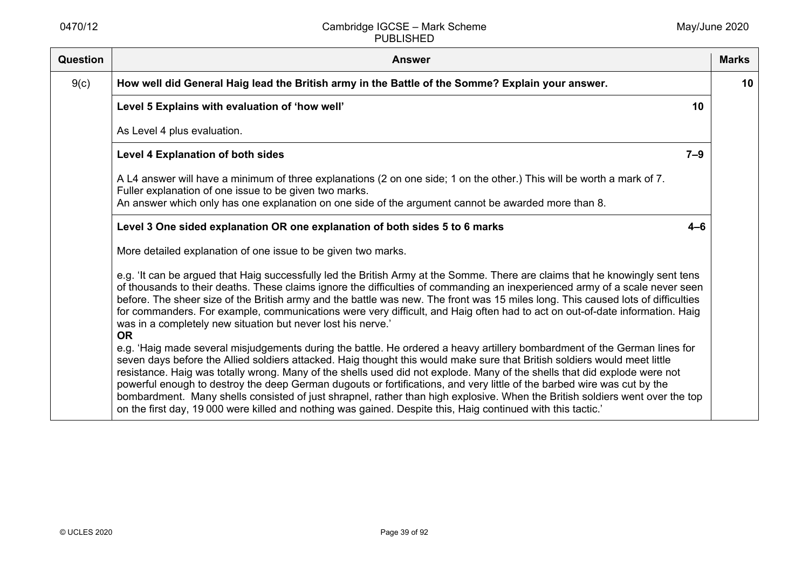| Question | <b>Answer</b>                                                                                                                                                                                                                                                                                                                                                                                                                                                                                                                                                                                                                                                                                                                                                  | <b>Marks</b> |
|----------|----------------------------------------------------------------------------------------------------------------------------------------------------------------------------------------------------------------------------------------------------------------------------------------------------------------------------------------------------------------------------------------------------------------------------------------------------------------------------------------------------------------------------------------------------------------------------------------------------------------------------------------------------------------------------------------------------------------------------------------------------------------|--------------|
| 9(c)     | How well did General Haig lead the British army in the Battle of the Somme? Explain your answer.                                                                                                                                                                                                                                                                                                                                                                                                                                                                                                                                                                                                                                                               | 10           |
|          | Level 5 Explains with evaluation of 'how well'<br>10                                                                                                                                                                                                                                                                                                                                                                                                                                                                                                                                                                                                                                                                                                           |              |
|          | As Level 4 plus evaluation.                                                                                                                                                                                                                                                                                                                                                                                                                                                                                                                                                                                                                                                                                                                                    |              |
|          | $7 - 9$<br><b>Level 4 Explanation of both sides</b>                                                                                                                                                                                                                                                                                                                                                                                                                                                                                                                                                                                                                                                                                                            |              |
|          | A L4 answer will have a minimum of three explanations (2 on one side; 1 on the other.) This will be worth a mark of 7.<br>Fuller explanation of one issue to be given two marks.<br>An answer which only has one explanation on one side of the argument cannot be awarded more than 8.                                                                                                                                                                                                                                                                                                                                                                                                                                                                        |              |
|          | Level 3 One sided explanation OR one explanation of both sides 5 to 6 marks<br>$4 - 6$                                                                                                                                                                                                                                                                                                                                                                                                                                                                                                                                                                                                                                                                         |              |
|          | More detailed explanation of one issue to be given two marks.                                                                                                                                                                                                                                                                                                                                                                                                                                                                                                                                                                                                                                                                                                  |              |
|          | e.g. 'It can be argued that Haig successfully led the British Army at the Somme. There are claims that he knowingly sent tens<br>of thousands to their deaths. These claims ignore the difficulties of commanding an inexperienced army of a scale never seen<br>before. The sheer size of the British army and the battle was new. The front was 15 miles long. This caused lots of difficulties<br>for commanders. For example, communications were very difficult, and Haig often had to act on out-of-date information. Haig<br>was in a completely new situation but never lost his nerve.'<br><b>OR</b>                                                                                                                                                  |              |
|          | e.g. 'Haig made several misjudgements during the battle. He ordered a heavy artillery bombardment of the German lines for<br>seven days before the Allied soldiers attacked. Haig thought this would make sure that British soldiers would meet little<br>resistance. Haig was totally wrong. Many of the shells used did not explode. Many of the shells that did explode were not<br>powerful enough to destroy the deep German dugouts or fortifications, and very little of the barbed wire was cut by the<br>bombardment. Many shells consisted of just shrapnel, rather than high explosive. When the British soldiers went over the top<br>on the first day, 19 000 were killed and nothing was gained. Despite this, Haig continued with this tactic.' |              |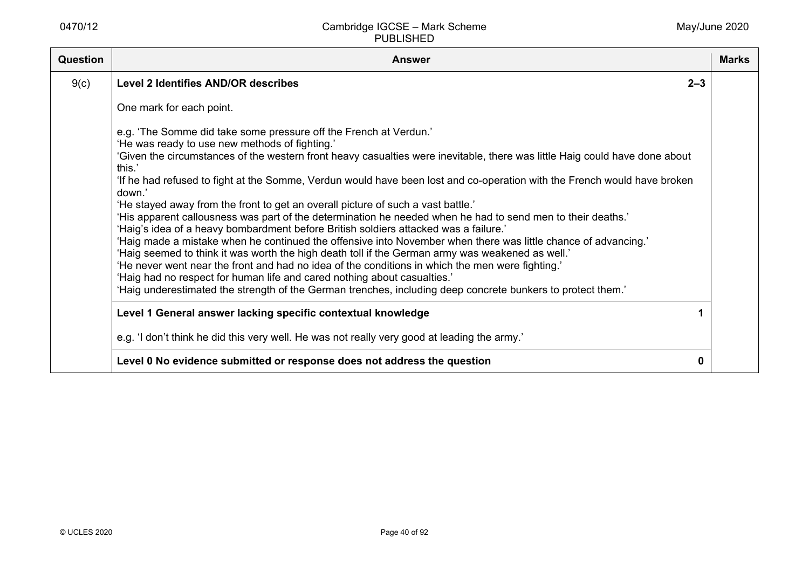| Question | <b>Answer</b>                                                                                                                                                                                                                                                                                                                                                                                                                                                                                                                                                                                                                                                                                                                                                                                                                                                                                                                                                                                                                                                                                                                                                                                                     | <b>Marks</b> |
|----------|-------------------------------------------------------------------------------------------------------------------------------------------------------------------------------------------------------------------------------------------------------------------------------------------------------------------------------------------------------------------------------------------------------------------------------------------------------------------------------------------------------------------------------------------------------------------------------------------------------------------------------------------------------------------------------------------------------------------------------------------------------------------------------------------------------------------------------------------------------------------------------------------------------------------------------------------------------------------------------------------------------------------------------------------------------------------------------------------------------------------------------------------------------------------------------------------------------------------|--------------|
| 9(c)     | <b>Level 2 Identifies AND/OR describes</b><br>$2 - 3$                                                                                                                                                                                                                                                                                                                                                                                                                                                                                                                                                                                                                                                                                                                                                                                                                                                                                                                                                                                                                                                                                                                                                             |              |
|          | One mark for each point.                                                                                                                                                                                                                                                                                                                                                                                                                                                                                                                                                                                                                                                                                                                                                                                                                                                                                                                                                                                                                                                                                                                                                                                          |              |
|          | e.g. 'The Somme did take some pressure off the French at Verdun.'<br>'He was ready to use new methods of fighting.'<br>'Given the circumstances of the western front heavy casualties were inevitable, there was little Haig could have done about<br>this.'<br>If he had refused to fight at the Somme, Verdun would have been lost and co-operation with the French would have broken<br>down.'<br>'He stayed away from the front to get an overall picture of such a vast battle.'<br>'His apparent callousness was part of the determination he needed when he had to send men to their deaths.'<br>'Haig's idea of a heavy bombardment before British soldiers attacked was a failure.'<br>'Haig made a mistake when he continued the offensive into November when there was little chance of advancing.'<br>'Haig seemed to think it was worth the high death toll if the German army was weakened as well.'<br>'He never went near the front and had no idea of the conditions in which the men were fighting.'<br>'Haig had no respect for human life and cared nothing about casualties.'<br>'Haig underestimated the strength of the German trenches, including deep concrete bunkers to protect them.' |              |
|          | Level 1 General answer lacking specific contextual knowledge                                                                                                                                                                                                                                                                                                                                                                                                                                                                                                                                                                                                                                                                                                                                                                                                                                                                                                                                                                                                                                                                                                                                                      |              |
|          | e.g. 'I don't think he did this very well. He was not really very good at leading the army.'                                                                                                                                                                                                                                                                                                                                                                                                                                                                                                                                                                                                                                                                                                                                                                                                                                                                                                                                                                                                                                                                                                                      |              |
|          | Level 0 No evidence submitted or response does not address the question<br>0                                                                                                                                                                                                                                                                                                                                                                                                                                                                                                                                                                                                                                                                                                                                                                                                                                                                                                                                                                                                                                                                                                                                      |              |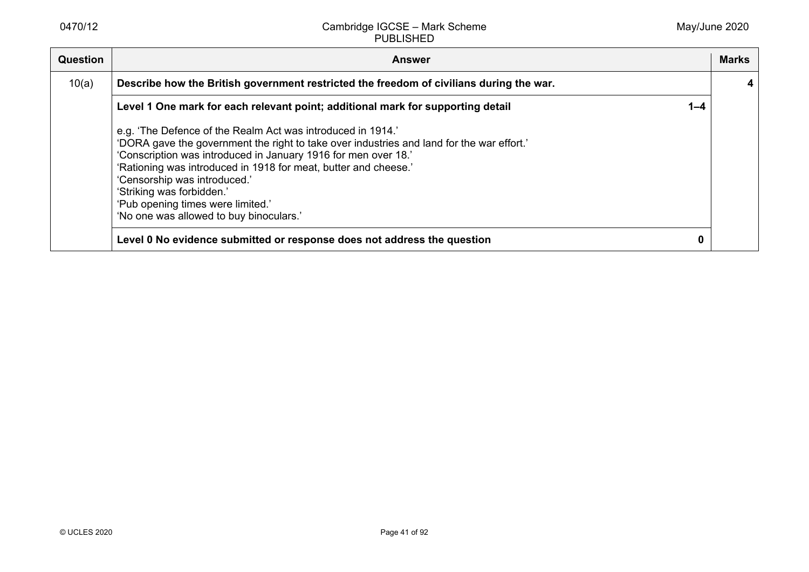| <b>Question</b> | <b>Answer</b>                                                                                                                                                                                                                                                                                                                                                                                                                              |         | Marks |
|-----------------|--------------------------------------------------------------------------------------------------------------------------------------------------------------------------------------------------------------------------------------------------------------------------------------------------------------------------------------------------------------------------------------------------------------------------------------------|---------|-------|
| 10(a)           | Describe how the British government restricted the freedom of civilians during the war.                                                                                                                                                                                                                                                                                                                                                    |         |       |
|                 | Level 1 One mark for each relevant point; additional mark for supporting detail                                                                                                                                                                                                                                                                                                                                                            | $1 - 4$ |       |
|                 | e.g. 'The Defence of the Realm Act was introduced in 1914.'<br>'DORA gave the government the right to take over industries and land for the war effort.'<br>'Conscription was introduced in January 1916 for men over 18.'<br>'Rationing was introduced in 1918 for meat, butter and cheese.'<br>'Censorship was introduced.'<br>'Striking was forbidden.'<br>'Pub opening times were limited.'<br>'No one was allowed to buy binoculars.' |         |       |
|                 | Level 0 No evidence submitted or response does not address the question                                                                                                                                                                                                                                                                                                                                                                    | 0       |       |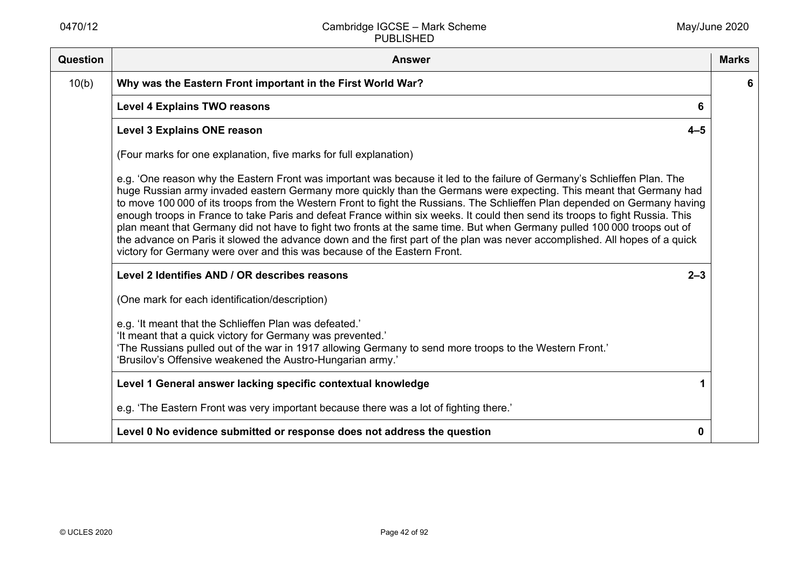| Question | <b>Answer</b>                                                                                                                                                                                                                                                                                                                                                                                                                                                                                                                                                                                                                                                                                                                                                                                                                                         | <b>Marks</b> |
|----------|-------------------------------------------------------------------------------------------------------------------------------------------------------------------------------------------------------------------------------------------------------------------------------------------------------------------------------------------------------------------------------------------------------------------------------------------------------------------------------------------------------------------------------------------------------------------------------------------------------------------------------------------------------------------------------------------------------------------------------------------------------------------------------------------------------------------------------------------------------|--------------|
| 10(b)    | Why was the Eastern Front important in the First World War?                                                                                                                                                                                                                                                                                                                                                                                                                                                                                                                                                                                                                                                                                                                                                                                           | 6            |
|          | <b>Level 4 Explains TWO reasons</b><br>6                                                                                                                                                                                                                                                                                                                                                                                                                                                                                                                                                                                                                                                                                                                                                                                                              |              |
|          | <b>Level 3 Explains ONE reason</b><br>$4 - 5$                                                                                                                                                                                                                                                                                                                                                                                                                                                                                                                                                                                                                                                                                                                                                                                                         |              |
|          | (Four marks for one explanation, five marks for full explanation)                                                                                                                                                                                                                                                                                                                                                                                                                                                                                                                                                                                                                                                                                                                                                                                     |              |
|          | e.g. 'One reason why the Eastern Front was important was because it led to the failure of Germany's Schlieffen Plan. The<br>huge Russian army invaded eastern Germany more quickly than the Germans were expecting. This meant that Germany had<br>to move 100 000 of its troops from the Western Front to fight the Russians. The Schlieffen Plan depended on Germany having<br>enough troops in France to take Paris and defeat France within six weeks. It could then send its troops to fight Russia. This<br>plan meant that Germany did not have to fight two fronts at the same time. But when Germany pulled 100 000 troops out of<br>the advance on Paris it slowed the advance down and the first part of the plan was never accomplished. All hopes of a quick<br>victory for Germany were over and this was because of the Eastern Front. |              |
|          | Level 2 Identifies AND / OR describes reasons<br>$2 - 3$                                                                                                                                                                                                                                                                                                                                                                                                                                                                                                                                                                                                                                                                                                                                                                                              |              |
|          | (One mark for each identification/description)                                                                                                                                                                                                                                                                                                                                                                                                                                                                                                                                                                                                                                                                                                                                                                                                        |              |
|          | e.g. 'It meant that the Schlieffen Plan was defeated.'<br>'It meant that a quick victory for Germany was prevented.'<br>'The Russians pulled out of the war in 1917 allowing Germany to send more troops to the Western Front.'<br>'Brusilov's Offensive weakened the Austro-Hungarian army.'                                                                                                                                                                                                                                                                                                                                                                                                                                                                                                                                                         |              |
|          | Level 1 General answer lacking specific contextual knowledge                                                                                                                                                                                                                                                                                                                                                                                                                                                                                                                                                                                                                                                                                                                                                                                          |              |
|          | e.g. 'The Eastern Front was very important because there was a lot of fighting there.'                                                                                                                                                                                                                                                                                                                                                                                                                                                                                                                                                                                                                                                                                                                                                                |              |
|          | Level 0 No evidence submitted or response does not address the question<br>0                                                                                                                                                                                                                                                                                                                                                                                                                                                                                                                                                                                                                                                                                                                                                                          |              |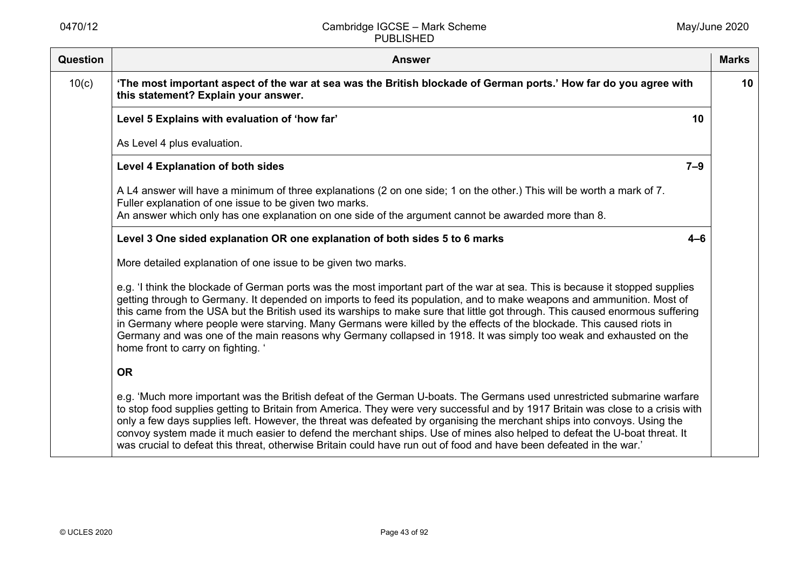| <b>Question</b> | <b>Answer</b>                                                                                                                                                                                                                                                                                                                                                                                                                                                                                                                                                                                                                                                              | <b>Marks</b>    |
|-----------------|----------------------------------------------------------------------------------------------------------------------------------------------------------------------------------------------------------------------------------------------------------------------------------------------------------------------------------------------------------------------------------------------------------------------------------------------------------------------------------------------------------------------------------------------------------------------------------------------------------------------------------------------------------------------------|-----------------|
| 10(c)           | 'The most important aspect of the war at sea was the British blockade of German ports.' How far do you agree with<br>this statement? Explain your answer.                                                                                                                                                                                                                                                                                                                                                                                                                                                                                                                  | 10 <sup>°</sup> |
|                 | Level 5 Explains with evaluation of 'how far'<br>10                                                                                                                                                                                                                                                                                                                                                                                                                                                                                                                                                                                                                        |                 |
|                 | As Level 4 plus evaluation.                                                                                                                                                                                                                                                                                                                                                                                                                                                                                                                                                                                                                                                |                 |
|                 | $7 - 9$<br><b>Level 4 Explanation of both sides</b>                                                                                                                                                                                                                                                                                                                                                                                                                                                                                                                                                                                                                        |                 |
|                 | A L4 answer will have a minimum of three explanations (2 on one side; 1 on the other.) This will be worth a mark of 7.<br>Fuller explanation of one issue to be given two marks.<br>An answer which only has one explanation on one side of the argument cannot be awarded more than 8.                                                                                                                                                                                                                                                                                                                                                                                    |                 |
|                 | Level 3 One sided explanation OR one explanation of both sides 5 to 6 marks<br>$4 - 6$                                                                                                                                                                                                                                                                                                                                                                                                                                                                                                                                                                                     |                 |
|                 | More detailed explanation of one issue to be given two marks.                                                                                                                                                                                                                                                                                                                                                                                                                                                                                                                                                                                                              |                 |
|                 | e.g. 'I think the blockade of German ports was the most important part of the war at sea. This is because it stopped supplies<br>getting through to Germany. It depended on imports to feed its population, and to make weapons and ammunition. Most of<br>this came from the USA but the British used its warships to make sure that little got through. This caused enormous suffering<br>in Germany where people were starving. Many Germans were killed by the effects of the blockade. This caused riots in<br>Germany and was one of the main reasons why Germany collapsed in 1918. It was simply too weak and exhausted on the<br>home front to carry on fighting. |                 |
|                 | <b>OR</b>                                                                                                                                                                                                                                                                                                                                                                                                                                                                                                                                                                                                                                                                  |                 |
|                 | e.g. 'Much more important was the British defeat of the German U-boats. The Germans used unrestricted submarine warfare<br>to stop food supplies getting to Britain from America. They were very successful and by 1917 Britain was close to a crisis with<br>only a few days supplies left. However, the threat was defeated by organising the merchant ships into convoys. Using the<br>convoy system made it much easier to defend the merchant ships. Use of mines also helped to defeat the U-boat threat. It<br>was crucial to defeat this threat, otherwise Britain could have run out of food and have been defeated in the war.'                                  |                 |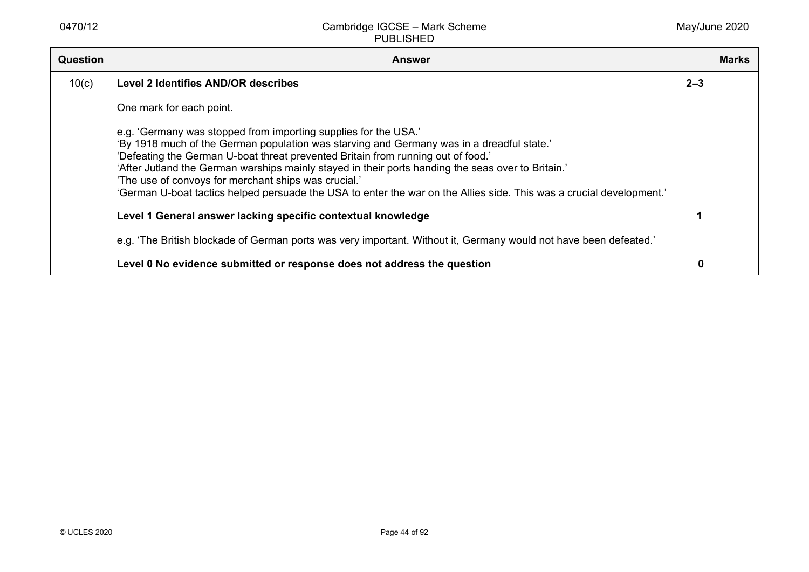| <b>Question</b> | <b>Answer</b>                                                                                                                                                                                                                                                                                                                                                                                                                                                                                                                          |         | <b>Marks</b> |
|-----------------|----------------------------------------------------------------------------------------------------------------------------------------------------------------------------------------------------------------------------------------------------------------------------------------------------------------------------------------------------------------------------------------------------------------------------------------------------------------------------------------------------------------------------------------|---------|--------------|
| 10(c)           | <b>Level 2 Identifies AND/OR describes</b>                                                                                                                                                                                                                                                                                                                                                                                                                                                                                             | $2 - 3$ |              |
|                 | One mark for each point.                                                                                                                                                                                                                                                                                                                                                                                                                                                                                                               |         |              |
|                 | e.g. 'Germany was stopped from importing supplies for the USA.'<br>'By 1918 much of the German population was starving and Germany was in a dreadful state.'<br>'Defeating the German U-boat threat prevented Britain from running out of food.'<br>'After Jutland the German warships mainly stayed in their ports handing the seas over to Britain.'<br>'The use of convoys for merchant ships was crucial.'<br>'German U-boat tactics helped persuade the USA to enter the war on the Allies side. This was a crucial development.' |         |              |
|                 | Level 1 General answer lacking specific contextual knowledge                                                                                                                                                                                                                                                                                                                                                                                                                                                                           |         |              |
|                 | e.g. 'The British blockade of German ports was very important. Without it, Germany would not have been defeated.'                                                                                                                                                                                                                                                                                                                                                                                                                      |         |              |
|                 | Level 0 No evidence submitted or response does not address the question                                                                                                                                                                                                                                                                                                                                                                                                                                                                |         |              |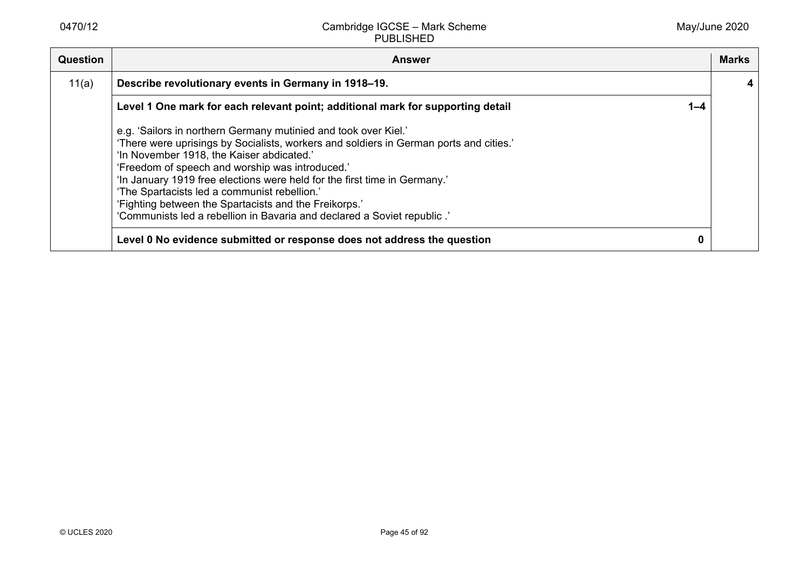| <b>Question</b> | <b>Answer</b>                                                                                                                                                                                                                                                                                                                                                                                                                                                                                                              |         | <b>Marks</b> |
|-----------------|----------------------------------------------------------------------------------------------------------------------------------------------------------------------------------------------------------------------------------------------------------------------------------------------------------------------------------------------------------------------------------------------------------------------------------------------------------------------------------------------------------------------------|---------|--------------|
| 11(a)           | Describe revolutionary events in Germany in 1918–19.                                                                                                                                                                                                                                                                                                                                                                                                                                                                       |         |              |
|                 | Level 1 One mark for each relevant point; additional mark for supporting detail                                                                                                                                                                                                                                                                                                                                                                                                                                            | $1 - 4$ |              |
|                 | e.g. 'Sailors in northern Germany mutinied and took over Kiel.'<br>'There were uprisings by Socialists, workers and soldiers in German ports and cities.'<br>'In November 1918, the Kaiser abdicated.'<br>'Freedom of speech and worship was introduced.'<br>'In January 1919 free elections were held for the first time in Germany.'<br>'The Spartacists led a communist rebellion.'<br>'Fighting between the Spartacists and the Freikorps.'<br>'Communists led a rebellion in Bavaria and declared a Soviet republic.' |         |              |
|                 | Level 0 No evidence submitted or response does not address the question                                                                                                                                                                                                                                                                                                                                                                                                                                                    | 0       |              |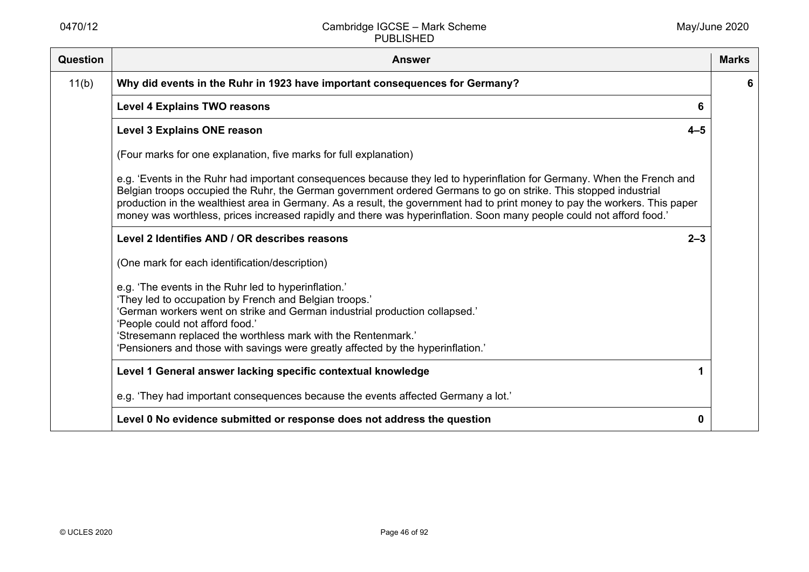| Question | <b>Answer</b>                                                                                                                                                                                                                                                                                                                                                                                                                                                                                      | <b>Marks</b> |
|----------|----------------------------------------------------------------------------------------------------------------------------------------------------------------------------------------------------------------------------------------------------------------------------------------------------------------------------------------------------------------------------------------------------------------------------------------------------------------------------------------------------|--------------|
| 11(b)    | Why did events in the Ruhr in 1923 have important consequences for Germany?                                                                                                                                                                                                                                                                                                                                                                                                                        | 6            |
|          | <b>Level 4 Explains TWO reasons</b><br>6                                                                                                                                                                                                                                                                                                                                                                                                                                                           |              |
|          | <b>Level 3 Explains ONE reason</b><br>$4 - 5$                                                                                                                                                                                                                                                                                                                                                                                                                                                      |              |
|          | (Four marks for one explanation, five marks for full explanation)                                                                                                                                                                                                                                                                                                                                                                                                                                  |              |
|          | e.g. 'Events in the Ruhr had important consequences because they led to hyperinflation for Germany. When the French and<br>Belgian troops occupied the Ruhr, the German government ordered Germans to go on strike. This stopped industrial<br>production in the wealthiest area in Germany. As a result, the government had to print money to pay the workers. This paper<br>money was worthless, prices increased rapidly and there was hyperinflation. Soon many people could not afford food.' |              |
|          | Level 2 Identifies AND / OR describes reasons<br>$2 - 3$                                                                                                                                                                                                                                                                                                                                                                                                                                           |              |
|          | (One mark for each identification/description)                                                                                                                                                                                                                                                                                                                                                                                                                                                     |              |
|          | e.g. 'The events in the Ruhr led to hyperinflation.'<br>'They led to occupation by French and Belgian troops.'<br>'German workers went on strike and German industrial production collapsed.'<br>'People could not afford food.'<br>'Stresemann replaced the worthless mark with the Rentenmark.'<br>'Pensioners and those with savings were greatly affected by the hyperinflation.'                                                                                                              |              |
|          | Level 1 General answer lacking specific contextual knowledge                                                                                                                                                                                                                                                                                                                                                                                                                                       |              |
|          | e.g. 'They had important consequences because the events affected Germany a lot.'                                                                                                                                                                                                                                                                                                                                                                                                                  |              |
|          | Level 0 No evidence submitted or response does not address the question<br>0                                                                                                                                                                                                                                                                                                                                                                                                                       |              |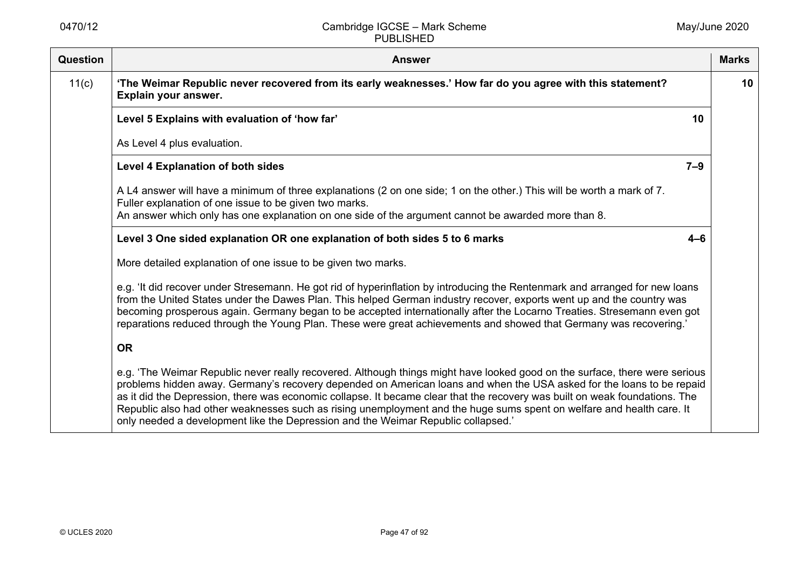| Question | <b>Answer</b>                                                                                                                                                                                                                                                                                                                                                                                                                                                                                                                                                                                     | <b>Marks</b> |
|----------|---------------------------------------------------------------------------------------------------------------------------------------------------------------------------------------------------------------------------------------------------------------------------------------------------------------------------------------------------------------------------------------------------------------------------------------------------------------------------------------------------------------------------------------------------------------------------------------------------|--------------|
| 11(c)    | 'The Weimar Republic never recovered from its early weaknesses.' How far do you agree with this statement?<br>Explain your answer.                                                                                                                                                                                                                                                                                                                                                                                                                                                                | 10           |
|          | Level 5 Explains with evaluation of 'how far'<br>10                                                                                                                                                                                                                                                                                                                                                                                                                                                                                                                                               |              |
|          | As Level 4 plus evaluation.                                                                                                                                                                                                                                                                                                                                                                                                                                                                                                                                                                       |              |
|          | <b>Level 4 Explanation of both sides</b><br>$7 - 9$                                                                                                                                                                                                                                                                                                                                                                                                                                                                                                                                               |              |
|          | A L4 answer will have a minimum of three explanations (2 on one side; 1 on the other.) This will be worth a mark of 7.<br>Fuller explanation of one issue to be given two marks.                                                                                                                                                                                                                                                                                                                                                                                                                  |              |
|          | An answer which only has one explanation on one side of the argument cannot be awarded more than 8.                                                                                                                                                                                                                                                                                                                                                                                                                                                                                               |              |
|          | Level 3 One sided explanation OR one explanation of both sides 5 to 6 marks<br>$4 - 6$                                                                                                                                                                                                                                                                                                                                                                                                                                                                                                            |              |
|          | More detailed explanation of one issue to be given two marks.                                                                                                                                                                                                                                                                                                                                                                                                                                                                                                                                     |              |
|          | e.g. 'It did recover under Stresemann. He got rid of hyperinflation by introducing the Rentenmark and arranged for new loans<br>from the United States under the Dawes Plan. This helped German industry recover, exports went up and the country was<br>becoming prosperous again. Germany began to be accepted internationally after the Locarno Treaties. Stresemann even got<br>reparations reduced through the Young Plan. These were great achievements and showed that Germany was recovering.'                                                                                            |              |
|          | <b>OR</b>                                                                                                                                                                                                                                                                                                                                                                                                                                                                                                                                                                                         |              |
|          | e.g. 'The Weimar Republic never really recovered. Although things might have looked good on the surface, there were serious<br>problems hidden away. Germany's recovery depended on American loans and when the USA asked for the loans to be repaid<br>as it did the Depression, there was economic collapse. It became clear that the recovery was built on weak foundations. The<br>Republic also had other weaknesses such as rising unemployment and the huge sums spent on welfare and health care. It<br>only needed a development like the Depression and the Weimar Republic collapsed.' |              |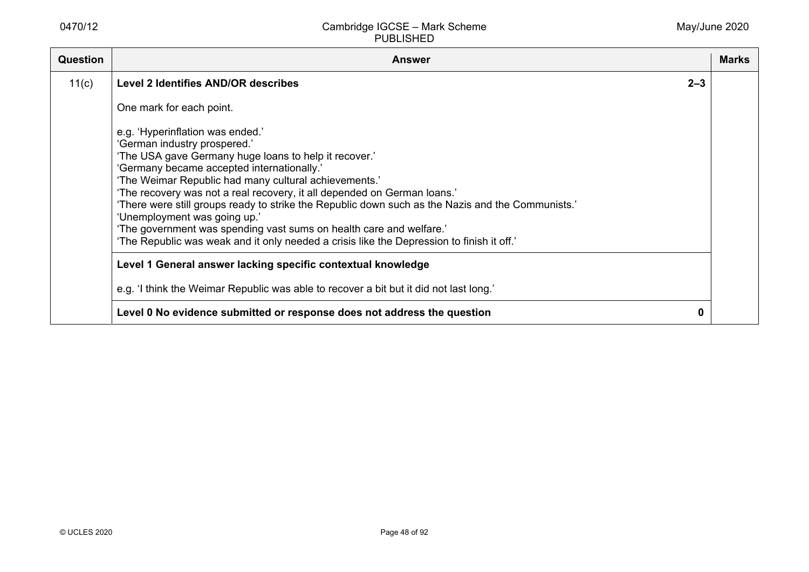| <b>Question</b> | <b>Answer</b>                                                                                                                                                                                                                                                                                                                                                                                                                                                                                                                                                                                                         | <b>Marks</b> |
|-----------------|-----------------------------------------------------------------------------------------------------------------------------------------------------------------------------------------------------------------------------------------------------------------------------------------------------------------------------------------------------------------------------------------------------------------------------------------------------------------------------------------------------------------------------------------------------------------------------------------------------------------------|--------------|
| 11(c)           | <b>Level 2 Identifies AND/OR describes</b><br>$2 - 3$                                                                                                                                                                                                                                                                                                                                                                                                                                                                                                                                                                 |              |
|                 | One mark for each point.                                                                                                                                                                                                                                                                                                                                                                                                                                                                                                                                                                                              |              |
|                 | e.g. 'Hyperinflation was ended.'<br>'German industry prospered.'<br>'The USA gave Germany huge loans to help it recover.'<br>'Germany became accepted internationally.'<br>'The Weimar Republic had many cultural achievements.'<br>'The recovery was not a real recovery, it all depended on German loans.'<br>'There were still groups ready to strike the Republic down such as the Nazis and the Communists.'<br>'Unemployment was going up.'<br>'The government was spending vast sums on health care and welfare.'<br>'The Republic was weak and it only needed a crisis like the Depression to finish it off.' |              |
|                 | Level 1 General answer lacking specific contextual knowledge                                                                                                                                                                                                                                                                                                                                                                                                                                                                                                                                                          |              |
|                 | e.g. 'I think the Weimar Republic was able to recover a bit but it did not last long.'                                                                                                                                                                                                                                                                                                                                                                                                                                                                                                                                |              |
|                 | Level 0 No evidence submitted or response does not address the question<br>0                                                                                                                                                                                                                                                                                                                                                                                                                                                                                                                                          |              |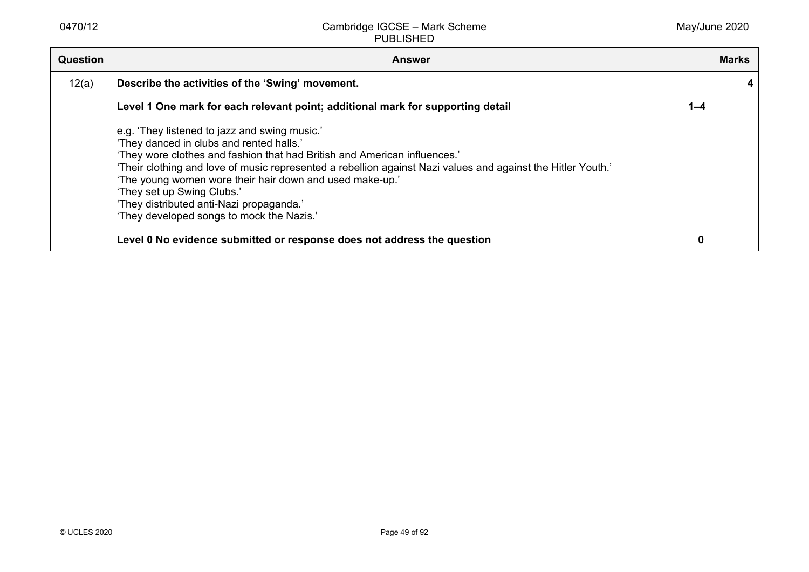| Question | <b>Answer</b>                                                                                                                                                                                                                                                                                                                                                                                                                                                             |         | <b>Marks</b> |
|----------|---------------------------------------------------------------------------------------------------------------------------------------------------------------------------------------------------------------------------------------------------------------------------------------------------------------------------------------------------------------------------------------------------------------------------------------------------------------------------|---------|--------------|
| 12(a)    | Describe the activities of the 'Swing' movement.                                                                                                                                                                                                                                                                                                                                                                                                                          |         |              |
|          | Level 1 One mark for each relevant point; additional mark for supporting detail                                                                                                                                                                                                                                                                                                                                                                                           | $1 - 4$ |              |
|          | e.g. 'They listened to jazz and swing music.'<br>'They danced in clubs and rented halls.'<br>'They wore clothes and fashion that had British and American influences.'<br>'Their clothing and love of music represented a rebellion against Nazi values and against the Hitler Youth.'<br>'The young women wore their hair down and used make-up.'<br>'They set up Swing Clubs.'<br>'They distributed anti-Nazi propaganda.'<br>'They developed songs to mock the Nazis.' |         |              |
|          | Level 0 No evidence submitted or response does not address the question                                                                                                                                                                                                                                                                                                                                                                                                   | 0       |              |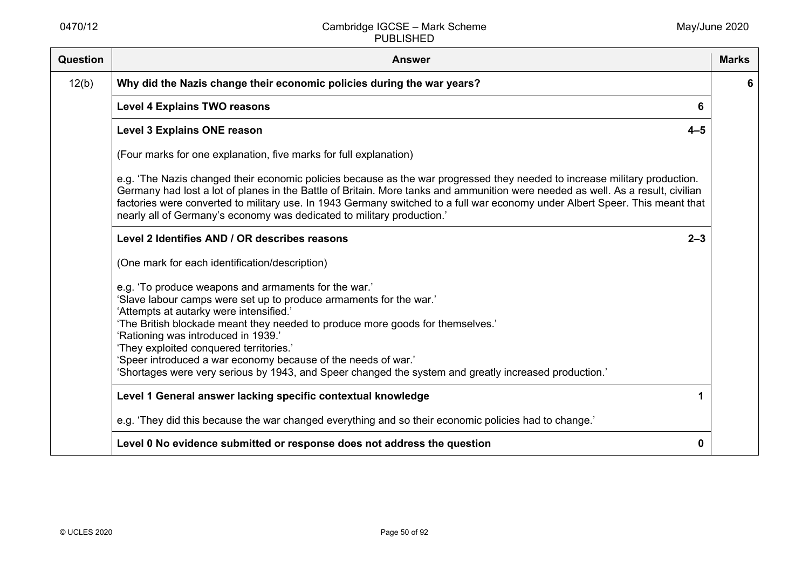| Question | <b>Answer</b>                                                                                                                                                                                                                                                                                                                                                                                                                                                                                                       | <b>Marks</b> |
|----------|---------------------------------------------------------------------------------------------------------------------------------------------------------------------------------------------------------------------------------------------------------------------------------------------------------------------------------------------------------------------------------------------------------------------------------------------------------------------------------------------------------------------|--------------|
| 12(b)    | Why did the Nazis change their economic policies during the war years?                                                                                                                                                                                                                                                                                                                                                                                                                                              | 6            |
|          | <b>Level 4 Explains TWO reasons</b><br>6                                                                                                                                                                                                                                                                                                                                                                                                                                                                            |              |
|          | <b>Level 3 Explains ONE reason</b><br>$4 - 5$                                                                                                                                                                                                                                                                                                                                                                                                                                                                       |              |
|          | (Four marks for one explanation, five marks for full explanation)                                                                                                                                                                                                                                                                                                                                                                                                                                                   |              |
|          | e.g. 'The Nazis changed their economic policies because as the war progressed they needed to increase military production.<br>Germany had lost a lot of planes in the Battle of Britain. More tanks and ammunition were needed as well. As a result, civilian<br>factories were converted to military use. In 1943 Germany switched to a full war economy under Albert Speer. This meant that<br>nearly all of Germany's economy was dedicated to military production.'                                             |              |
|          | Level 2 Identifies AND / OR describes reasons<br>$2 - 3$                                                                                                                                                                                                                                                                                                                                                                                                                                                            |              |
|          | (One mark for each identification/description)                                                                                                                                                                                                                                                                                                                                                                                                                                                                      |              |
|          | e.g. 'To produce weapons and armaments for the war.'<br>'Slave labour camps were set up to produce armaments for the war.'<br>'Attempts at autarky were intensified.'<br>'The British blockade meant they needed to produce more goods for themselves.'<br>'Rationing was introduced in 1939.'<br>'They exploited conquered territories.'<br>'Speer introduced a war economy because of the needs of war.'<br>'Shortages were very serious by 1943, and Speer changed the system and greatly increased production.' |              |
|          | Level 1 General answer lacking specific contextual knowledge                                                                                                                                                                                                                                                                                                                                                                                                                                                        |              |
|          | e.g. 'They did this because the war changed everything and so their economic policies had to change.'                                                                                                                                                                                                                                                                                                                                                                                                               |              |
|          | Level 0 No evidence submitted or response does not address the question<br>0                                                                                                                                                                                                                                                                                                                                                                                                                                        |              |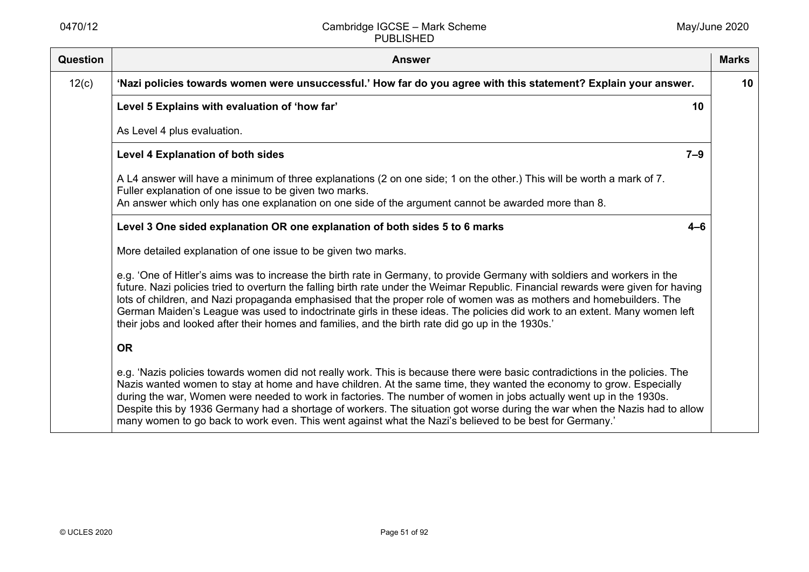| <b>Question</b> | <b>Answer</b>                                                                                                                                                                                                                                                                                                                                                                                                                                                                                                                                                                                                           | <b>Marks</b> |
|-----------------|-------------------------------------------------------------------------------------------------------------------------------------------------------------------------------------------------------------------------------------------------------------------------------------------------------------------------------------------------------------------------------------------------------------------------------------------------------------------------------------------------------------------------------------------------------------------------------------------------------------------------|--------------|
| 12(c)           | 'Nazi policies towards women were unsuccessful.' How far do you agree with this statement? Explain your answer.                                                                                                                                                                                                                                                                                                                                                                                                                                                                                                         | 10           |
|                 | Level 5 Explains with evaluation of 'how far'<br>10                                                                                                                                                                                                                                                                                                                                                                                                                                                                                                                                                                     |              |
|                 | As Level 4 plus evaluation.                                                                                                                                                                                                                                                                                                                                                                                                                                                                                                                                                                                             |              |
|                 | $7 - 9$<br>Level 4 Explanation of both sides                                                                                                                                                                                                                                                                                                                                                                                                                                                                                                                                                                            |              |
|                 | A L4 answer will have a minimum of three explanations (2 on one side; 1 on the other.) This will be worth a mark of 7.<br>Fuller explanation of one issue to be given two marks.<br>An answer which only has one explanation on one side of the argument cannot be awarded more than 8.                                                                                                                                                                                                                                                                                                                                 |              |
|                 | Level 3 One sided explanation OR one explanation of both sides 5 to 6 marks<br>$4 - 6$                                                                                                                                                                                                                                                                                                                                                                                                                                                                                                                                  |              |
|                 | More detailed explanation of one issue to be given two marks.                                                                                                                                                                                                                                                                                                                                                                                                                                                                                                                                                           |              |
|                 | e.g. 'One of Hitler's aims was to increase the birth rate in Germany, to provide Germany with soldiers and workers in the<br>future. Nazi policies tried to overturn the falling birth rate under the Weimar Republic. Financial rewards were given for having<br>lots of children, and Nazi propaganda emphasised that the proper role of women was as mothers and homebuilders. The<br>German Maiden's League was used to indoctrinate girls in these ideas. The policies did work to an extent. Many women left<br>their jobs and looked after their homes and families, and the birth rate did go up in the 1930s.' |              |
|                 | <b>OR</b>                                                                                                                                                                                                                                                                                                                                                                                                                                                                                                                                                                                                               |              |
|                 | e.g. 'Nazis policies towards women did not really work. This is because there were basic contradictions in the policies. The<br>Nazis wanted women to stay at home and have children. At the same time, they wanted the economy to grow. Especially<br>during the war, Women were needed to work in factories. The number of women in jobs actually went up in the 1930s.<br>Despite this by 1936 Germany had a shortage of workers. The situation got worse during the war when the Nazis had to allow<br>many women to go back to work even. This went against what the Nazi's believed to be best for Germany.'      |              |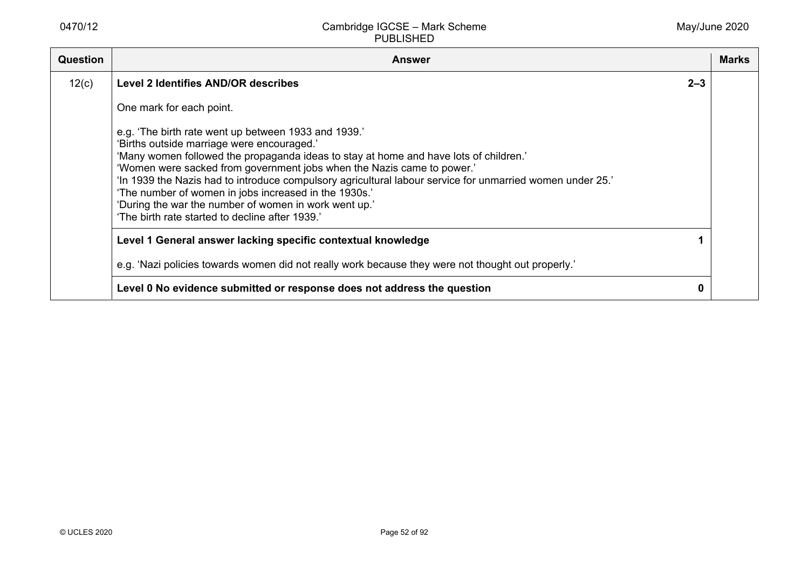| <b>Question</b> | <b>Answer</b>                                                                                                                                                                                                                                                                                                                                                                                                                                                                                                                                           | Marks |
|-----------------|---------------------------------------------------------------------------------------------------------------------------------------------------------------------------------------------------------------------------------------------------------------------------------------------------------------------------------------------------------------------------------------------------------------------------------------------------------------------------------------------------------------------------------------------------------|-------|
| 12(c)           | <b>Level 2 Identifies AND/OR describes</b><br>$2 - 3$                                                                                                                                                                                                                                                                                                                                                                                                                                                                                                   |       |
|                 | One mark for each point.                                                                                                                                                                                                                                                                                                                                                                                                                                                                                                                                |       |
|                 | e.g. 'The birth rate went up between 1933 and 1939.'<br>'Births outside marriage were encouraged.'<br>'Many women followed the propaganda ideas to stay at home and have lots of children.'<br>'Women were sacked from government jobs when the Nazis came to power.'<br>'In 1939 the Nazis had to introduce compulsory agricultural labour service for unmarried women under 25.'<br>'The number of women in jobs increased in the 1930s.'<br>'During the war the number of women in work went up.'<br>'The birth rate started to decline after 1939.' |       |
|                 | Level 1 General answer lacking specific contextual knowledge                                                                                                                                                                                                                                                                                                                                                                                                                                                                                            |       |
|                 | e.g. 'Nazi policies towards women did not really work because they were not thought out properly.'                                                                                                                                                                                                                                                                                                                                                                                                                                                      |       |
|                 | Level 0 No evidence submitted or response does not address the question<br>0                                                                                                                                                                                                                                                                                                                                                                                                                                                                            |       |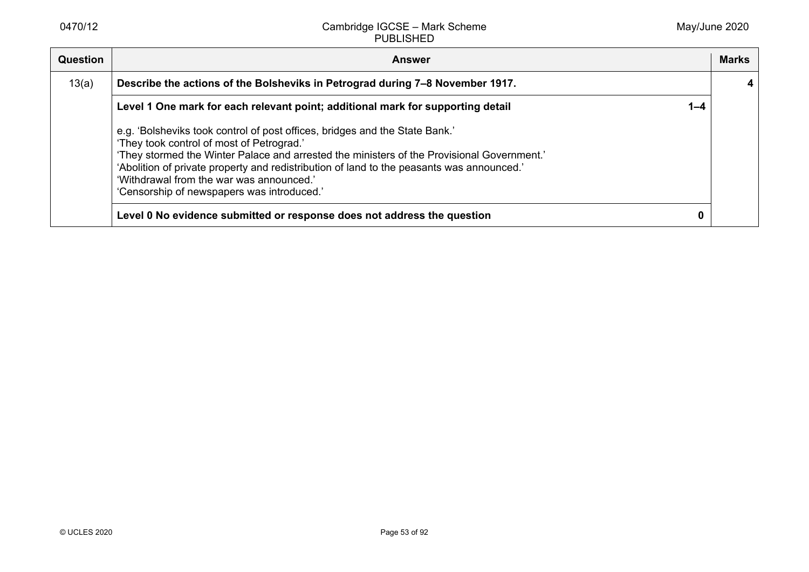| Question | <b>Answer</b>                                                                                                                                                                                                                                                                                                                                                                                                 |         | <b>Marks</b> |
|----------|---------------------------------------------------------------------------------------------------------------------------------------------------------------------------------------------------------------------------------------------------------------------------------------------------------------------------------------------------------------------------------------------------------------|---------|--------------|
| 13(a)    | Describe the actions of the Bolsheviks in Petrograd during 7-8 November 1917.                                                                                                                                                                                                                                                                                                                                 |         |              |
|          | Level 1 One mark for each relevant point; additional mark for supporting detail                                                                                                                                                                                                                                                                                                                               | $1 - 4$ |              |
|          | e.g. 'Bolsheviks took control of post offices, bridges and the State Bank.'<br>'They took control of most of Petrograd.'<br>'They stormed the Winter Palace and arrested the ministers of the Provisional Government.'<br>'Abolition of private property and redistribution of land to the peasants was announced.'<br>'Withdrawal from the war was announced.'<br>'Censorship of newspapers was introduced.' |         |              |
|          | Level 0 No evidence submitted or response does not address the question                                                                                                                                                                                                                                                                                                                                       |         |              |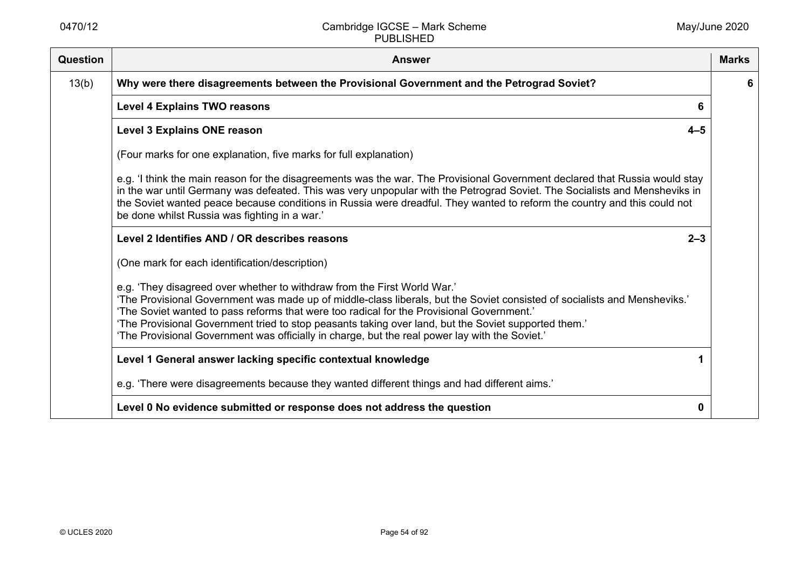| Question | <b>Answer</b>                                                                                                                                                                                                                                                                                                                                                                                                                                                                                                | <b>Marks</b> |
|----------|--------------------------------------------------------------------------------------------------------------------------------------------------------------------------------------------------------------------------------------------------------------------------------------------------------------------------------------------------------------------------------------------------------------------------------------------------------------------------------------------------------------|--------------|
| 13(b)    | Why were there disagreements between the Provisional Government and the Petrograd Soviet?                                                                                                                                                                                                                                                                                                                                                                                                                    | 6            |
|          | <b>Level 4 Explains TWO reasons</b><br>6                                                                                                                                                                                                                                                                                                                                                                                                                                                                     |              |
|          | $4 - 5$<br><b>Level 3 Explains ONE reason</b>                                                                                                                                                                                                                                                                                                                                                                                                                                                                |              |
|          | (Four marks for one explanation, five marks for full explanation)                                                                                                                                                                                                                                                                                                                                                                                                                                            |              |
|          | e.g. 'I think the main reason for the disagreements was the war. The Provisional Government declared that Russia would stay<br>in the war until Germany was defeated. This was very unpopular with the Petrograd Soviet. The Socialists and Mensheviks in<br>the Soviet wanted peace because conditions in Russia were dreadful. They wanted to reform the country and this could not<br>be done whilst Russia was fighting in a war.'                                                                       |              |
|          | Level 2 Identifies AND / OR describes reasons<br>$2 - 3$                                                                                                                                                                                                                                                                                                                                                                                                                                                     |              |
|          | (One mark for each identification/description)                                                                                                                                                                                                                                                                                                                                                                                                                                                               |              |
|          | e.g. 'They disagreed over whether to withdraw from the First World War.'<br>'The Provisional Government was made up of middle-class liberals, but the Soviet consisted of socialists and Mensheviks.'<br>'The Soviet wanted to pass reforms that were too radical for the Provisional Government.'<br>'The Provisional Government tried to stop peasants taking over land, but the Soviet supported them.'<br>'The Provisional Government was officially in charge, but the real power lay with the Soviet.' |              |
|          | Level 1 General answer lacking specific contextual knowledge                                                                                                                                                                                                                                                                                                                                                                                                                                                 |              |
|          | e.g. 'There were disagreements because they wanted different things and had different aims.'                                                                                                                                                                                                                                                                                                                                                                                                                 |              |
|          | Level 0 No evidence submitted or response does not address the question<br>0                                                                                                                                                                                                                                                                                                                                                                                                                                 |              |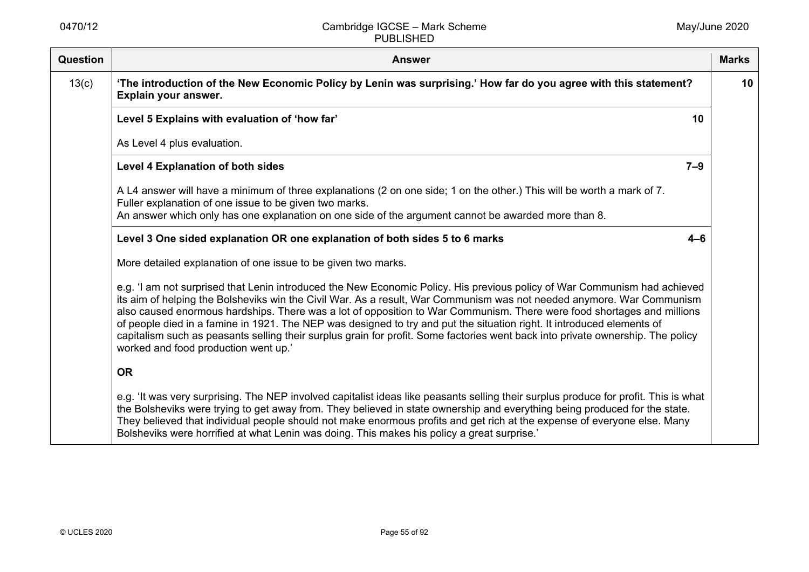| <b>Question</b> | <b>Answer</b>                                                                                                                                                                                                                                                                                                                                                                                                                                                                                                                                                                                                                                                                     | <b>Marks</b> |
|-----------------|-----------------------------------------------------------------------------------------------------------------------------------------------------------------------------------------------------------------------------------------------------------------------------------------------------------------------------------------------------------------------------------------------------------------------------------------------------------------------------------------------------------------------------------------------------------------------------------------------------------------------------------------------------------------------------------|--------------|
| 13(c)           | 'The introduction of the New Economic Policy by Lenin was surprising.' How far do you agree with this statement?<br>Explain your answer.                                                                                                                                                                                                                                                                                                                                                                                                                                                                                                                                          | 10           |
|                 | Level 5 Explains with evaluation of 'how far'<br>10                                                                                                                                                                                                                                                                                                                                                                                                                                                                                                                                                                                                                               |              |
|                 | As Level 4 plus evaluation.                                                                                                                                                                                                                                                                                                                                                                                                                                                                                                                                                                                                                                                       |              |
|                 | <b>Level 4 Explanation of both sides</b><br>$7 - 9$                                                                                                                                                                                                                                                                                                                                                                                                                                                                                                                                                                                                                               |              |
|                 | A L4 answer will have a minimum of three explanations (2 on one side; 1 on the other.) This will be worth a mark of 7.<br>Fuller explanation of one issue to be given two marks.<br>An answer which only has one explanation on one side of the argument cannot be awarded more than 8.                                                                                                                                                                                                                                                                                                                                                                                           |              |
|                 | Level 3 One sided explanation OR one explanation of both sides 5 to 6 marks<br>$4 - 6$                                                                                                                                                                                                                                                                                                                                                                                                                                                                                                                                                                                            |              |
|                 | More detailed explanation of one issue to be given two marks.                                                                                                                                                                                                                                                                                                                                                                                                                                                                                                                                                                                                                     |              |
|                 | e.g. 'I am not surprised that Lenin introduced the New Economic Policy. His previous policy of War Communism had achieved<br>its aim of helping the Bolsheviks win the Civil War. As a result, War Communism was not needed anymore. War Communism<br>also caused enormous hardships. There was a lot of opposition to War Communism. There were food shortages and millions<br>of people died in a famine in 1921. The NEP was designed to try and put the situation right. It introduced elements of<br>capitalism such as peasants selling their surplus grain for profit. Some factories went back into private ownership. The policy<br>worked and food production went up.' |              |
|                 | <b>OR</b>                                                                                                                                                                                                                                                                                                                                                                                                                                                                                                                                                                                                                                                                         |              |
|                 | e.g. 'It was very surprising. The NEP involved capitalist ideas like peasants selling their surplus produce for profit. This is what<br>the Bolsheviks were trying to get away from. They believed in state ownership and everything being produced for the state.<br>They believed that individual people should not make enormous profits and get rich at the expense of everyone else. Many<br>Bolsheviks were horrified at what Lenin was doing. This makes his policy a great surprise.'                                                                                                                                                                                     |              |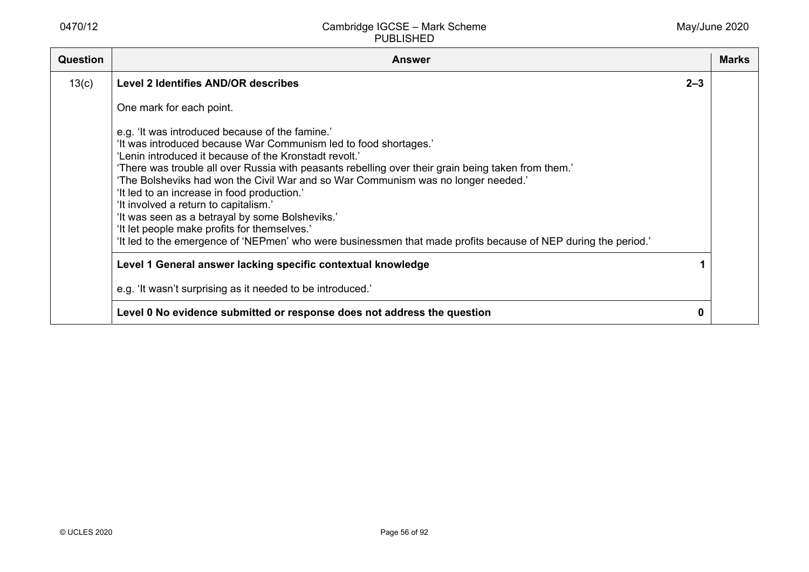| <b>Question</b> | <b>Answer</b>                                                                                                                                                                                                                                                                                                                                                                                                                                                                                                                                                                                                                                                                          |         | <b>Marks</b> |
|-----------------|----------------------------------------------------------------------------------------------------------------------------------------------------------------------------------------------------------------------------------------------------------------------------------------------------------------------------------------------------------------------------------------------------------------------------------------------------------------------------------------------------------------------------------------------------------------------------------------------------------------------------------------------------------------------------------------|---------|--------------|
| 13(c)           | <b>Level 2 Identifies AND/OR describes</b>                                                                                                                                                                                                                                                                                                                                                                                                                                                                                                                                                                                                                                             | $2 - 3$ |              |
|                 | One mark for each point.                                                                                                                                                                                                                                                                                                                                                                                                                                                                                                                                                                                                                                                               |         |              |
|                 | e.g. 'It was introduced because of the famine.'<br>'It was introduced because War Communism led to food shortages.'<br>'Lenin introduced it because of the Kronstadt revolt.'<br>'There was trouble all over Russia with peasants rebelling over their grain being taken from them.'<br>'The Bolsheviks had won the Civil War and so War Communism was no longer needed.'<br>'It led to an increase in food production.'<br>'It involved a return to capitalism.'<br>'It was seen as a betrayal by some Bolsheviks.'<br>'It let people make profits for themselves.'<br>'It led to the emergence of 'NEPmen' who were businessmen that made profits because of NEP during the period.' |         |              |
|                 | Level 1 General answer lacking specific contextual knowledge                                                                                                                                                                                                                                                                                                                                                                                                                                                                                                                                                                                                                           |         |              |
|                 | e.g. 'It wasn't surprising as it needed to be introduced.'                                                                                                                                                                                                                                                                                                                                                                                                                                                                                                                                                                                                                             |         |              |
|                 | Level 0 No evidence submitted or response does not address the question                                                                                                                                                                                                                                                                                                                                                                                                                                                                                                                                                                                                                | 0       |              |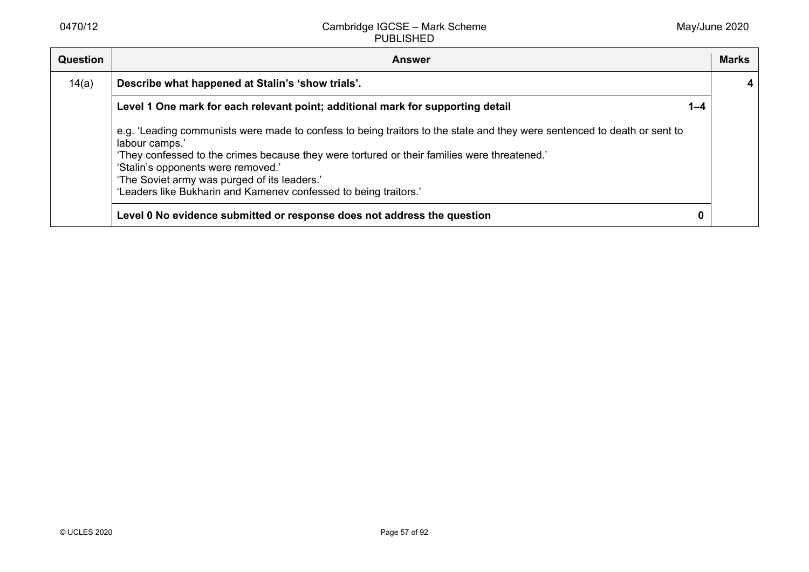| <b>Question</b> | <b>Answer</b>                                                                                                                                                                                                                                                                                                                                                                                        |         | <b>Marks</b> |
|-----------------|------------------------------------------------------------------------------------------------------------------------------------------------------------------------------------------------------------------------------------------------------------------------------------------------------------------------------------------------------------------------------------------------------|---------|--------------|
| 14(a)           | Describe what happened at Stalin's 'show trials'.                                                                                                                                                                                                                                                                                                                                                    |         | 4            |
|                 | Level 1 One mark for each relevant point; additional mark for supporting detail                                                                                                                                                                                                                                                                                                                      | $1 - 4$ |              |
|                 | e.g. 'Leading communists were made to confess to being traitors to the state and they were sentenced to death or sent to<br>labour camps.'<br>'They confessed to the crimes because they were tortured or their families were threatened.'<br>'Stalin's opponents were removed.'<br>'The Soviet army was purged of its leaders.'<br>'Leaders like Bukharin and Kamenev confessed to being traitors.' |         |              |
|                 | Level 0 No evidence submitted or response does not address the question                                                                                                                                                                                                                                                                                                                              |         |              |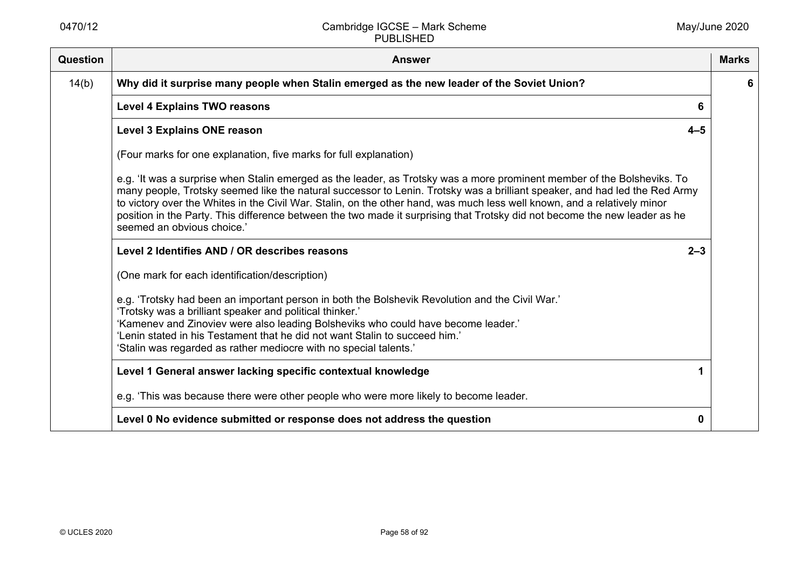| Question | <b>Answer</b>                                                                                                                                                                                                                                                                                                                                                                                                                                                                                                                                 | <b>Marks</b> |
|----------|-----------------------------------------------------------------------------------------------------------------------------------------------------------------------------------------------------------------------------------------------------------------------------------------------------------------------------------------------------------------------------------------------------------------------------------------------------------------------------------------------------------------------------------------------|--------------|
| 14(b)    | Why did it surprise many people when Stalin emerged as the new leader of the Soviet Union?                                                                                                                                                                                                                                                                                                                                                                                                                                                    | 6            |
|          | <b>Level 4 Explains TWO reasons</b><br>6                                                                                                                                                                                                                                                                                                                                                                                                                                                                                                      |              |
|          | <b>Level 3 Explains ONE reason</b><br>$4 - 5$                                                                                                                                                                                                                                                                                                                                                                                                                                                                                                 |              |
|          | (Four marks for one explanation, five marks for full explanation)                                                                                                                                                                                                                                                                                                                                                                                                                                                                             |              |
|          | e.g. 'It was a surprise when Stalin emerged as the leader, as Trotsky was a more prominent member of the Bolsheviks. To<br>many people, Trotsky seemed like the natural successor to Lenin. Trotsky was a brilliant speaker, and had led the Red Army<br>to victory over the Whites in the Civil War. Stalin, on the other hand, was much less well known, and a relatively minor<br>position in the Party. This difference between the two made it surprising that Trotsky did not become the new leader as he<br>seemed an obvious choice.' |              |
|          | Level 2 Identifies AND / OR describes reasons<br>$2 - 3$                                                                                                                                                                                                                                                                                                                                                                                                                                                                                      |              |
|          | (One mark for each identification/description)                                                                                                                                                                                                                                                                                                                                                                                                                                                                                                |              |
|          | e.g. 'Trotsky had been an important person in both the Bolshevik Revolution and the Civil War.'<br>'Trotsky was a brilliant speaker and political thinker.'<br>'Kamenev and Zinoviev were also leading Bolsheviks who could have become leader.'<br>'Lenin stated in his Testament that he did not want Stalin to succeed him.'<br>'Stalin was regarded as rather mediocre with no special talents.'                                                                                                                                          |              |
|          | Level 1 General answer lacking specific contextual knowledge                                                                                                                                                                                                                                                                                                                                                                                                                                                                                  |              |
|          | e.g. 'This was because there were other people who were more likely to become leader.                                                                                                                                                                                                                                                                                                                                                                                                                                                         |              |
|          | Level 0 No evidence submitted or response does not address the question<br>0                                                                                                                                                                                                                                                                                                                                                                                                                                                                  |              |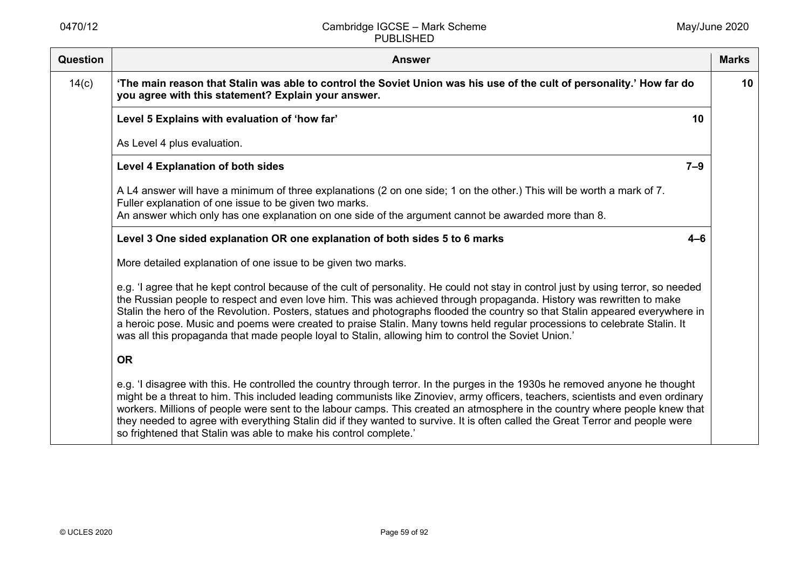| <b>Question</b> | <b>Answer</b>                                                                                                                                                                                                                                                                                                                                                                                                                                                                                                                                                                                                                     | <b>Marks</b> |
|-----------------|-----------------------------------------------------------------------------------------------------------------------------------------------------------------------------------------------------------------------------------------------------------------------------------------------------------------------------------------------------------------------------------------------------------------------------------------------------------------------------------------------------------------------------------------------------------------------------------------------------------------------------------|--------------|
| 14(c)           | 'The main reason that Stalin was able to control the Soviet Union was his use of the cult of personality.' How far do<br>you agree with this statement? Explain your answer.                                                                                                                                                                                                                                                                                                                                                                                                                                                      | 10           |
|                 | Level 5 Explains with evaluation of 'how far'<br>10                                                                                                                                                                                                                                                                                                                                                                                                                                                                                                                                                                               |              |
|                 | As Level 4 plus evaluation.                                                                                                                                                                                                                                                                                                                                                                                                                                                                                                                                                                                                       |              |
|                 | <b>Level 4 Explanation of both sides</b><br>$7 - 9$                                                                                                                                                                                                                                                                                                                                                                                                                                                                                                                                                                               |              |
|                 | A L4 answer will have a minimum of three explanations (2 on one side; 1 on the other.) This will be worth a mark of 7.<br>Fuller explanation of one issue to be given two marks.<br>An answer which only has one explanation on one side of the argument cannot be awarded more than 8.                                                                                                                                                                                                                                                                                                                                           |              |
|                 | Level 3 One sided explanation OR one explanation of both sides 5 to 6 marks<br>$4 - 6$                                                                                                                                                                                                                                                                                                                                                                                                                                                                                                                                            |              |
|                 | More detailed explanation of one issue to be given two marks.                                                                                                                                                                                                                                                                                                                                                                                                                                                                                                                                                                     |              |
|                 | e.g. 'I agree that he kept control because of the cult of personality. He could not stay in control just by using terror, so needed<br>the Russian people to respect and even love him. This was achieved through propaganda. History was rewritten to make<br>Stalin the hero of the Revolution. Posters, statues and photographs flooded the country so that Stalin appeared everywhere in<br>a heroic pose. Music and poems were created to praise Stalin. Many towns held regular processions to celebrate Stalin. It<br>was all this propaganda that made people loyal to Stalin, allowing him to control the Soviet Union.' |              |
|                 | <b>OR</b>                                                                                                                                                                                                                                                                                                                                                                                                                                                                                                                                                                                                                         |              |
|                 | e.g. 'I disagree with this. He controlled the country through terror. In the purges in the 1930s he removed anyone he thought<br>might be a threat to him. This included leading communists like Zinoviev, army officers, teachers, scientists and even ordinary<br>workers. Millions of people were sent to the labour camps. This created an atmosphere in the country where people knew that<br>they needed to agree with everything Stalin did if they wanted to survive. It is often called the Great Terror and people were<br>so frightened that Stalin was able to make his control complete.'                            |              |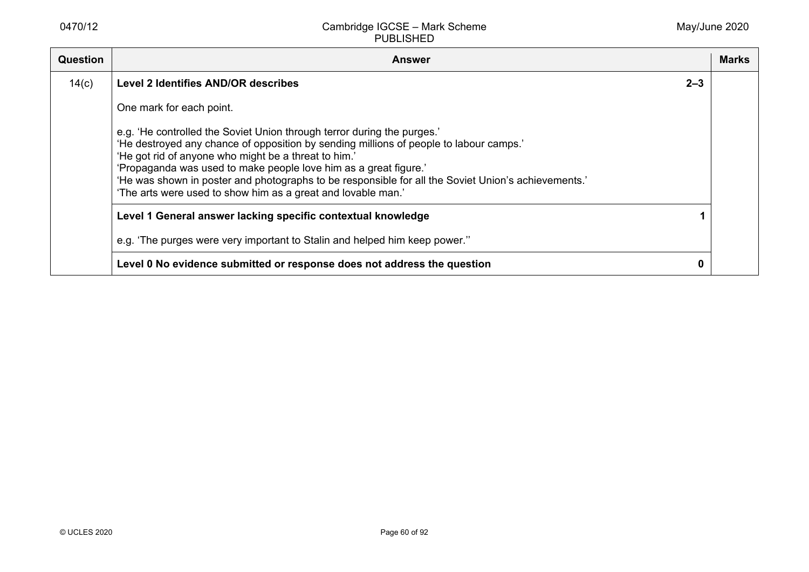| <b>Question</b> | <b>Answer</b>                                                                                                                                                                                                                                                                                                                                                                                                                                                        |         | <b>Marks</b> |
|-----------------|----------------------------------------------------------------------------------------------------------------------------------------------------------------------------------------------------------------------------------------------------------------------------------------------------------------------------------------------------------------------------------------------------------------------------------------------------------------------|---------|--------------|
| 14(c)           | <b>Level 2 Identifies AND/OR describes</b>                                                                                                                                                                                                                                                                                                                                                                                                                           | $2 - 3$ |              |
|                 | One mark for each point.                                                                                                                                                                                                                                                                                                                                                                                                                                             |         |              |
|                 | e.g. 'He controlled the Soviet Union through terror during the purges.'<br>'He destroyed any chance of opposition by sending millions of people to labour camps.'<br>'He got rid of anyone who might be a threat to him.'<br>'Propaganda was used to make people love him as a great figure.'<br>'He was shown in poster and photographs to be responsible for all the Soviet Union's achievements.'<br>'The arts were used to show him as a great and lovable man.' |         |              |
|                 | Level 1 General answer lacking specific contextual knowledge                                                                                                                                                                                                                                                                                                                                                                                                         |         |              |
|                 | e.g. 'The purges were very important to Stalin and helped him keep power."                                                                                                                                                                                                                                                                                                                                                                                           |         |              |
|                 | Level 0 No evidence submitted or response does not address the question                                                                                                                                                                                                                                                                                                                                                                                              |         |              |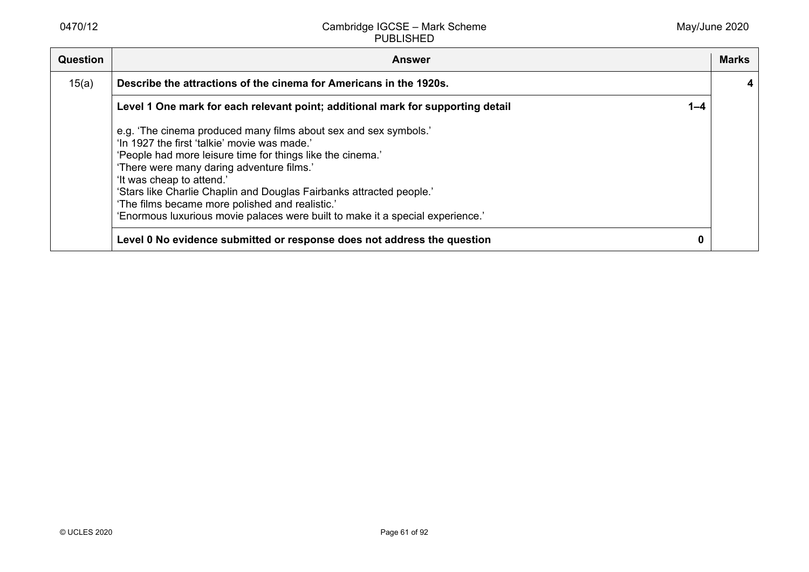| <b>Question</b> | <b>Answer</b>                                                                                                                                                                                                                                                                                                                                                                                                                                                         |         | <b>Marks</b> |
|-----------------|-----------------------------------------------------------------------------------------------------------------------------------------------------------------------------------------------------------------------------------------------------------------------------------------------------------------------------------------------------------------------------------------------------------------------------------------------------------------------|---------|--------------|
| 15(a)           | Describe the attractions of the cinema for Americans in the 1920s.                                                                                                                                                                                                                                                                                                                                                                                                    |         |              |
|                 | Level 1 One mark for each relevant point; additional mark for supporting detail                                                                                                                                                                                                                                                                                                                                                                                       | $1 - 4$ |              |
|                 | e.g. 'The cinema produced many films about sex and sex symbols.'<br>'In 1927 the first 'talkie' movie was made.'<br>'People had more leisure time for things like the cinema.'<br>'There were many daring adventure films.'<br>'It was cheap to attend.'<br>'Stars like Charlie Chaplin and Douglas Fairbanks attracted people.'<br>'The films became more polished and realistic.'<br>'Enormous luxurious movie palaces were built to make it a special experience.' |         |              |
|                 | Level 0 No evidence submitted or response does not address the question                                                                                                                                                                                                                                                                                                                                                                                               |         |              |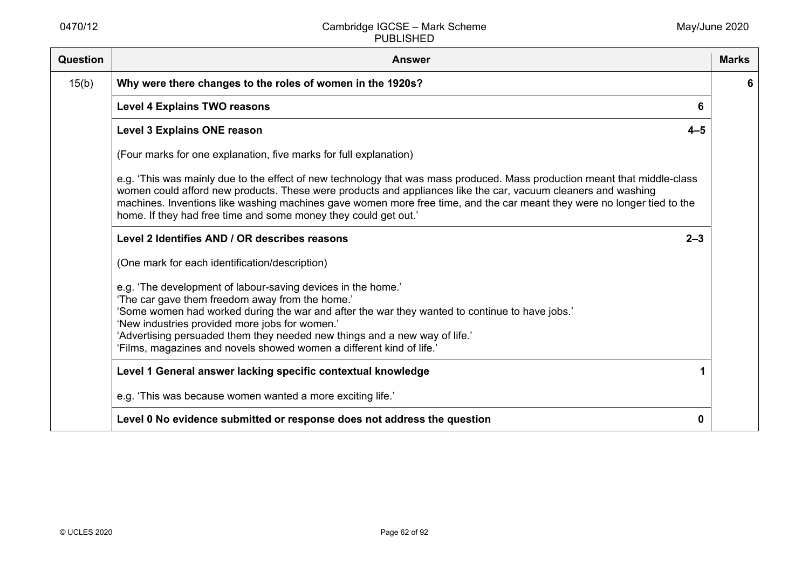| <b>Question</b> | <b>Answer</b>                                                                                                                                                                                                                                                                                                                                                                                                                            | <b>Marks</b> |
|-----------------|------------------------------------------------------------------------------------------------------------------------------------------------------------------------------------------------------------------------------------------------------------------------------------------------------------------------------------------------------------------------------------------------------------------------------------------|--------------|
| 15(b)           | Why were there changes to the roles of women in the 1920s?                                                                                                                                                                                                                                                                                                                                                                               | 6            |
|                 | <b>Level 4 Explains TWO reasons</b><br>6                                                                                                                                                                                                                                                                                                                                                                                                 |              |
|                 | <b>Level 3 Explains ONE reason</b><br>$4 - 5$                                                                                                                                                                                                                                                                                                                                                                                            |              |
|                 | (Four marks for one explanation, five marks for full explanation)                                                                                                                                                                                                                                                                                                                                                                        |              |
|                 | e.g. 'This was mainly due to the effect of new technology that was mass produced. Mass production meant that middle-class<br>women could afford new products. These were products and appliances like the car, vacuum cleaners and washing<br>machines. Inventions like washing machines gave women more free time, and the car meant they were no longer tied to the<br>home. If they had free time and some money they could get out.' |              |
|                 | Level 2 Identifies AND / OR describes reasons<br>$2 - 3$                                                                                                                                                                                                                                                                                                                                                                                 |              |
|                 | (One mark for each identification/description)                                                                                                                                                                                                                                                                                                                                                                                           |              |
|                 | e.g. 'The development of labour-saving devices in the home.'<br>'The car gave them freedom away from the home.'<br>'Some women had worked during the war and after the war they wanted to continue to have jobs.'<br>'New industries provided more jobs for women.'<br>'Advertising persuaded them they needed new things and a new way of life.'<br>'Films, magazines and novels showed women a different kind of life.'                |              |
|                 | Level 1 General answer lacking specific contextual knowledge                                                                                                                                                                                                                                                                                                                                                                             |              |
|                 | e.g. 'This was because women wanted a more exciting life.'                                                                                                                                                                                                                                                                                                                                                                               |              |
|                 | Level 0 No evidence submitted or response does not address the question<br>0                                                                                                                                                                                                                                                                                                                                                             |              |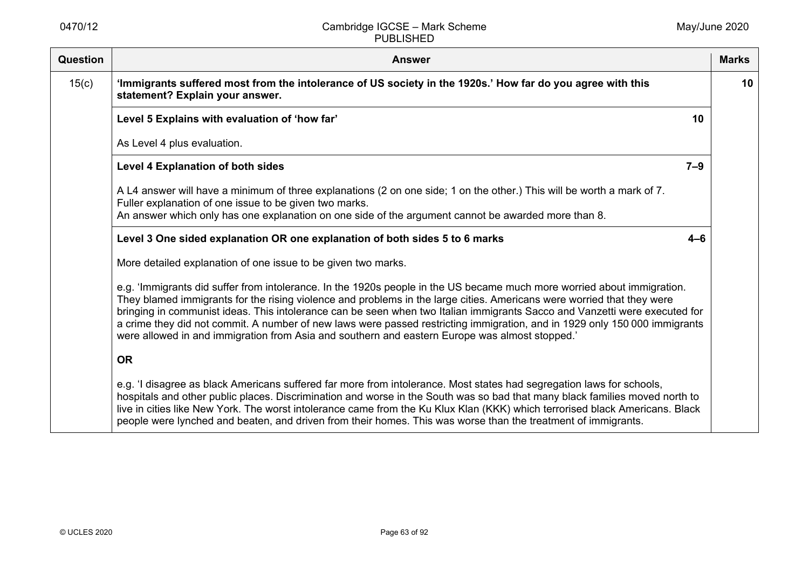| Question | <b>Answer</b>                                                                                                                                                                                                                                                                                                                                                                                                                                                                                                                                                                                                   | <b>Marks</b> |
|----------|-----------------------------------------------------------------------------------------------------------------------------------------------------------------------------------------------------------------------------------------------------------------------------------------------------------------------------------------------------------------------------------------------------------------------------------------------------------------------------------------------------------------------------------------------------------------------------------------------------------------|--------------|
| 15(c)    | 'Immigrants suffered most from the intolerance of US society in the 1920s.' How far do you agree with this<br>statement? Explain your answer.                                                                                                                                                                                                                                                                                                                                                                                                                                                                   | 10           |
|          | Level 5 Explains with evaluation of 'how far'<br>10                                                                                                                                                                                                                                                                                                                                                                                                                                                                                                                                                             |              |
|          | As Level 4 plus evaluation.                                                                                                                                                                                                                                                                                                                                                                                                                                                                                                                                                                                     |              |
|          | $7 - 9$<br><b>Level 4 Explanation of both sides</b>                                                                                                                                                                                                                                                                                                                                                                                                                                                                                                                                                             |              |
|          | A L4 answer will have a minimum of three explanations (2 on one side; 1 on the other.) This will be worth a mark of 7.<br>Fuller explanation of one issue to be given two marks.                                                                                                                                                                                                                                                                                                                                                                                                                                |              |
|          | An answer which only has one explanation on one side of the argument cannot be awarded more than 8.                                                                                                                                                                                                                                                                                                                                                                                                                                                                                                             |              |
|          | Level 3 One sided explanation OR one explanation of both sides 5 to 6 marks<br>$4 - 6$                                                                                                                                                                                                                                                                                                                                                                                                                                                                                                                          |              |
|          | More detailed explanation of one issue to be given two marks.                                                                                                                                                                                                                                                                                                                                                                                                                                                                                                                                                   |              |
|          | e.g. 'Immigrants did suffer from intolerance. In the 1920s people in the US became much more worried about immigration.<br>They blamed immigrants for the rising violence and problems in the large cities. Americans were worried that they were<br>bringing in communist ideas. This intolerance can be seen when two Italian immigrants Sacco and Vanzetti were executed for<br>a crime they did not commit. A number of new laws were passed restricting immigration, and in 1929 only 150 000 immigrants<br>were allowed in and immigration from Asia and southern and eastern Europe was almost stopped.' |              |
|          | <b>OR</b>                                                                                                                                                                                                                                                                                                                                                                                                                                                                                                                                                                                                       |              |
|          | e.g. 'I disagree as black Americans suffered far more from intolerance. Most states had segregation laws for schools,<br>hospitals and other public places. Discrimination and worse in the South was so bad that many black families moved north to<br>live in cities like New York. The worst intolerance came from the Ku Klux Klan (KKK) which terrorised black Americans. Black<br>people were lynched and beaten, and driven from their homes. This was worse than the treatment of immigrants.                                                                                                           |              |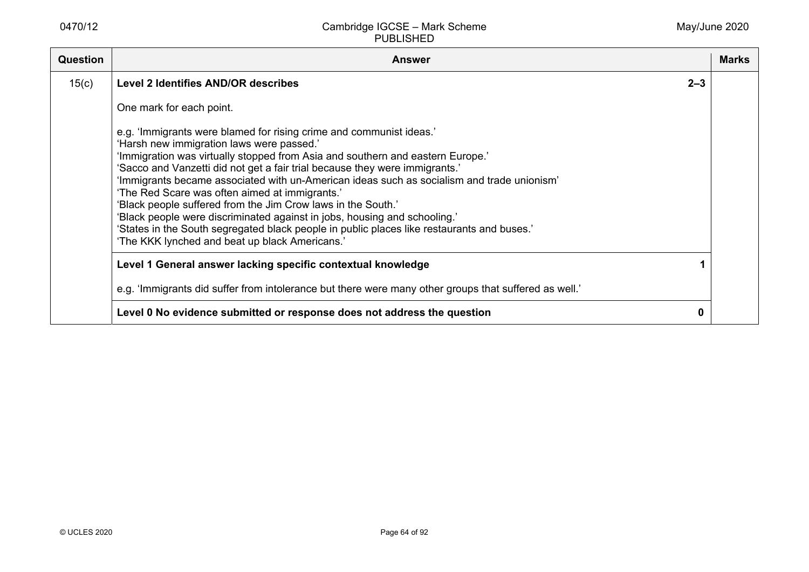| <b>Question</b> | <b>Answer</b>                                                                                                                                                                                                                                                                                                                                                                                                                                                                                                                                                                                                                                                                                                                  |         | <b>Marks</b> |
|-----------------|--------------------------------------------------------------------------------------------------------------------------------------------------------------------------------------------------------------------------------------------------------------------------------------------------------------------------------------------------------------------------------------------------------------------------------------------------------------------------------------------------------------------------------------------------------------------------------------------------------------------------------------------------------------------------------------------------------------------------------|---------|--------------|
| 15(c)           | <b>Level 2 Identifies AND/OR describes</b>                                                                                                                                                                                                                                                                                                                                                                                                                                                                                                                                                                                                                                                                                     | $2 - 3$ |              |
|                 | One mark for each point.                                                                                                                                                                                                                                                                                                                                                                                                                                                                                                                                                                                                                                                                                                       |         |              |
|                 | e.g. 'Immigrants were blamed for rising crime and communist ideas.'<br>'Harsh new immigration laws were passed.'<br>'Immigration was virtually stopped from Asia and southern and eastern Europe.'<br>'Sacco and Vanzetti did not get a fair trial because they were immigrants.'<br>'Immigrants became associated with un-American ideas such as socialism and trade unionism'<br>'The Red Scare was often aimed at immigrants.'<br>'Black people suffered from the Jim Crow laws in the South.'<br>'Black people were discriminated against in jobs, housing and schooling.'<br>'States in the South segregated black people in public places like restaurants and buses.'<br>'The KKK lynched and beat up black Americans.' |         |              |
|                 | Level 1 General answer lacking specific contextual knowledge                                                                                                                                                                                                                                                                                                                                                                                                                                                                                                                                                                                                                                                                   |         |              |
|                 | e.g. 'Immigrants did suffer from intolerance but there were many other groups that suffered as well.'                                                                                                                                                                                                                                                                                                                                                                                                                                                                                                                                                                                                                          |         |              |
|                 | Level 0 No evidence submitted or response does not address the question                                                                                                                                                                                                                                                                                                                                                                                                                                                                                                                                                                                                                                                        | 0       |              |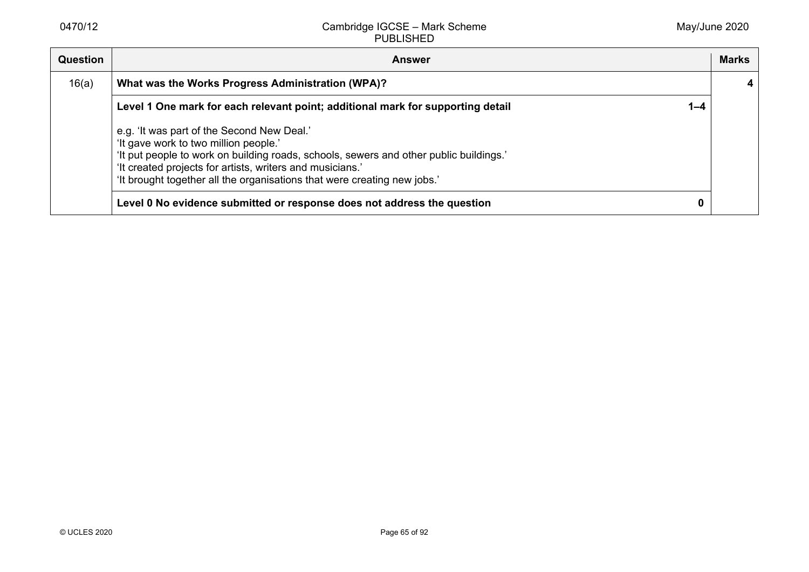| <b>Question</b> | <b>Answer</b>                                                                                                                                                                                                                                                                                                          | <b>Marks</b> |
|-----------------|------------------------------------------------------------------------------------------------------------------------------------------------------------------------------------------------------------------------------------------------------------------------------------------------------------------------|--------------|
| 16(a)           | What was the Works Progress Administration (WPA)?                                                                                                                                                                                                                                                                      |              |
|                 | Level 1 One mark for each relevant point; additional mark for supporting detail<br>$1 - 4$                                                                                                                                                                                                                             |              |
|                 | e.g. 'It was part of the Second New Deal.'<br>'It gave work to two million people.'<br>'It put people to work on building roads, schools, sewers and other public buildings.'<br>'It created projects for artists, writers and musicians.'<br>'It brought together all the organisations that were creating new jobs.' |              |
|                 | Level 0 No evidence submitted or response does not address the question                                                                                                                                                                                                                                                |              |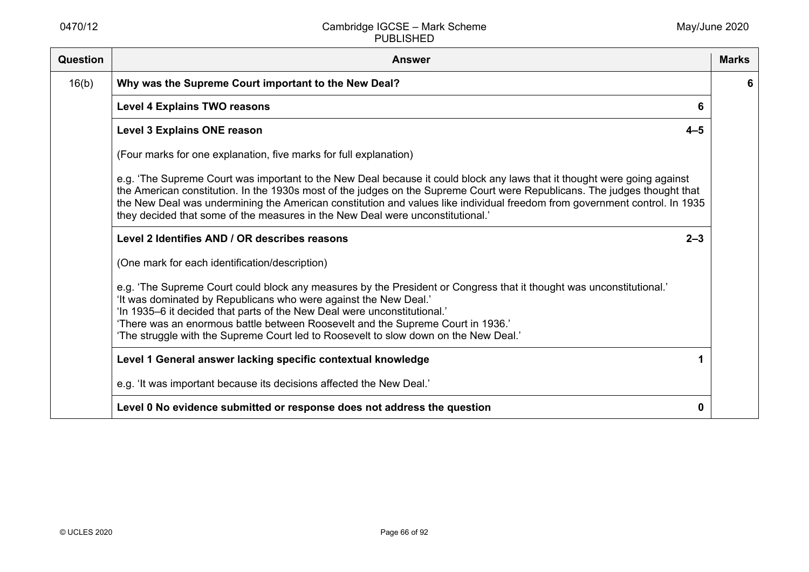| <b>Question</b> | <b>Answer</b>                                                                                                                                                                                                                                                                                                                                                                                                                                                         | <b>Marks</b> |
|-----------------|-----------------------------------------------------------------------------------------------------------------------------------------------------------------------------------------------------------------------------------------------------------------------------------------------------------------------------------------------------------------------------------------------------------------------------------------------------------------------|--------------|
| 16(b)           | Why was the Supreme Court important to the New Deal?                                                                                                                                                                                                                                                                                                                                                                                                                  | 6            |
|                 | <b>Level 4 Explains TWO reasons</b><br>6                                                                                                                                                                                                                                                                                                                                                                                                                              |              |
|                 | <b>Level 3 Explains ONE reason</b><br>$4 - 5$                                                                                                                                                                                                                                                                                                                                                                                                                         |              |
|                 | (Four marks for one explanation, five marks for full explanation)                                                                                                                                                                                                                                                                                                                                                                                                     |              |
|                 | e.g. 'The Supreme Court was important to the New Deal because it could block any laws that it thought were going against<br>the American constitution. In the 1930s most of the judges on the Supreme Court were Republicans. The judges thought that<br>the New Deal was undermining the American constitution and values like individual freedom from government control. In 1935<br>they decided that some of the measures in the New Deal were unconstitutional.' |              |
|                 | Level 2 Identifies AND / OR describes reasons<br>$2 - 3$                                                                                                                                                                                                                                                                                                                                                                                                              |              |
|                 | (One mark for each identification/description)                                                                                                                                                                                                                                                                                                                                                                                                                        |              |
|                 | e.g. 'The Supreme Court could block any measures by the President or Congress that it thought was unconstitutional.'<br>'It was dominated by Republicans who were against the New Deal.'<br>'In 1935-6 it decided that parts of the New Deal were unconstitutional.'<br>'There was an enormous battle between Roosevelt and the Supreme Court in 1936.'<br>'The struggle with the Supreme Court led to Roosevelt to slow down on the New Deal.'                       |              |
|                 | Level 1 General answer lacking specific contextual knowledge                                                                                                                                                                                                                                                                                                                                                                                                          |              |
|                 | e.g. 'It was important because its decisions affected the New Deal.'                                                                                                                                                                                                                                                                                                                                                                                                  |              |
|                 | Level 0 No evidence submitted or response does not address the question<br>0                                                                                                                                                                                                                                                                                                                                                                                          |              |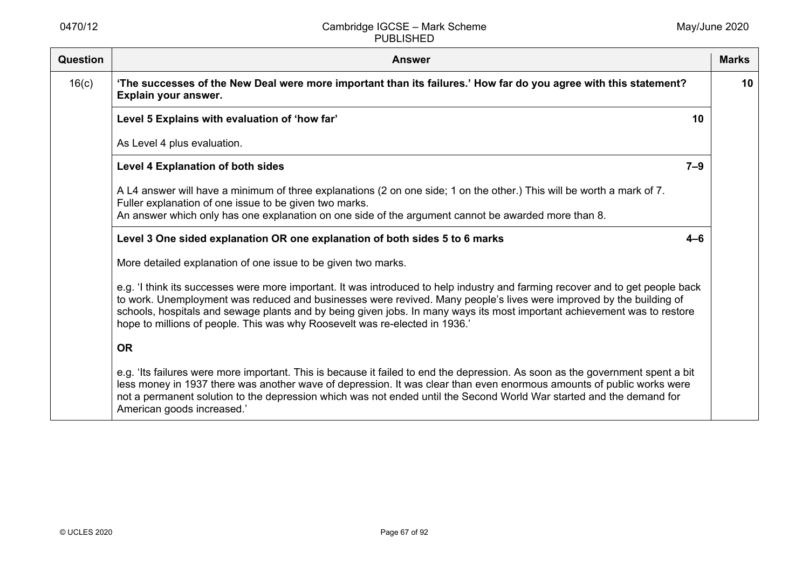| <b>Question</b> | <b>Answer</b>                                                                                                                                                                                                                                                                                                                                                                                                                                                    | <b>Marks</b> |
|-----------------|------------------------------------------------------------------------------------------------------------------------------------------------------------------------------------------------------------------------------------------------------------------------------------------------------------------------------------------------------------------------------------------------------------------------------------------------------------------|--------------|
| 16(c)           | 'The successes of the New Deal were more important than its failures.' How far do you agree with this statement?<br>Explain your answer.                                                                                                                                                                                                                                                                                                                         | 10           |
|                 | Level 5 Explains with evaluation of 'how far'<br>10                                                                                                                                                                                                                                                                                                                                                                                                              |              |
|                 | As Level 4 plus evaluation.                                                                                                                                                                                                                                                                                                                                                                                                                                      |              |
|                 | <b>Level 4 Explanation of both sides</b><br>$7 - 9$                                                                                                                                                                                                                                                                                                                                                                                                              |              |
|                 | A L4 answer will have a minimum of three explanations (2 on one side; 1 on the other.) This will be worth a mark of 7.<br>Fuller explanation of one issue to be given two marks.                                                                                                                                                                                                                                                                                 |              |
|                 | An answer which only has one explanation on one side of the argument cannot be awarded more than 8.                                                                                                                                                                                                                                                                                                                                                              |              |
|                 | Level 3 One sided explanation OR one explanation of both sides 5 to 6 marks<br>$4 - 6$                                                                                                                                                                                                                                                                                                                                                                           |              |
|                 | More detailed explanation of one issue to be given two marks.                                                                                                                                                                                                                                                                                                                                                                                                    |              |
|                 | e.g. 'I think its successes were more important. It was introduced to help industry and farming recover and to get people back<br>to work. Unemployment was reduced and businesses were revived. Many people's lives were improved by the building of<br>schools, hospitals and sewage plants and by being given jobs. In many ways its most important achievement was to restore<br>hope to millions of people. This was why Roosevelt was re-elected in 1936.' |              |
|                 | <b>OR</b>                                                                                                                                                                                                                                                                                                                                                                                                                                                        |              |
|                 | e.g. 'Its failures were more important. This is because it failed to end the depression. As soon as the government spent a bit<br>less money in 1937 there was another wave of depression. It was clear than even enormous amounts of public works were<br>not a permanent solution to the depression which was not ended until the Second World War started and the demand for<br>American goods increased.'                                                    |              |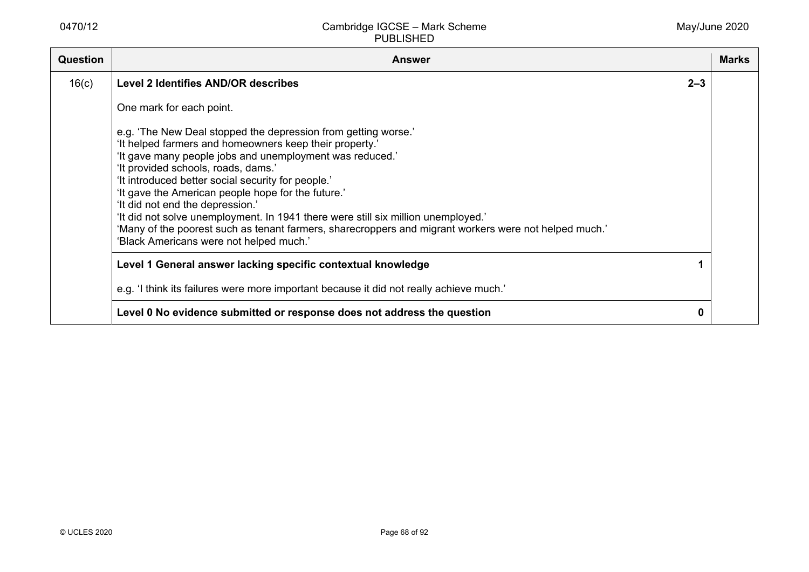| Question | <b>Answer</b>                                                                                                                                                                                                                                                                                                                                                                                                                                                                                                                                                                                                         |         | <b>Marks</b> |
|----------|-----------------------------------------------------------------------------------------------------------------------------------------------------------------------------------------------------------------------------------------------------------------------------------------------------------------------------------------------------------------------------------------------------------------------------------------------------------------------------------------------------------------------------------------------------------------------------------------------------------------------|---------|--------------|
| 16(c)    | <b>Level 2 Identifies AND/OR describes</b>                                                                                                                                                                                                                                                                                                                                                                                                                                                                                                                                                                            | $2 - 3$ |              |
|          | One mark for each point.                                                                                                                                                                                                                                                                                                                                                                                                                                                                                                                                                                                              |         |              |
|          | e.g. 'The New Deal stopped the depression from getting worse.'<br>'It helped farmers and homeowners keep their property.'<br>'It gave many people jobs and unemployment was reduced.'<br>'It provided schools, roads, dams.'<br>'It introduced better social security for people.'<br>'It gave the American people hope for the future.'<br>'It did not end the depression.'<br>'It did not solve unemployment. In 1941 there were still six million unemployed.'<br>'Many of the poorest such as tenant farmers, sharecroppers and migrant workers were not helped much.'<br>'Black Americans were not helped much.' |         |              |
|          | Level 1 General answer lacking specific contextual knowledge                                                                                                                                                                                                                                                                                                                                                                                                                                                                                                                                                          |         |              |
|          | e.g. 'I think its failures were more important because it did not really achieve much.'                                                                                                                                                                                                                                                                                                                                                                                                                                                                                                                               |         |              |
|          | Level 0 No evidence submitted or response does not address the question                                                                                                                                                                                                                                                                                                                                                                                                                                                                                                                                               | 0       |              |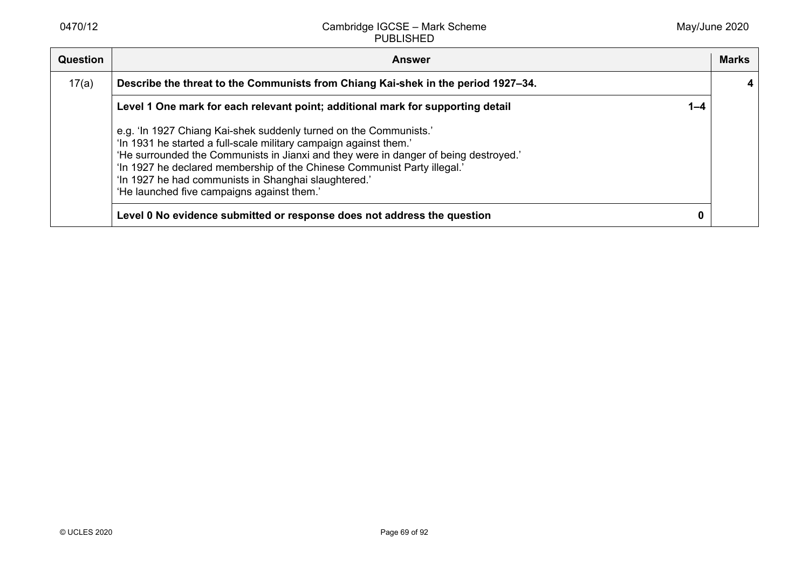| <b>Question</b> | <b>Answer</b>                                                                                                                                                                                                                                                                                                                                                                                                    |         | <b>Marks</b> |
|-----------------|------------------------------------------------------------------------------------------------------------------------------------------------------------------------------------------------------------------------------------------------------------------------------------------------------------------------------------------------------------------------------------------------------------------|---------|--------------|
| 17(a)           | Describe the threat to the Communists from Chiang Kai-shek in the period 1927-34.                                                                                                                                                                                                                                                                                                                                |         |              |
|                 | Level 1 One mark for each relevant point; additional mark for supporting detail                                                                                                                                                                                                                                                                                                                                  | $1 - 4$ |              |
|                 | e.g. 'In 1927 Chiang Kai-shek suddenly turned on the Communists.'<br>'In 1931 he started a full-scale military campaign against them.'<br>'He surrounded the Communists in Jianxi and they were in danger of being destroyed.'<br>'In 1927 he declared membership of the Chinese Communist Party illegal.'<br>'In 1927 he had communists in Shanghai slaughtered.'<br>'He launched five campaigns against them.' |         |              |
|                 | Level 0 No evidence submitted or response does not address the question                                                                                                                                                                                                                                                                                                                                          | 0       |              |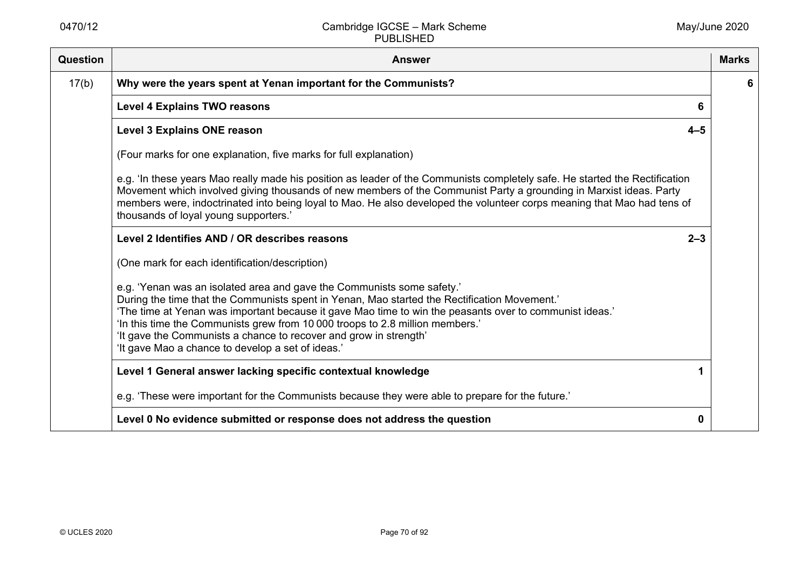| Question | <b>Answer</b>                                                                                                                                                                                                                                                                                                                                                                                                                                                                                | <b>Marks</b> |
|----------|----------------------------------------------------------------------------------------------------------------------------------------------------------------------------------------------------------------------------------------------------------------------------------------------------------------------------------------------------------------------------------------------------------------------------------------------------------------------------------------------|--------------|
| 17(b)    | Why were the years spent at Yenan important for the Communists?                                                                                                                                                                                                                                                                                                                                                                                                                              | 6            |
|          | <b>Level 4 Explains TWO reasons</b><br>6                                                                                                                                                                                                                                                                                                                                                                                                                                                     |              |
|          | <b>Level 3 Explains ONE reason</b><br>$4 - 5$                                                                                                                                                                                                                                                                                                                                                                                                                                                |              |
|          | (Four marks for one explanation, five marks for full explanation)                                                                                                                                                                                                                                                                                                                                                                                                                            |              |
|          | e.g. 'In these years Mao really made his position as leader of the Communists completely safe. He started the Rectification<br>Movement which involved giving thousands of new members of the Communist Party a grounding in Marxist ideas. Party<br>members were, indoctrinated into being loyal to Mao. He also developed the volunteer corps meaning that Mao had tens of<br>thousands of loyal young supporters.'                                                                        |              |
|          | Level 2 Identifies AND / OR describes reasons<br>$2 - 3$                                                                                                                                                                                                                                                                                                                                                                                                                                     |              |
|          | (One mark for each identification/description)                                                                                                                                                                                                                                                                                                                                                                                                                                               |              |
|          | e.g. 'Yenan was an isolated area and gave the Communists some safety.'<br>During the time that the Communists spent in Yenan, Mao started the Rectification Movement.'<br>'The time at Yenan was important because it gave Mao time to win the peasants over to communist ideas.'<br>'In this time the Communists grew from 10 000 troops to 2.8 million members.'<br>'It gave the Communists a chance to recover and grow in strength'<br>'It gave Mao a chance to develop a set of ideas.' |              |
|          | Level 1 General answer lacking specific contextual knowledge                                                                                                                                                                                                                                                                                                                                                                                                                                 |              |
|          | e.g. 'These were important for the Communists because they were able to prepare for the future.'                                                                                                                                                                                                                                                                                                                                                                                             |              |
|          | Level 0 No evidence submitted or response does not address the question<br>0                                                                                                                                                                                                                                                                                                                                                                                                                 |              |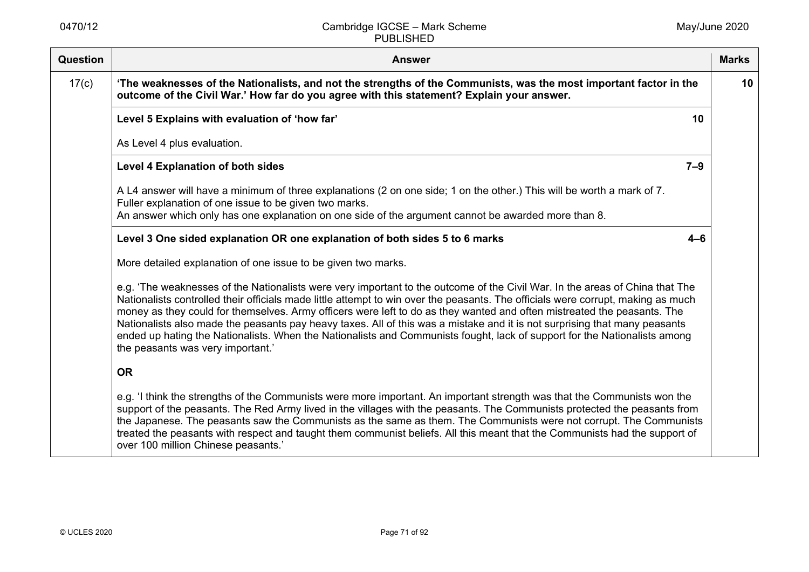| <b>Question</b> | <b>Answer</b>                                                                                                                                                                                                                                                                                                                                                                                                                                                                                                                                                                                                                                                                               | <b>Marks</b> |
|-----------------|---------------------------------------------------------------------------------------------------------------------------------------------------------------------------------------------------------------------------------------------------------------------------------------------------------------------------------------------------------------------------------------------------------------------------------------------------------------------------------------------------------------------------------------------------------------------------------------------------------------------------------------------------------------------------------------------|--------------|
| 17(c)           | 'The weaknesses of the Nationalists, and not the strengths of the Communists, was the most important factor in the<br>outcome of the Civil War.' How far do you agree with this statement? Explain your answer.                                                                                                                                                                                                                                                                                                                                                                                                                                                                             | 10           |
|                 | Level 5 Explains with evaluation of 'how far'<br>10                                                                                                                                                                                                                                                                                                                                                                                                                                                                                                                                                                                                                                         |              |
|                 | As Level 4 plus evaluation.                                                                                                                                                                                                                                                                                                                                                                                                                                                                                                                                                                                                                                                                 |              |
|                 | $7 - 9$<br><b>Level 4 Explanation of both sides</b>                                                                                                                                                                                                                                                                                                                                                                                                                                                                                                                                                                                                                                         |              |
|                 | A L4 answer will have a minimum of three explanations (2 on one side; 1 on the other.) This will be worth a mark of 7.<br>Fuller explanation of one issue to be given two marks.<br>An answer which only has one explanation on one side of the argument cannot be awarded more than 8.                                                                                                                                                                                                                                                                                                                                                                                                     |              |
|                 | Level 3 One sided explanation OR one explanation of both sides 5 to 6 marks<br>$4 - 6$                                                                                                                                                                                                                                                                                                                                                                                                                                                                                                                                                                                                      |              |
|                 | More detailed explanation of one issue to be given two marks.                                                                                                                                                                                                                                                                                                                                                                                                                                                                                                                                                                                                                               |              |
|                 | e.g. 'The weaknesses of the Nationalists were very important to the outcome of the Civil War. In the areas of China that The<br>Nationalists controlled their officials made little attempt to win over the peasants. The officials were corrupt, making as much<br>money as they could for themselves. Army officers were left to do as they wanted and often mistreated the peasants. The<br>Nationalists also made the peasants pay heavy taxes. All of this was a mistake and it is not surprising that many peasants<br>ended up hating the Nationalists. When the Nationalists and Communists fought, lack of support for the Nationalists among<br>the peasants was very important.' |              |
|                 | <b>OR</b>                                                                                                                                                                                                                                                                                                                                                                                                                                                                                                                                                                                                                                                                                   |              |
|                 | e.g. 'I think the strengths of the Communists were more important. An important strength was that the Communists won the<br>support of the peasants. The Red Army lived in the villages with the peasants. The Communists protected the peasants from<br>the Japanese. The peasants saw the Communists as the same as them. The Communists were not corrupt. The Communists<br>treated the peasants with respect and taught them communist beliefs. All this meant that the Communists had the support of<br>over 100 million Chinese peasants.'                                                                                                                                            |              |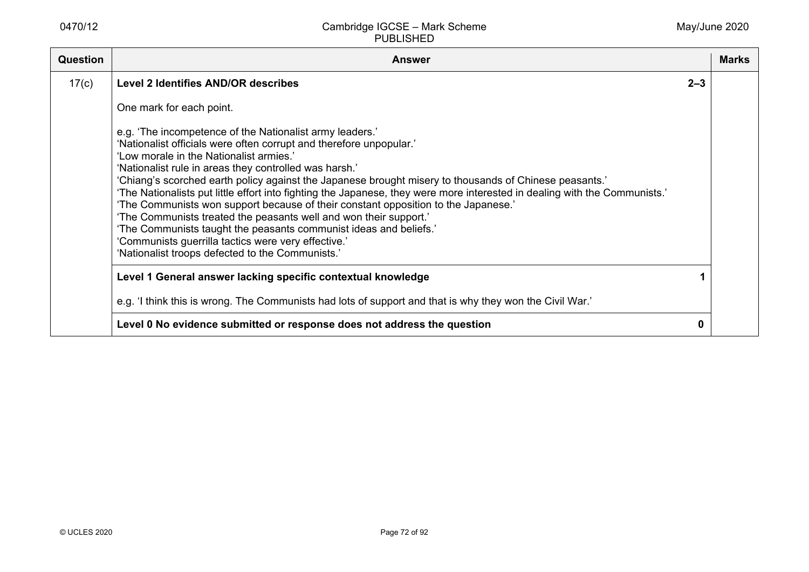| <b>Question</b> | <b>Answer</b>                                                                                                                                                                                                                                                                                                                                                                                                                                                                                                                                                                                                                                                                                                                                                                                                           |         | <b>Marks</b> |
|-----------------|-------------------------------------------------------------------------------------------------------------------------------------------------------------------------------------------------------------------------------------------------------------------------------------------------------------------------------------------------------------------------------------------------------------------------------------------------------------------------------------------------------------------------------------------------------------------------------------------------------------------------------------------------------------------------------------------------------------------------------------------------------------------------------------------------------------------------|---------|--------------|
| 17(c)           | <b>Level 2 Identifies AND/OR describes</b>                                                                                                                                                                                                                                                                                                                                                                                                                                                                                                                                                                                                                                                                                                                                                                              | $2 - 3$ |              |
|                 | One mark for each point.                                                                                                                                                                                                                                                                                                                                                                                                                                                                                                                                                                                                                                                                                                                                                                                                |         |              |
|                 | e.g. 'The incompetence of the Nationalist army leaders.'<br>'Nationalist officials were often corrupt and therefore unpopular.'<br>'Low morale in the Nationalist armies.'<br>'Nationalist rule in areas they controlled was harsh.'<br>'Chiang's scorched earth policy against the Japanese brought misery to thousands of Chinese peasants.'<br>'The Nationalists put little effort into fighting the Japanese, they were more interested in dealing with the Communists.'<br>'The Communists won support because of their constant opposition to the Japanese.'<br>'The Communists treated the peasants well and won their support.'<br>'The Communists taught the peasants communist ideas and beliefs.'<br>'Communists guerrilla tactics were very effective.'<br>'Nationalist troops defected to the Communists.' |         |              |
|                 | Level 1 General answer lacking specific contextual knowledge                                                                                                                                                                                                                                                                                                                                                                                                                                                                                                                                                                                                                                                                                                                                                            |         |              |
|                 | e.g. 'I think this is wrong. The Communists had lots of support and that is why they won the Civil War.'                                                                                                                                                                                                                                                                                                                                                                                                                                                                                                                                                                                                                                                                                                                |         |              |
|                 | Level 0 No evidence submitted or response does not address the question                                                                                                                                                                                                                                                                                                                                                                                                                                                                                                                                                                                                                                                                                                                                                 |         |              |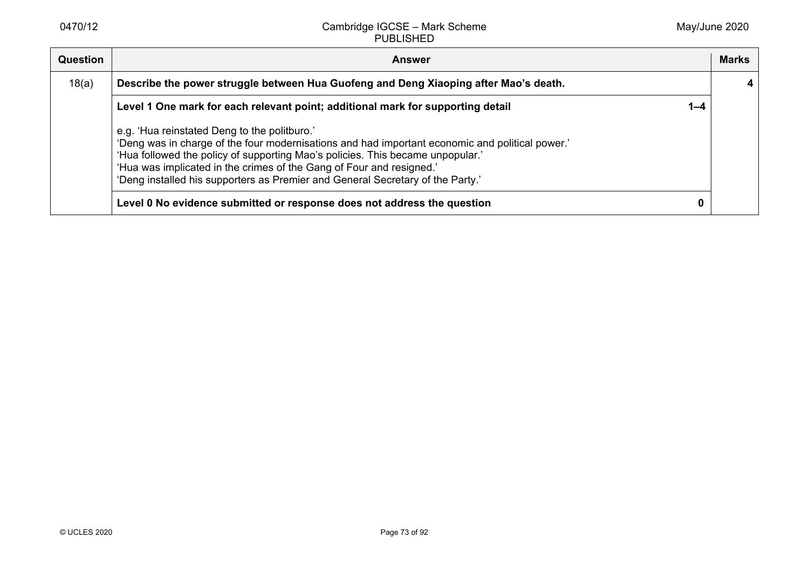| Question | <b>Answer</b>                                                                                                                                                                                                                                                                                                                                                                               |         | <b>Marks</b> |
|----------|---------------------------------------------------------------------------------------------------------------------------------------------------------------------------------------------------------------------------------------------------------------------------------------------------------------------------------------------------------------------------------------------|---------|--------------|
| 18(a)    | Describe the power struggle between Hua Guofeng and Deng Xiaoping after Mao's death.                                                                                                                                                                                                                                                                                                        |         |              |
|          | Level 1 One mark for each relevant point; additional mark for supporting detail                                                                                                                                                                                                                                                                                                             | $1 - 4$ |              |
|          | e.g. 'Hua reinstated Deng to the politburo.'<br>'Deng was in charge of the four modernisations and had important economic and political power.'<br>'Hua followed the policy of supporting Mao's policies. This became unpopular.'<br>'Hua was implicated in the crimes of the Gang of Four and resigned.'<br>'Deng installed his supporters as Premier and General Secretary of the Party.' |         |              |
|          | Level 0 No evidence submitted or response does not address the question                                                                                                                                                                                                                                                                                                                     | 0       |              |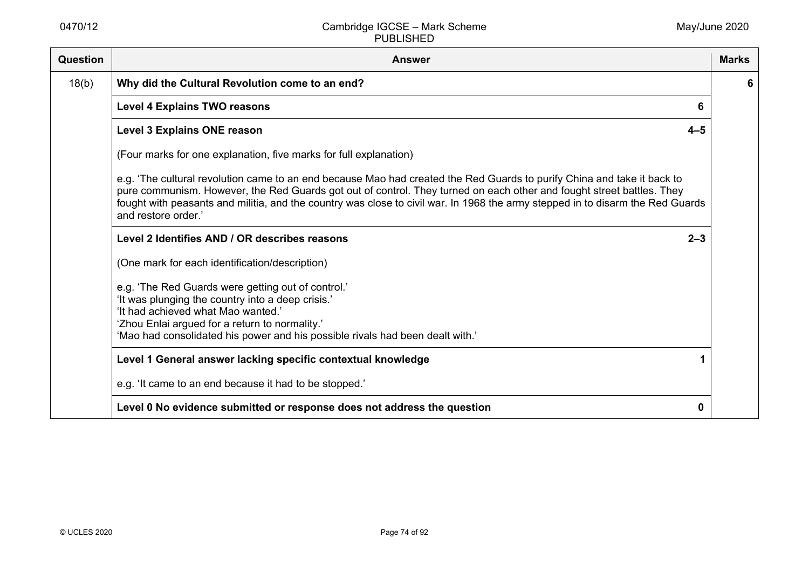| Question | <b>Answer</b>                                                                                                                                                                                                                                                                                                                                                                                             | <b>Marks</b> |
|----------|-----------------------------------------------------------------------------------------------------------------------------------------------------------------------------------------------------------------------------------------------------------------------------------------------------------------------------------------------------------------------------------------------------------|--------------|
| 18(b)    | Why did the Cultural Revolution come to an end?                                                                                                                                                                                                                                                                                                                                                           | 6            |
|          | <b>Level 4 Explains TWO reasons</b><br>6                                                                                                                                                                                                                                                                                                                                                                  |              |
|          | <b>Level 3 Explains ONE reason</b><br>$4 - 5$                                                                                                                                                                                                                                                                                                                                                             |              |
|          | (Four marks for one explanation, five marks for full explanation)                                                                                                                                                                                                                                                                                                                                         |              |
|          | e.g. 'The cultural revolution came to an end because Mao had created the Red Guards to purify China and take it back to<br>pure communism. However, the Red Guards got out of control. They turned on each other and fought street battles. They<br>fought with peasants and militia, and the country was close to civil war. In 1968 the army stepped in to disarm the Red Guards<br>and restore order.' |              |
|          | Level 2 Identifies AND / OR describes reasons<br>$2 - 3$                                                                                                                                                                                                                                                                                                                                                  |              |
|          | (One mark for each identification/description)                                                                                                                                                                                                                                                                                                                                                            |              |
|          | e.g. 'The Red Guards were getting out of control.'<br>'It was plunging the country into a deep crisis.'<br>'It had achieved what Mao wanted.'<br>'Zhou Enlai argued for a return to normality.'<br>'Mao had consolidated his power and his possible rivals had been dealt with.'                                                                                                                          |              |
|          | Level 1 General answer lacking specific contextual knowledge                                                                                                                                                                                                                                                                                                                                              |              |
|          | e.g. 'It came to an end because it had to be stopped.'                                                                                                                                                                                                                                                                                                                                                    |              |
|          | Level 0 No evidence submitted or response does not address the question<br>0                                                                                                                                                                                                                                                                                                                              |              |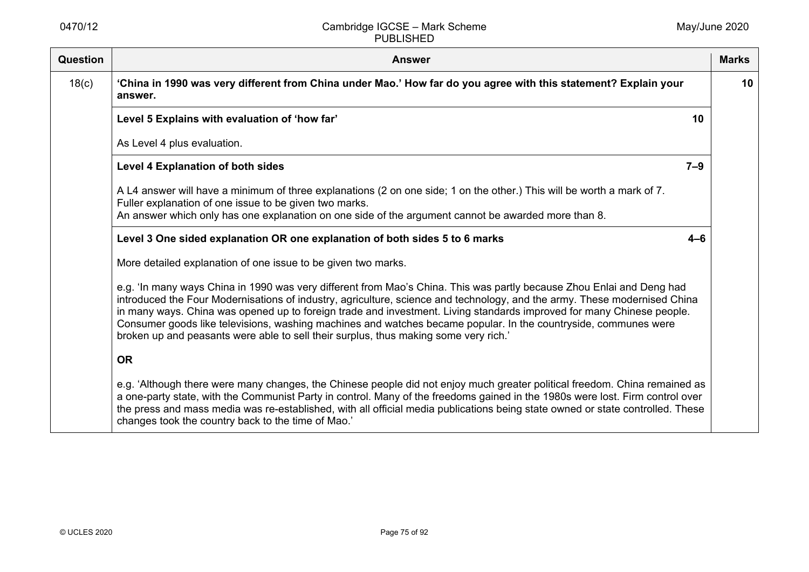| <b>Question</b> | <b>Answer</b>                                                                                                                                                                                                                                                                                                                                                                                                                                                                                                                                                                          | <b>Marks</b> |
|-----------------|----------------------------------------------------------------------------------------------------------------------------------------------------------------------------------------------------------------------------------------------------------------------------------------------------------------------------------------------------------------------------------------------------------------------------------------------------------------------------------------------------------------------------------------------------------------------------------------|--------------|
| 18(c)           | 'China in 1990 was very different from China under Mao.' How far do you agree with this statement? Explain your<br>answer.                                                                                                                                                                                                                                                                                                                                                                                                                                                             | 10           |
|                 | Level 5 Explains with evaluation of 'how far'<br>10                                                                                                                                                                                                                                                                                                                                                                                                                                                                                                                                    |              |
|                 | As Level 4 plus evaluation.                                                                                                                                                                                                                                                                                                                                                                                                                                                                                                                                                            |              |
|                 | $7 - 9$<br><b>Level 4 Explanation of both sides</b>                                                                                                                                                                                                                                                                                                                                                                                                                                                                                                                                    |              |
|                 | A L4 answer will have a minimum of three explanations (2 on one side; 1 on the other.) This will be worth a mark of 7.<br>Fuller explanation of one issue to be given two marks.                                                                                                                                                                                                                                                                                                                                                                                                       |              |
|                 | An answer which only has one explanation on one side of the argument cannot be awarded more than 8.                                                                                                                                                                                                                                                                                                                                                                                                                                                                                    |              |
|                 | Level 3 One sided explanation OR one explanation of both sides 5 to 6 marks<br>$4 - 6$                                                                                                                                                                                                                                                                                                                                                                                                                                                                                                 |              |
|                 | More detailed explanation of one issue to be given two marks.                                                                                                                                                                                                                                                                                                                                                                                                                                                                                                                          |              |
|                 | e.g. 'In many ways China in 1990 was very different from Mao's China. This was partly because Zhou Enlai and Deng had<br>introduced the Four Modernisations of industry, agriculture, science and technology, and the army. These modernised China<br>in many ways. China was opened up to foreign trade and investment. Living standards improved for many Chinese people.<br>Consumer goods like televisions, washing machines and watches became popular. In the countryside, communes were<br>broken up and peasants were able to sell their surplus, thus making some very rich.' |              |
|                 | <b>OR</b>                                                                                                                                                                                                                                                                                                                                                                                                                                                                                                                                                                              |              |
|                 | e.g. 'Although there were many changes, the Chinese people did not enjoy much greater political freedom. China remained as<br>a one-party state, with the Communist Party in control. Many of the freedoms gained in the 1980s were lost. Firm control over<br>the press and mass media was re-established, with all official media publications being state owned or state controlled. These<br>changes took the country back to the time of Mao.'                                                                                                                                    |              |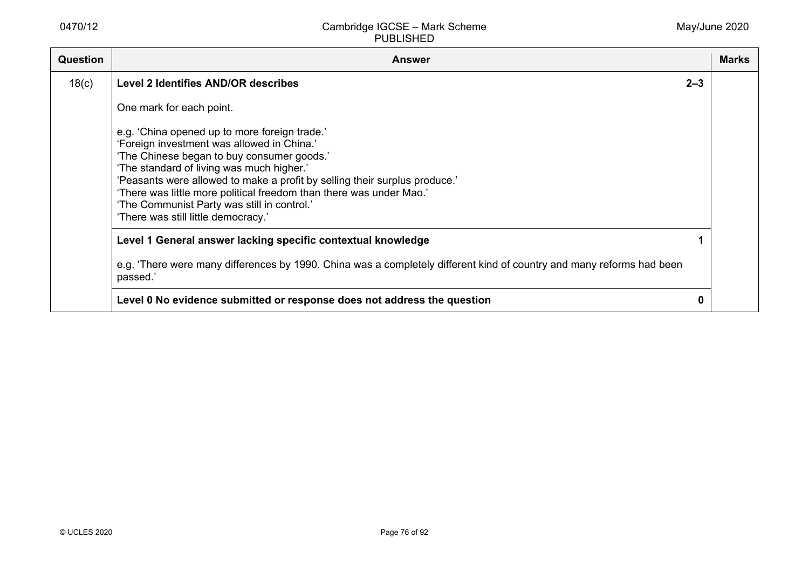| Question | <b>Answer</b>                                                                                                                                                                                                                                                                                                                                                                                                                     |         | <b>Marks</b> |
|----------|-----------------------------------------------------------------------------------------------------------------------------------------------------------------------------------------------------------------------------------------------------------------------------------------------------------------------------------------------------------------------------------------------------------------------------------|---------|--------------|
| 18(c)    | <b>Level 2 Identifies AND/OR describes</b>                                                                                                                                                                                                                                                                                                                                                                                        | $2 - 3$ |              |
|          | One mark for each point.                                                                                                                                                                                                                                                                                                                                                                                                          |         |              |
|          | e.g. 'China opened up to more foreign trade.'<br>'Foreign investment was allowed in China.'<br>'The Chinese began to buy consumer goods.'<br>'The standard of living was much higher.'<br>'Peasants were allowed to make a profit by selling their surplus produce.'<br>'There was little more political freedom than there was under Mao.'<br>'The Communist Party was still in control.'<br>'There was still little democracy.' |         |              |
|          | Level 1 General answer lacking specific contextual knowledge                                                                                                                                                                                                                                                                                                                                                                      |         |              |
|          | e.g. 'There were many differences by 1990. China was a completely different kind of country and many reforms had been<br>passed.'                                                                                                                                                                                                                                                                                                 |         |              |
|          | Level 0 No evidence submitted or response does not address the question                                                                                                                                                                                                                                                                                                                                                           | 0       |              |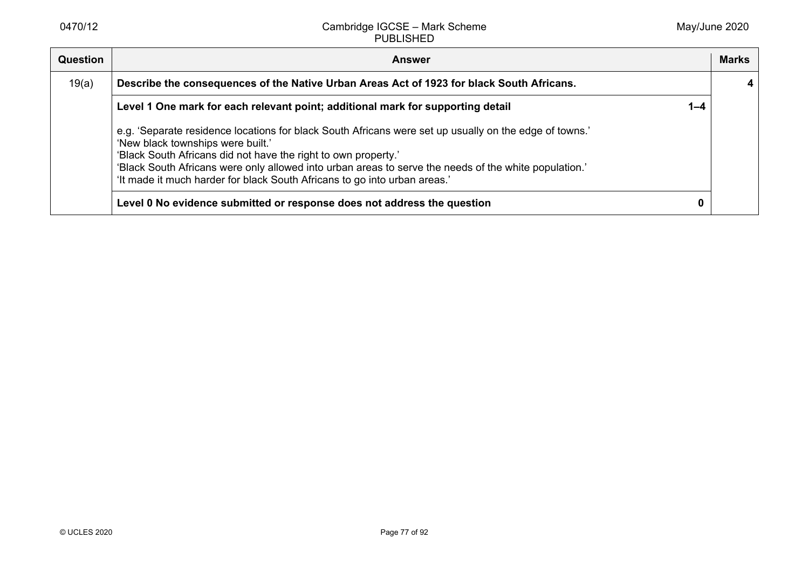| Question | <b>Answer</b>                                                                                                                                                                                                                                                                                                                                                                                       |         | <b>Marks</b> |
|----------|-----------------------------------------------------------------------------------------------------------------------------------------------------------------------------------------------------------------------------------------------------------------------------------------------------------------------------------------------------------------------------------------------------|---------|--------------|
| 19(a)    | Describe the consequences of the Native Urban Areas Act of 1923 for black South Africans.                                                                                                                                                                                                                                                                                                           |         |              |
|          | Level 1 One mark for each relevant point; additional mark for supporting detail                                                                                                                                                                                                                                                                                                                     | $1 - 4$ |              |
|          | e.g. 'Separate residence locations for black South Africans were set up usually on the edge of towns.'<br>'New black townships were built.'<br>'Black South Africans did not have the right to own property.'<br>'Black South Africans were only allowed into urban areas to serve the needs of the white population.'<br>'It made it much harder for black South Africans to go into urban areas.' |         |              |
|          | Level 0 No evidence submitted or response does not address the question                                                                                                                                                                                                                                                                                                                             |         |              |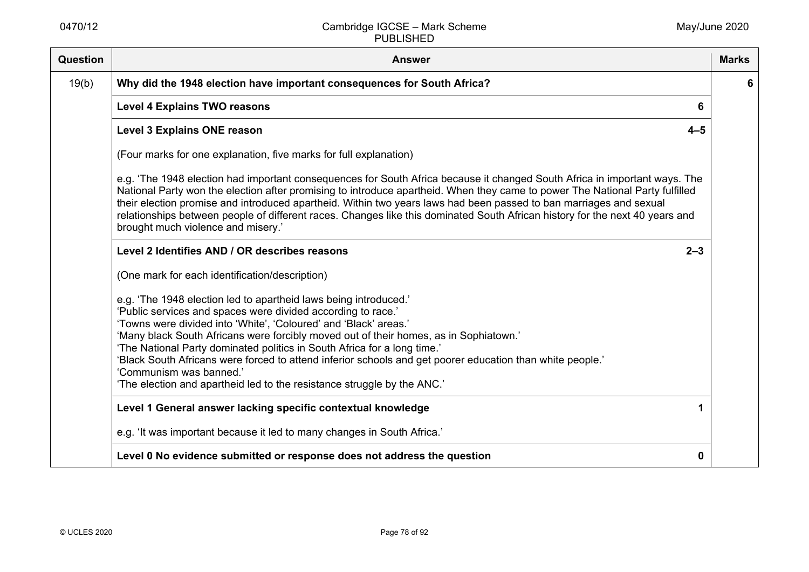| <b>Question</b> | <b>Answer</b>                                                                                                                                                                                                                                                                                                                                                                                                                                                                                                                                                                                | <b>Marks</b> |
|-----------------|----------------------------------------------------------------------------------------------------------------------------------------------------------------------------------------------------------------------------------------------------------------------------------------------------------------------------------------------------------------------------------------------------------------------------------------------------------------------------------------------------------------------------------------------------------------------------------------------|--------------|
| 19(b)           | Why did the 1948 election have important consequences for South Africa?                                                                                                                                                                                                                                                                                                                                                                                                                                                                                                                      | 6            |
|                 | <b>Level 4 Explains TWO reasons</b><br>6                                                                                                                                                                                                                                                                                                                                                                                                                                                                                                                                                     |              |
|                 | <b>Level 3 Explains ONE reason</b><br>$4 - 5$                                                                                                                                                                                                                                                                                                                                                                                                                                                                                                                                                |              |
|                 | (Four marks for one explanation, five marks for full explanation)                                                                                                                                                                                                                                                                                                                                                                                                                                                                                                                            |              |
|                 | e.g. 'The 1948 election had important consequences for South Africa because it changed South Africa in important ways. The<br>National Party won the election after promising to introduce apartheid. When they came to power The National Party fulfilled<br>their election promise and introduced apartheid. Within two years laws had been passed to ban marriages and sexual<br>relationships between people of different races. Changes like this dominated South African history for the next 40 years and<br>brought much violence and misery.'                                       |              |
|                 | Level 2 Identifies AND / OR describes reasons<br>$2 - 3$                                                                                                                                                                                                                                                                                                                                                                                                                                                                                                                                     |              |
|                 | (One mark for each identification/description)                                                                                                                                                                                                                                                                                                                                                                                                                                                                                                                                               |              |
|                 | e.g. 'The 1948 election led to apartheid laws being introduced.'<br>'Public services and spaces were divided according to race.'<br>'Towns were divided into 'White', 'Coloured' and 'Black' areas.'<br>'Many black South Africans were forcibly moved out of their homes, as in Sophiatown.'<br>'The National Party dominated politics in South Africa for a long time.'<br>'Black South Africans were forced to attend inferior schools and get poorer education than white people.'<br>'Communism was banned.'<br>'The election and apartheid led to the resistance struggle by the ANC.' |              |
|                 | Level 1 General answer lacking specific contextual knowledge                                                                                                                                                                                                                                                                                                                                                                                                                                                                                                                                 |              |
|                 | e.g. 'It was important because it led to many changes in South Africa.'                                                                                                                                                                                                                                                                                                                                                                                                                                                                                                                      |              |
|                 | Level 0 No evidence submitted or response does not address the question<br>0                                                                                                                                                                                                                                                                                                                                                                                                                                                                                                                 |              |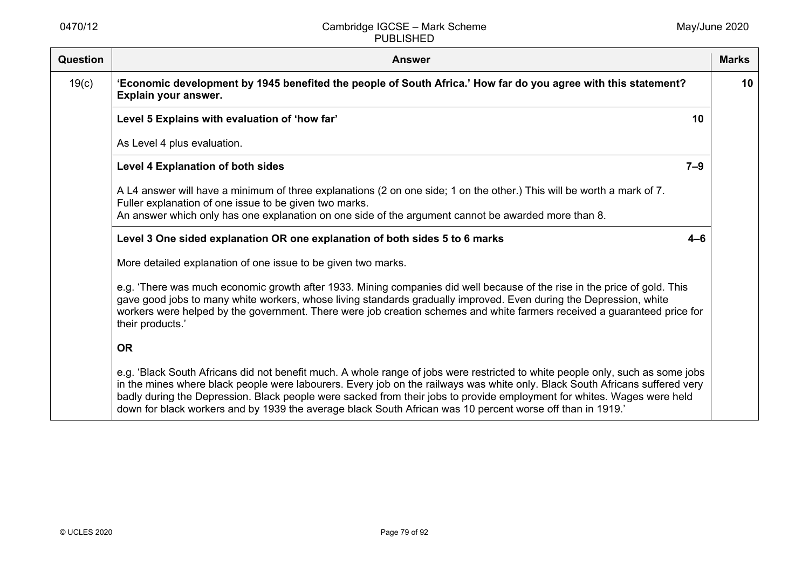| <b>Question</b> | <b>Answer</b>                                                                                                                                                                                                                                                                                                                                                                                                                                                                                           | <b>Marks</b>    |
|-----------------|---------------------------------------------------------------------------------------------------------------------------------------------------------------------------------------------------------------------------------------------------------------------------------------------------------------------------------------------------------------------------------------------------------------------------------------------------------------------------------------------------------|-----------------|
| 19(c)           | 'Economic development by 1945 benefited the people of South Africa.' How far do you agree with this statement?<br>Explain your answer.                                                                                                                                                                                                                                                                                                                                                                  | 10 <sup>°</sup> |
|                 | Level 5 Explains with evaluation of 'how far'<br>10                                                                                                                                                                                                                                                                                                                                                                                                                                                     |                 |
|                 | As Level 4 plus evaluation.                                                                                                                                                                                                                                                                                                                                                                                                                                                                             |                 |
|                 | <b>Level 4 Explanation of both sides</b><br>$7 - 9$                                                                                                                                                                                                                                                                                                                                                                                                                                                     |                 |
|                 | A L4 answer will have a minimum of three explanations (2 on one side; 1 on the other.) This will be worth a mark of 7.<br>Fuller explanation of one issue to be given two marks.<br>An answer which only has one explanation on one side of the argument cannot be awarded more than 8.                                                                                                                                                                                                                 |                 |
|                 | Level 3 One sided explanation OR one explanation of both sides 5 to 6 marks<br>$4 - 6$                                                                                                                                                                                                                                                                                                                                                                                                                  |                 |
|                 | More detailed explanation of one issue to be given two marks.                                                                                                                                                                                                                                                                                                                                                                                                                                           |                 |
|                 | e.g. 'There was much economic growth after 1933. Mining companies did well because of the rise in the price of gold. This<br>gave good jobs to many white workers, whose living standards gradually improved. Even during the Depression, white<br>workers were helped by the government. There were job creation schemes and white farmers received a guaranteed price for<br>their products.'                                                                                                         |                 |
|                 | <b>OR</b>                                                                                                                                                                                                                                                                                                                                                                                                                                                                                               |                 |
|                 | e.g. 'Black South Africans did not benefit much. A whole range of jobs were restricted to white people only, such as some jobs<br>in the mines where black people were labourers. Every job on the railways was white only. Black South Africans suffered very<br>badly during the Depression. Black people were sacked from their jobs to provide employment for whites. Wages were held<br>down for black workers and by 1939 the average black South African was 10 percent worse off than in 1919.' |                 |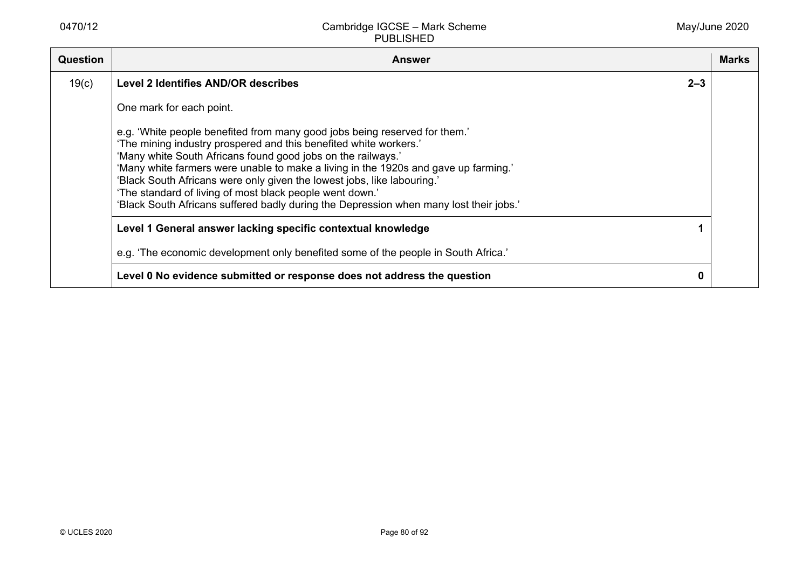| Question | Answer                                                                                                                                                                                                                                                                                                                                                                                                                                                                                                                                  | <b>Marks</b> |
|----------|-----------------------------------------------------------------------------------------------------------------------------------------------------------------------------------------------------------------------------------------------------------------------------------------------------------------------------------------------------------------------------------------------------------------------------------------------------------------------------------------------------------------------------------------|--------------|
| 19(c)    | <b>Level 2 Identifies AND/OR describes</b><br>$2 - 3$                                                                                                                                                                                                                                                                                                                                                                                                                                                                                   |              |
|          | One mark for each point.                                                                                                                                                                                                                                                                                                                                                                                                                                                                                                                |              |
|          | e.g. 'White people benefited from many good jobs being reserved for them.'<br>'The mining industry prospered and this benefited white workers.'<br>'Many white South Africans found good jobs on the railways.'<br>'Many white farmers were unable to make a living in the 1920s and gave up farming.'<br>'Black South Africans were only given the lowest jobs, like labouring.'<br>'The standard of living of most black people went down.'<br>'Black South Africans suffered badly during the Depression when many lost their jobs.' |              |
|          | Level 1 General answer lacking specific contextual knowledge                                                                                                                                                                                                                                                                                                                                                                                                                                                                            |              |
|          | e.g. 'The economic development only benefited some of the people in South Africa.'                                                                                                                                                                                                                                                                                                                                                                                                                                                      |              |
|          | Level 0 No evidence submitted or response does not address the question                                                                                                                                                                                                                                                                                                                                                                                                                                                                 |              |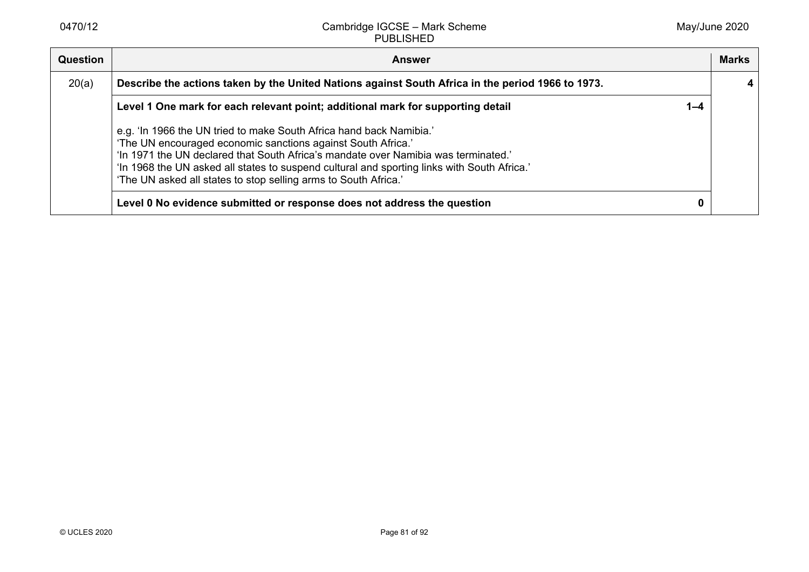| Question | <b>Answer</b>                                                                                                                                                                                                                                                                                                                                                                               | <b>Marks</b> |
|----------|---------------------------------------------------------------------------------------------------------------------------------------------------------------------------------------------------------------------------------------------------------------------------------------------------------------------------------------------------------------------------------------------|--------------|
| 20(a)    | Describe the actions taken by the United Nations against South Africa in the period 1966 to 1973.                                                                                                                                                                                                                                                                                           |              |
|          | Level 1 One mark for each relevant point; additional mark for supporting detail<br>$1 - 4$                                                                                                                                                                                                                                                                                                  |              |
|          | e.g. 'In 1966 the UN tried to make South Africa hand back Namibia.'<br>'The UN encouraged economic sanctions against South Africa.'<br>'In 1971 the UN declared that South Africa's mandate over Namibia was terminated.'<br>'In 1968 the UN asked all states to suspend cultural and sporting links with South Africa.'<br>'The UN asked all states to stop selling arms to South Africa.' |              |
|          | Level 0 No evidence submitted or response does not address the question                                                                                                                                                                                                                                                                                                                     |              |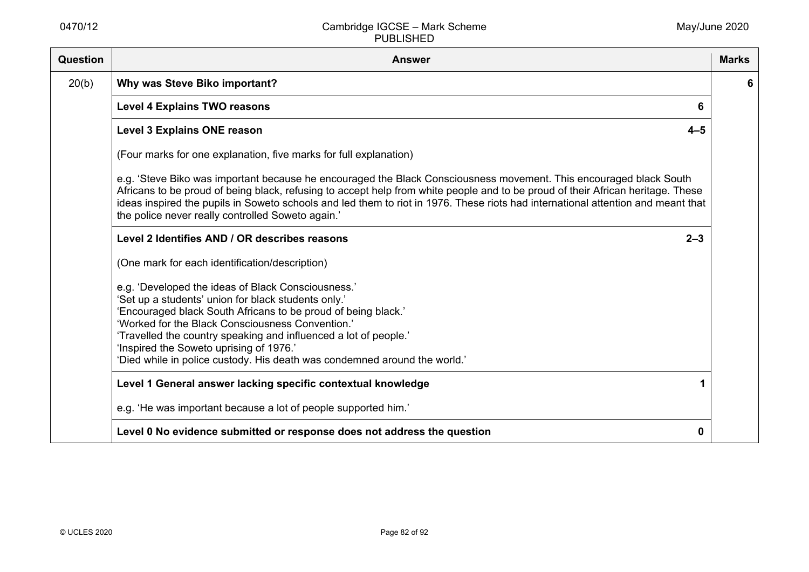| Question | <b>Answer</b>                                                                                                                                                                                                                                                                                                                                                                                                                                  | <b>Marks</b> |
|----------|------------------------------------------------------------------------------------------------------------------------------------------------------------------------------------------------------------------------------------------------------------------------------------------------------------------------------------------------------------------------------------------------------------------------------------------------|--------------|
| 20(b)    | Why was Steve Biko important?                                                                                                                                                                                                                                                                                                                                                                                                                  | 6            |
|          | <b>Level 4 Explains TWO reasons</b><br>6                                                                                                                                                                                                                                                                                                                                                                                                       |              |
|          | <b>Level 3 Explains ONE reason</b><br>$4 - 5$                                                                                                                                                                                                                                                                                                                                                                                                  |              |
|          | (Four marks for one explanation, five marks for full explanation)                                                                                                                                                                                                                                                                                                                                                                              |              |
|          | e.g. 'Steve Biko was important because he encouraged the Black Consciousness movement. This encouraged black South<br>Africans to be proud of being black, refusing to accept help from white people and to be proud of their African heritage. These<br>ideas inspired the pupils in Soweto schools and led them to riot in 1976. These riots had international attention and meant that<br>the police never really controlled Soweto again.' |              |
|          | Level 2 Identifies AND / OR describes reasons<br>$2 - 3$                                                                                                                                                                                                                                                                                                                                                                                       |              |
|          | (One mark for each identification/description)                                                                                                                                                                                                                                                                                                                                                                                                 |              |
|          | e.g. 'Developed the ideas of Black Consciousness.'<br>'Set up a students' union for black students only.'<br>'Encouraged black South Africans to be proud of being black.'<br>'Worked for the Black Consciousness Convention.'<br>'Travelled the country speaking and influenced a lot of people.'<br>'Inspired the Soweto uprising of 1976.'<br>'Died while in police custody. His death was condemned around the world.'                     |              |
|          | Level 1 General answer lacking specific contextual knowledge<br>1                                                                                                                                                                                                                                                                                                                                                                              |              |
|          | e.g. 'He was important because a lot of people supported him.'                                                                                                                                                                                                                                                                                                                                                                                 |              |
|          | Level 0 No evidence submitted or response does not address the question<br>0                                                                                                                                                                                                                                                                                                                                                                   |              |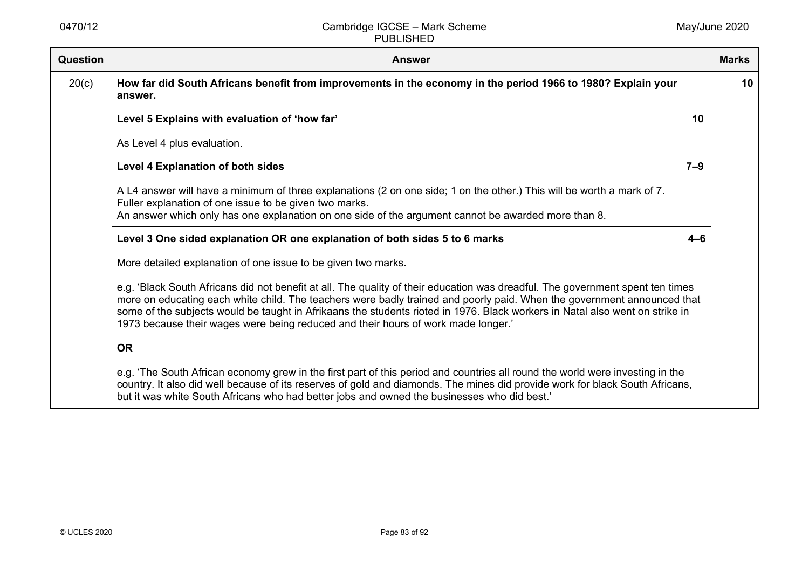| <b>Question</b> | <b>Answer</b>                                                                                                                                                                                                                                                                                                                                                                                                                                                                  | <b>Marks</b> |
|-----------------|--------------------------------------------------------------------------------------------------------------------------------------------------------------------------------------------------------------------------------------------------------------------------------------------------------------------------------------------------------------------------------------------------------------------------------------------------------------------------------|--------------|
| 20(c)           | How far did South Africans benefit from improvements in the economy in the period 1966 to 1980? Explain your<br>answer.                                                                                                                                                                                                                                                                                                                                                        | 10           |
|                 | Level 5 Explains with evaluation of 'how far'<br>10                                                                                                                                                                                                                                                                                                                                                                                                                            |              |
|                 | As Level 4 plus evaluation.                                                                                                                                                                                                                                                                                                                                                                                                                                                    |              |
|                 | <b>Level 4 Explanation of both sides</b><br>$7 - 9$                                                                                                                                                                                                                                                                                                                                                                                                                            |              |
|                 | A L4 answer will have a minimum of three explanations (2 on one side; 1 on the other.) This will be worth a mark of 7.<br>Fuller explanation of one issue to be given two marks.                                                                                                                                                                                                                                                                                               |              |
|                 | An answer which only has one explanation on one side of the argument cannot be awarded more than 8.                                                                                                                                                                                                                                                                                                                                                                            |              |
|                 | Level 3 One sided explanation OR one explanation of both sides 5 to 6 marks<br>$4 - 6$                                                                                                                                                                                                                                                                                                                                                                                         |              |
|                 | More detailed explanation of one issue to be given two marks.                                                                                                                                                                                                                                                                                                                                                                                                                  |              |
|                 | e.g. 'Black South Africans did not benefit at all. The quality of their education was dreadful. The government spent ten times<br>more on educating each white child. The teachers were badly trained and poorly paid. When the government announced that<br>some of the subjects would be taught in Afrikaans the students rioted in 1976. Black workers in Natal also went on strike in<br>1973 because their wages were being reduced and their hours of work made longer.' |              |
|                 | <b>OR</b>                                                                                                                                                                                                                                                                                                                                                                                                                                                                      |              |
|                 | e.g. 'The South African economy grew in the first part of this period and countries all round the world were investing in the<br>country. It also did well because of its reserves of gold and diamonds. The mines did provide work for black South Africans,<br>but it was white South Africans who had better jobs and owned the businesses who did best.'                                                                                                                   |              |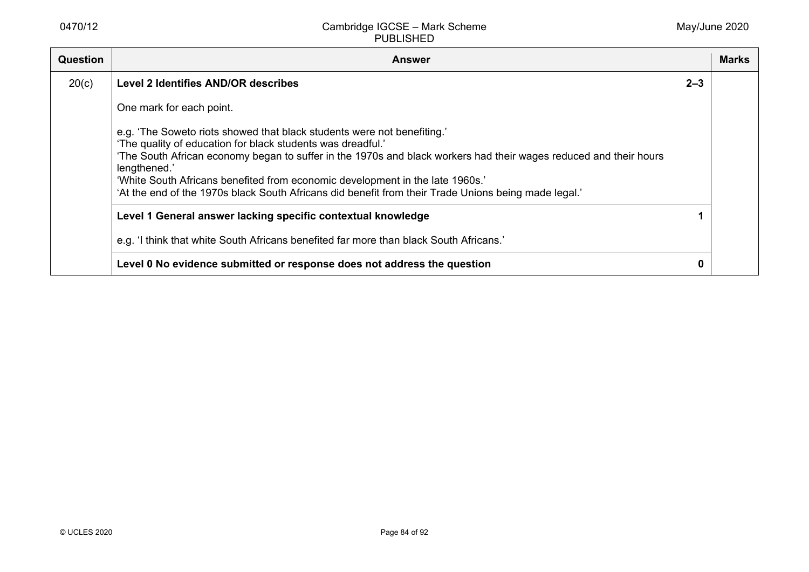| Question | <b>Answer</b>                                                                                                                                                                                                                                                                                                                                                                                                                                                        |         | <b>Marks</b> |
|----------|----------------------------------------------------------------------------------------------------------------------------------------------------------------------------------------------------------------------------------------------------------------------------------------------------------------------------------------------------------------------------------------------------------------------------------------------------------------------|---------|--------------|
| 20(c)    | <b>Level 2 Identifies AND/OR describes</b>                                                                                                                                                                                                                                                                                                                                                                                                                           | $2 - 3$ |              |
|          | One mark for each point.                                                                                                                                                                                                                                                                                                                                                                                                                                             |         |              |
|          | e.g. 'The Soweto riots showed that black students were not benefiting.'<br>'The quality of education for black students was dreadful.'<br>'The South African economy began to suffer in the 1970s and black workers had their wages reduced and their hours<br>lengthened.'<br>'White South Africans benefited from economic development in the late 1960s.'<br>'At the end of the 1970s black South Africans did benefit from their Trade Unions being made legal.' |         |              |
|          | Level 1 General answer lacking specific contextual knowledge                                                                                                                                                                                                                                                                                                                                                                                                         |         |              |
|          | e.g. 'I think that white South Africans benefited far more than black South Africans.'                                                                                                                                                                                                                                                                                                                                                                               |         |              |
|          | Level 0 No evidence submitted or response does not address the question                                                                                                                                                                                                                                                                                                                                                                                              | 0       |              |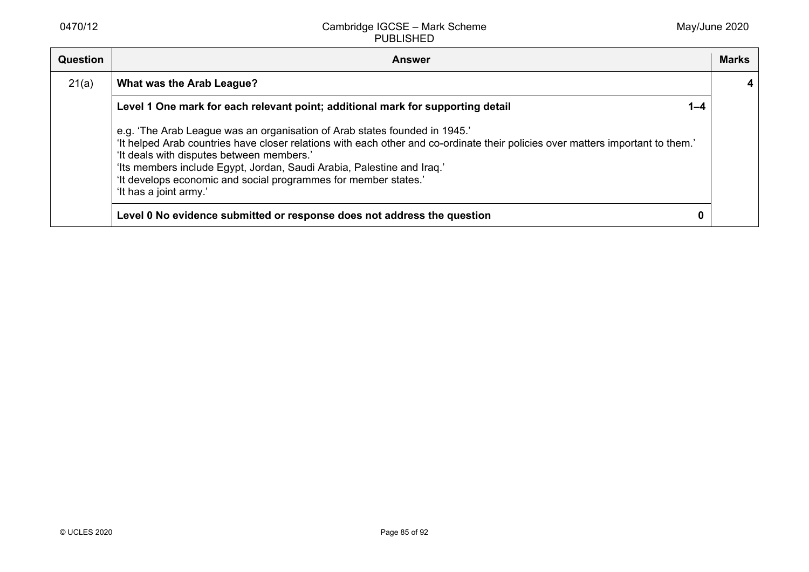| <b>Question</b> | <b>Answer</b>                                                                                                                                                                                                                                                                                                                                                                                                                     |         | <b>Marks</b> |
|-----------------|-----------------------------------------------------------------------------------------------------------------------------------------------------------------------------------------------------------------------------------------------------------------------------------------------------------------------------------------------------------------------------------------------------------------------------------|---------|--------------|
| 21(a)           | What was the Arab League?                                                                                                                                                                                                                                                                                                                                                                                                         |         |              |
|                 | Level 1 One mark for each relevant point; additional mark for supporting detail                                                                                                                                                                                                                                                                                                                                                   | $1 - 4$ |              |
|                 | e.g. 'The Arab League was an organisation of Arab states founded in 1945.'<br>'It helped Arab countries have closer relations with each other and co-ordinate their policies over matters important to them.'<br>'It deals with disputes between members.'<br>'Its members include Egypt, Jordan, Saudi Arabia, Palestine and Iraq.'<br>'It develops economic and social programmes for member states.'<br>'It has a joint army.' |         |              |
|                 | Level 0 No evidence submitted or response does not address the question                                                                                                                                                                                                                                                                                                                                                           |         |              |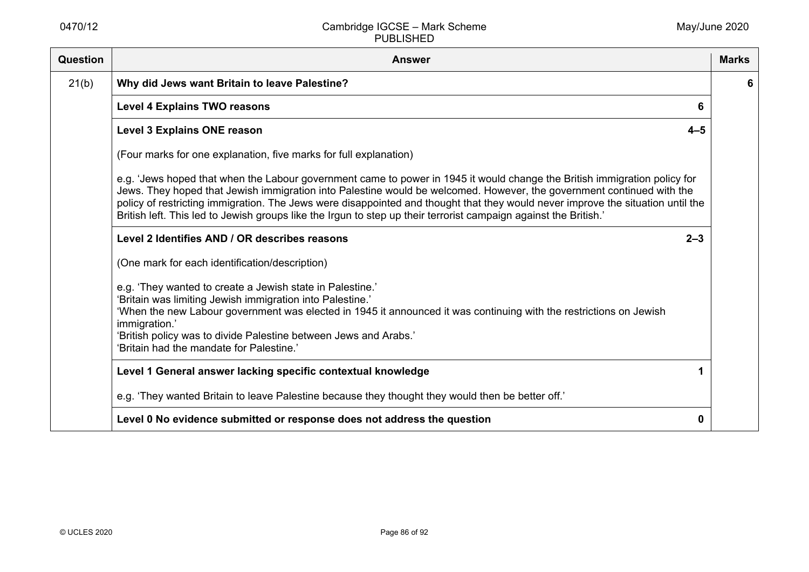| Question | <b>Answer</b>                                                                                                                                                                                                                                                                                                                                                                                                                                                                                             | <b>Marks</b> |
|----------|-----------------------------------------------------------------------------------------------------------------------------------------------------------------------------------------------------------------------------------------------------------------------------------------------------------------------------------------------------------------------------------------------------------------------------------------------------------------------------------------------------------|--------------|
| 21(b)    | Why did Jews want Britain to leave Palestine?                                                                                                                                                                                                                                                                                                                                                                                                                                                             | 6            |
|          | <b>Level 4 Explains TWO reasons</b><br>6                                                                                                                                                                                                                                                                                                                                                                                                                                                                  |              |
|          | <b>Level 3 Explains ONE reason</b><br>$4 - 5$                                                                                                                                                                                                                                                                                                                                                                                                                                                             |              |
|          | (Four marks for one explanation, five marks for full explanation)                                                                                                                                                                                                                                                                                                                                                                                                                                         |              |
|          | e.g. 'Jews hoped that when the Labour government came to power in 1945 it would change the British immigration policy for<br>Jews. They hoped that Jewish immigration into Palestine would be welcomed. However, the government continued with the<br>policy of restricting immigration. The Jews were disappointed and thought that they would never improve the situation until the<br>British left. This led to Jewish groups like the Irgun to step up their terrorist campaign against the British.' |              |
|          | Level 2 Identifies AND / OR describes reasons<br>$2 - 3$                                                                                                                                                                                                                                                                                                                                                                                                                                                  |              |
|          | (One mark for each identification/description)                                                                                                                                                                                                                                                                                                                                                                                                                                                            |              |
|          | e.g. 'They wanted to create a Jewish state in Palestine.'<br>'Britain was limiting Jewish immigration into Palestine.'<br>'When the new Labour government was elected in 1945 it announced it was continuing with the restrictions on Jewish<br>immigration.'<br>'British policy was to divide Palestine between Jews and Arabs.'<br>'Britain had the mandate for Palestine.'                                                                                                                             |              |
|          | Level 1 General answer lacking specific contextual knowledge                                                                                                                                                                                                                                                                                                                                                                                                                                              |              |
|          | e.g. 'They wanted Britain to leave Palestine because they thought they would then be better off.'                                                                                                                                                                                                                                                                                                                                                                                                         |              |
|          | Level 0 No evidence submitted or response does not address the question<br>0                                                                                                                                                                                                                                                                                                                                                                                                                              |              |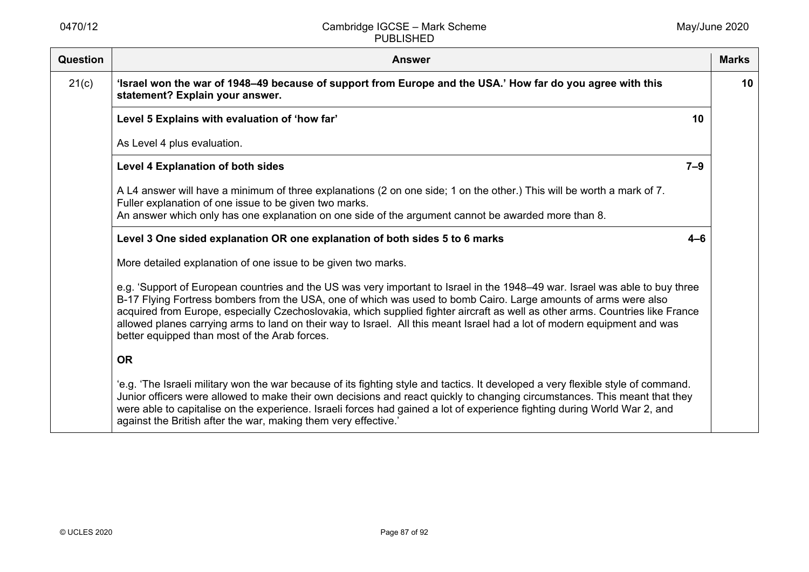| Question | <b>Answer</b>                                                                                                                                                                                                                                                                                                                                                                                                                                                                                                                                                 | <b>Marks</b> |
|----------|---------------------------------------------------------------------------------------------------------------------------------------------------------------------------------------------------------------------------------------------------------------------------------------------------------------------------------------------------------------------------------------------------------------------------------------------------------------------------------------------------------------------------------------------------------------|--------------|
| 21(c)    | 'Israel won the war of 1948-49 because of support from Europe and the USA.' How far do you agree with this<br>statement? Explain your answer.                                                                                                                                                                                                                                                                                                                                                                                                                 | 10           |
|          | Level 5 Explains with evaluation of 'how far'<br>10                                                                                                                                                                                                                                                                                                                                                                                                                                                                                                           |              |
|          | As Level 4 plus evaluation.                                                                                                                                                                                                                                                                                                                                                                                                                                                                                                                                   |              |
|          | $7 - 9$<br><b>Level 4 Explanation of both sides</b>                                                                                                                                                                                                                                                                                                                                                                                                                                                                                                           |              |
|          | A L4 answer will have a minimum of three explanations (2 on one side; 1 on the other.) This will be worth a mark of 7.<br>Fuller explanation of one issue to be given two marks.                                                                                                                                                                                                                                                                                                                                                                              |              |
|          | An answer which only has one explanation on one side of the argument cannot be awarded more than 8.                                                                                                                                                                                                                                                                                                                                                                                                                                                           |              |
|          | Level 3 One sided explanation OR one explanation of both sides 5 to 6 marks<br>$4 - 6$                                                                                                                                                                                                                                                                                                                                                                                                                                                                        |              |
|          | More detailed explanation of one issue to be given two marks.                                                                                                                                                                                                                                                                                                                                                                                                                                                                                                 |              |
|          | e.g. 'Support of European countries and the US was very important to Israel in the 1948-49 war. Israel was able to buy three<br>B-17 Flying Fortress bombers from the USA, one of which was used to bomb Cairo. Large amounts of arms were also<br>acquired from Europe, especially Czechoslovakia, which supplied fighter aircraft as well as other arms. Countries like France<br>allowed planes carrying arms to land on their way to Israel. All this meant Israel had a lot of modern equipment and was<br>better equipped than most of the Arab forces. |              |
|          | <b>OR</b>                                                                                                                                                                                                                                                                                                                                                                                                                                                                                                                                                     |              |
|          | 'e.g. 'The Israeli military won the war because of its fighting style and tactics. It developed a very flexible style of command.<br>Junior officers were allowed to make their own decisions and react quickly to changing circumstances. This meant that they<br>were able to capitalise on the experience. Israeli forces had gained a lot of experience fighting during World War 2, and<br>against the British after the war, making them very effective.'                                                                                               |              |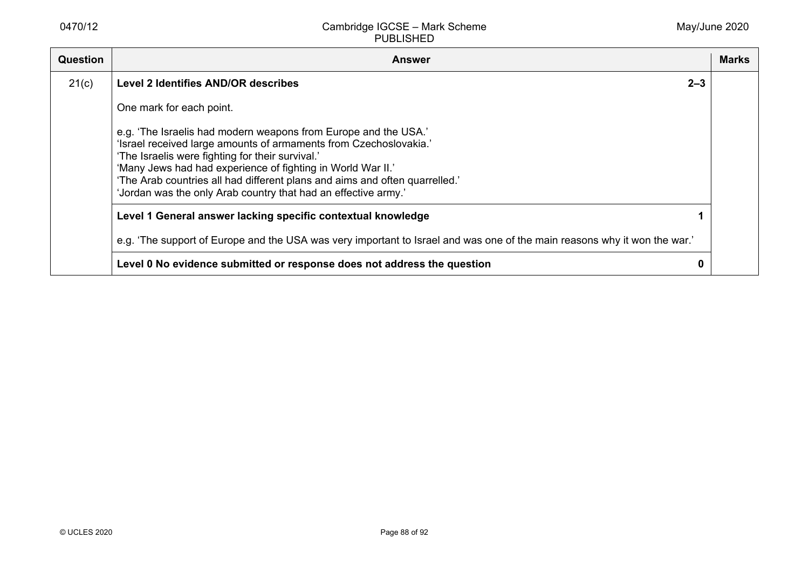| <b>Question</b> | <b>Answer</b>                                                                                                                                                                                                                                                                                                                                                                                            | <b>Marks</b> |
|-----------------|----------------------------------------------------------------------------------------------------------------------------------------------------------------------------------------------------------------------------------------------------------------------------------------------------------------------------------------------------------------------------------------------------------|--------------|
| 21(c)           | $2 - 3$<br>Level 2 Identifies AND/OR describes                                                                                                                                                                                                                                                                                                                                                           |              |
|                 | One mark for each point.                                                                                                                                                                                                                                                                                                                                                                                 |              |
|                 | e.g. 'The Israelis had modern weapons from Europe and the USA.'<br>'Israel received large amounts of armaments from Czechoslovakia.'<br>'The Israelis were fighting for their survival.'<br>'Many Jews had had experience of fighting in World War II.'<br>'The Arab countries all had different plans and aims and often quarrelled.'<br>'Jordan was the only Arab country that had an effective army.' |              |
|                 | Level 1 General answer lacking specific contextual knowledge                                                                                                                                                                                                                                                                                                                                             |              |
|                 | e.g. 'The support of Europe and the USA was very important to Israel and was one of the main reasons why it won the war.'                                                                                                                                                                                                                                                                                |              |
|                 | Level 0 No evidence submitted or response does not address the question<br>0                                                                                                                                                                                                                                                                                                                             |              |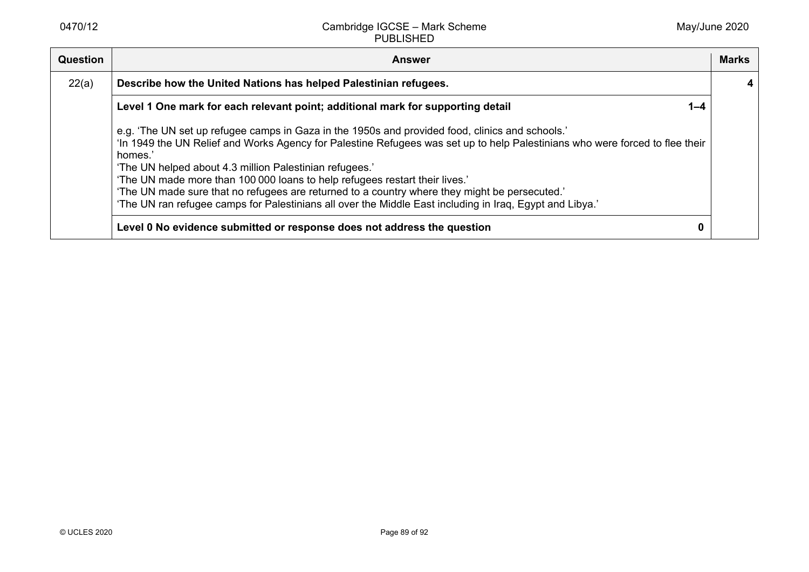| <b>Question</b> | <b>Answer</b>                                                                                                                                                                                                                                                                                                                                                                                                                                                                                                                                                                                     | <b>Marks</b> |
|-----------------|---------------------------------------------------------------------------------------------------------------------------------------------------------------------------------------------------------------------------------------------------------------------------------------------------------------------------------------------------------------------------------------------------------------------------------------------------------------------------------------------------------------------------------------------------------------------------------------------------|--------------|
| 22(a)           | Describe how the United Nations has helped Palestinian refugees.                                                                                                                                                                                                                                                                                                                                                                                                                                                                                                                                  |              |
|                 | Level 1 One mark for each relevant point; additional mark for supporting detail<br>$1 - 4$                                                                                                                                                                                                                                                                                                                                                                                                                                                                                                        |              |
|                 | e.g. 'The UN set up refugee camps in Gaza in the 1950s and provided food, clinics and schools.'<br>'In 1949 the UN Relief and Works Agency for Palestine Refugees was set up to help Palestinians who were forced to flee their<br>homes.'<br>'The UN helped about 4.3 million Palestinian refugees.'<br>'The UN made more than 100 000 loans to help refugees restart their lives.'<br>'The UN made sure that no refugees are returned to a country where they might be persecuted.'<br>'The UN ran refugee camps for Palestinians all over the Middle East including in Iraq, Egypt and Libya.' |              |
|                 | Level 0 No evidence submitted or response does not address the question<br>0                                                                                                                                                                                                                                                                                                                                                                                                                                                                                                                      |              |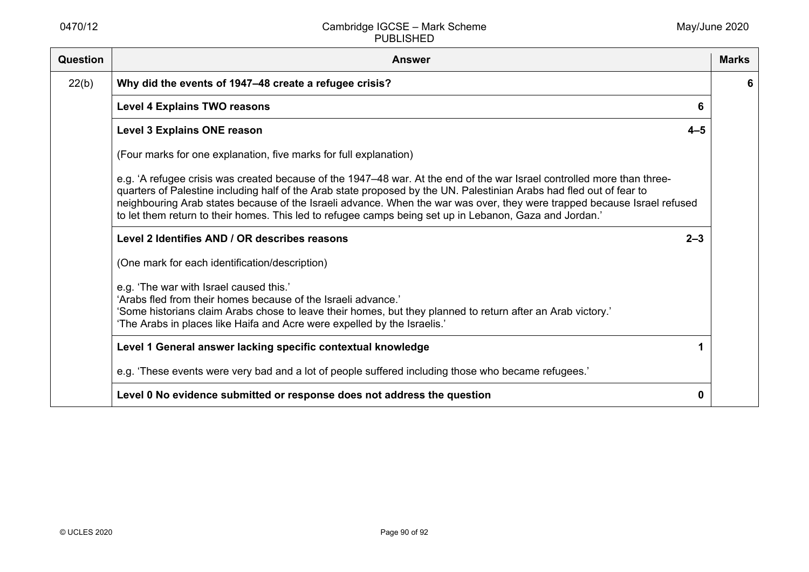| Question | <b>Answer</b>                                                                                                                                                                                                                                                                                                                                                                                                                                                                          | <b>Marks</b> |
|----------|----------------------------------------------------------------------------------------------------------------------------------------------------------------------------------------------------------------------------------------------------------------------------------------------------------------------------------------------------------------------------------------------------------------------------------------------------------------------------------------|--------------|
| 22(b)    | Why did the events of 1947–48 create a refugee crisis?                                                                                                                                                                                                                                                                                                                                                                                                                                 | 6            |
|          | <b>Level 4 Explains TWO reasons</b>                                                                                                                                                                                                                                                                                                                                                                                                                                                    |              |
|          | Level 3 Explains ONE reason<br>$4 - 5$                                                                                                                                                                                                                                                                                                                                                                                                                                                 |              |
|          | (Four marks for one explanation, five marks for full explanation)                                                                                                                                                                                                                                                                                                                                                                                                                      |              |
|          | e.g. 'A refugee crisis was created because of the 1947–48 war. At the end of the war Israel controlled more than three-<br>quarters of Palestine including half of the Arab state proposed by the UN. Palestinian Arabs had fled out of fear to<br>neighbouring Arab states because of the Israeli advance. When the war was over, they were trapped because Israel refused<br>to let them return to their homes. This led to refugee camps being set up in Lebanon, Gaza and Jordan.' |              |
|          | Level 2 Identifies AND / OR describes reasons<br>$2 - 3$                                                                                                                                                                                                                                                                                                                                                                                                                               |              |
|          | (One mark for each identification/description)                                                                                                                                                                                                                                                                                                                                                                                                                                         |              |
|          | e.g. 'The war with Israel caused this.'<br>'Arabs fled from their homes because of the Israeli advance.'<br>'Some historians claim Arabs chose to leave their homes, but they planned to return after an Arab victory.'<br>'The Arabs in places like Haifa and Acre were expelled by the Israelis.'                                                                                                                                                                                    |              |
|          | Level 1 General answer lacking specific contextual knowledge                                                                                                                                                                                                                                                                                                                                                                                                                           |              |
|          | e.g. 'These events were very bad and a lot of people suffered including those who became refugees.'                                                                                                                                                                                                                                                                                                                                                                                    |              |
|          | Level 0 No evidence submitted or response does not address the question<br>0                                                                                                                                                                                                                                                                                                                                                                                                           |              |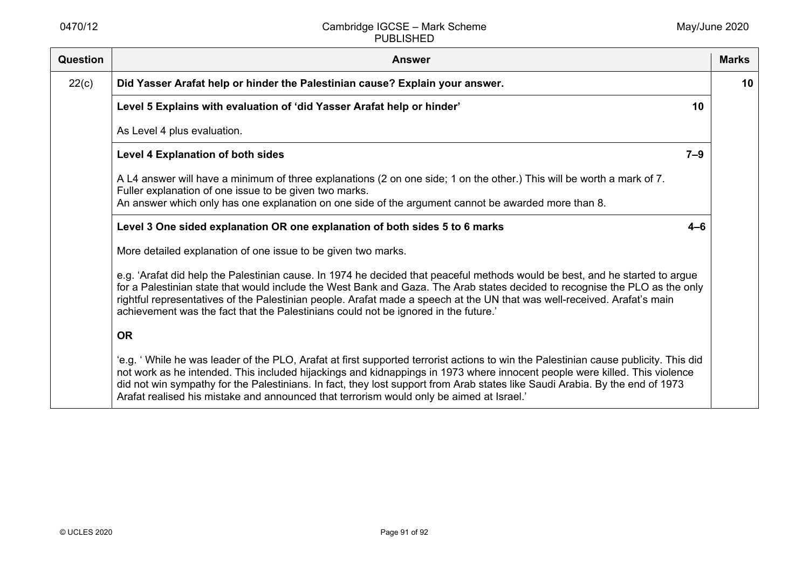| Question | <b>Answer</b>                                                                                                                                                                                                                                                                                                                                                                                                                                                                                 | <b>Marks</b> |
|----------|-----------------------------------------------------------------------------------------------------------------------------------------------------------------------------------------------------------------------------------------------------------------------------------------------------------------------------------------------------------------------------------------------------------------------------------------------------------------------------------------------|--------------|
| 22(c)    | Did Yasser Arafat help or hinder the Palestinian cause? Explain your answer.                                                                                                                                                                                                                                                                                                                                                                                                                  | 10           |
|          | Level 5 Explains with evaluation of 'did Yasser Arafat help or hinder'<br>10                                                                                                                                                                                                                                                                                                                                                                                                                  |              |
|          | As Level 4 plus evaluation.                                                                                                                                                                                                                                                                                                                                                                                                                                                                   |              |
|          | $7 - 9$<br><b>Level 4 Explanation of both sides</b>                                                                                                                                                                                                                                                                                                                                                                                                                                           |              |
|          | A L4 answer will have a minimum of three explanations (2 on one side; 1 on the other.) This will be worth a mark of 7.<br>Fuller explanation of one issue to be given two marks.<br>An answer which only has one explanation on one side of the argument cannot be awarded more than 8.                                                                                                                                                                                                       |              |
|          | Level 3 One sided explanation OR one explanation of both sides 5 to 6 marks<br>$4 - 6$                                                                                                                                                                                                                                                                                                                                                                                                        |              |
|          | More detailed explanation of one issue to be given two marks.                                                                                                                                                                                                                                                                                                                                                                                                                                 |              |
|          | e.g. 'Arafat did help the Palestinian cause. In 1974 he decided that peaceful methods would be best, and he started to argue<br>for a Palestinian state that would include the West Bank and Gaza. The Arab states decided to recognise the PLO as the only<br>rightful representatives of the Palestinian people. Arafat made a speech at the UN that was well-received. Arafat's main<br>achievement was the fact that the Palestinians could not be ignored in the future.'                |              |
|          | <b>OR</b>                                                                                                                                                                                                                                                                                                                                                                                                                                                                                     |              |
|          | 'e.g. 'While he was leader of the PLO, Arafat at first supported terrorist actions to win the Palestinian cause publicity. This did<br>not work as he intended. This included hijackings and kidnappings in 1973 where innocent people were killed. This violence<br>did not win sympathy for the Palestinians. In fact, they lost support from Arab states like Saudi Arabia. By the end of 1973<br>Arafat realised his mistake and announced that terrorism would only be aimed at Israel.' |              |